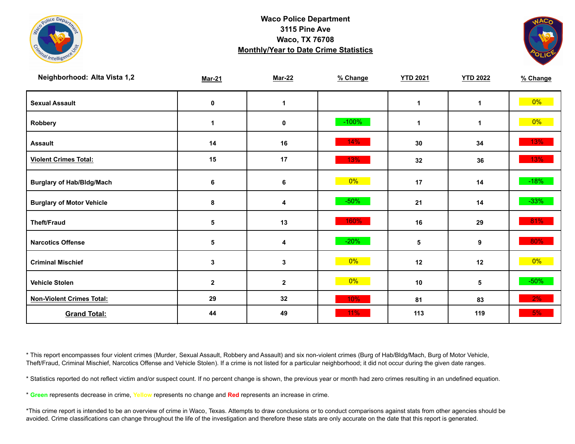



| Neighborhood: Alta Vista 1,2     | <b>Mar-21</b>   | <b>Mar-22</b> | % Change | <b>YTD 2021</b> | <b>YTD 2022</b> | % Change |
|----------------------------------|-----------------|---------------|----------|-----------------|-----------------|----------|
| <b>Sexual Assault</b>            | 0               | 1             |          | $\mathbf 1$     | 1               | $0\%$    |
| Robbery                          | $\mathbf{1}$    | $\mathbf 0$   | $-100%$  | $\mathbf 1$     | 1               | $0\%$    |
| <b>Assault</b>                   | 14              | 16            | 14%      | 30              | 34              | 13%      |
| <b>Violent Crimes Total:</b>     | 15              | 17            | 13%      | 32              | 36              | 13%      |
| <b>Burglary of Hab/Bldg/Mach</b> | 6               | $\bf 6$       | $0\%$    | 17              | 14              | $-18%$   |
| <b>Burglary of Motor Vehicle</b> | 8               | 4             | $-50%$   | 21              | 14              | $-33%$   |
| <b>Theft/Fraud</b>               | $\sqrt{5}$      | 13            | 160%     | 16              | 29              | 81%      |
| <b>Narcotics Offense</b>         | $5\phantom{.0}$ | 4             | $-20%$   | 5               | 9               | 80%      |
| <b>Criminal Mischief</b>         | $\mathbf{3}$    | 3             | 0%       | 12              | 12              | $0\%$    |
| <b>Vehicle Stolen</b>            | $\mathbf{2}$    | $\mathbf 2$   | $0\%$    | 10              | 5               | $-50%$   |
| <b>Non-Violent Crimes Total:</b> | 29              | 32            | 10%      | 81              | 83              | 2%       |
| <b>Grand Total:</b>              | 44              | 49            | 11%      | 113             | 119             | 5%       |

\* This report encompasses four violent crimes (Murder, Sexual Assault, Robbery and Assault) and six non-violent crimes (Burg of Hab/Bldg/Mach, Burg of Motor Vehicle, Theft/Fraud, Criminal Mischief, Narcotics Offense and Vehicle Stolen). If a crime is not listed for a particular neighborhood; it did not occur during the given date ranges.

\* Statistics reported do not reflect victim and/or suspect count. If no percent change is shown, the previous year or month had zero crimes resulting in an undefined equation.

\* **Green** represents decrease in crime, **Yellow** represents no change and **Red** represents an increase in crime.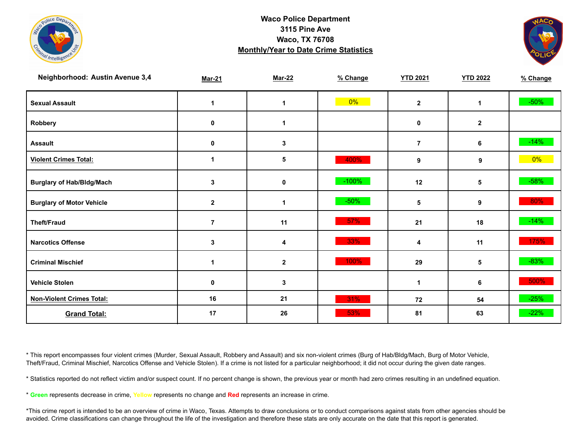



| <b>Neighborhood: Austin Avenue 3,4</b> | <b>Mar-21</b>  | <b>Mar-22</b> | % Change | <b>YTD 2021</b> | <b>YTD 2022</b> | % Change |
|----------------------------------------|----------------|---------------|----------|-----------------|-----------------|----------|
| <b>Sexual Assault</b>                  | 1              | 1             | $0\%$    | $\mathbf{2}$    | 1               | $-50\%$  |
| Robbery                                | 0              | 1             |          | 0               | $\mathbf{2}$    |          |
| <b>Assault</b>                         | 0              | 3             |          | $\overline{7}$  | 6               | $-14%$   |
| <b>Violent Crimes Total:</b>           | 1              | 5             | 400%     | 9               | 9               | $0\%$    |
| <b>Burglary of Hab/Bldg/Mach</b>       | 3              | 0             | $-100\%$ | 12              | 5               | $-58%$   |
| <b>Burglary of Motor Vehicle</b>       | $\mathbf{2}$   | 1             | $-50%$   | 5               | 9               | 80%      |
| <b>Theft/Fraud</b>                     | $\overline{7}$ | 11            | $57\%$   | 21              | 18              | $-14%$   |
| <b>Narcotics Offense</b>               | 3              | 4             | 33%      | 4               | 11              | 175%     |
| <b>Criminal Mischief</b>               | 1              | $\mathbf{2}$  | 100%     | 29              | 5               | $-83%$   |
| <b>Vehicle Stolen</b>                  | 0              | 3             |          | 1               | 6               | 500%     |
| <b>Non-Violent Crimes Total:</b>       | 16             | 21            | 31%      | 72              | 54              | $-25%$   |
| <b>Grand Total:</b>                    | 17             | 26            | 53%      | 81              | 63              | $-22%$   |

\* This report encompasses four violent crimes (Murder, Sexual Assault, Robbery and Assault) and six non-violent crimes (Burg of Hab/Bldg/Mach, Burg of Motor Vehicle, Theft/Fraud, Criminal Mischief, Narcotics Offense and Vehicle Stolen). If a crime is not listed for a particular neighborhood; it did not occur during the given date ranges.

\* Statistics reported do not reflect victim and/or suspect count. If no percent change is shown, the previous year or month had zero crimes resulting in an undefined equation.

\* **Green** represents decrease in crime, **Yellow** represents no change and **Red** represents an increase in crime.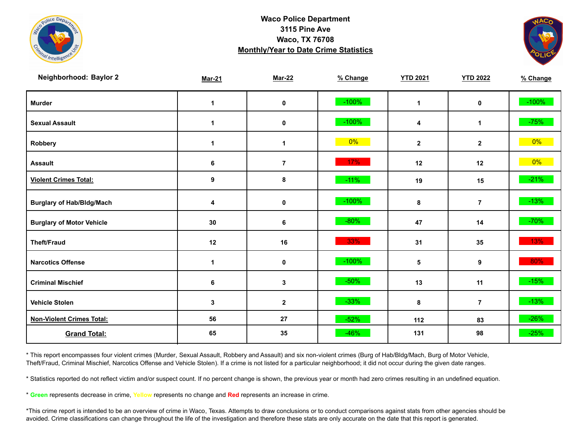



| Neighborhood: Baylor 2           | <b>Mar-21</b> | <b>Mar-22</b>  | % Change | <b>YTD 2021</b> | <b>YTD 2022</b> | % Change |
|----------------------------------|---------------|----------------|----------|-----------------|-----------------|----------|
| <b>Murder</b>                    | $\mathbf 1$   | $\pmb{0}$      | $-100%$  | $\mathbf{1}$    | $\mathbf 0$     | $-100%$  |
| <b>Sexual Assault</b>            | 1             | $\mathbf 0$    | $-100%$  | 4               | 1               | $-75%$   |
| Robbery                          | 1             | 1              | $0\%$    | $\mathbf{2}$    | $\mathbf{2}$    | 0%       |
| <b>Assault</b>                   | 6             | $\overline{7}$ | 17%      | 12              | 12              | $0\%$    |
| <b>Violent Crimes Total:</b>     | 9             | 8              | $-11%$   | 19              | 15              | $-21%$   |
| <b>Burglary of Hab/Bldg/Mach</b> | 4             | $\mathbf 0$    | $-100%$  | 8               | $\overline{7}$  | $-13%$   |
| <b>Burglary of Motor Vehicle</b> | 30            | 6              | $-80%$   | 47              | 14              | $-70%$   |
| <b>Theft/Fraud</b>               | 12            | 16             | 33%      | 31              | 35              | 13%      |
| <b>Narcotics Offense</b>         | $\mathbf 1$   | $\pmb{0}$      | $-100%$  | ${\bf 5}$       | 9               | 80%      |
| <b>Criminal Mischief</b>         | 6             | $\mathbf{3}$   | $-50%$   | 13              | 11              | $-15%$   |
| <b>Vehicle Stolen</b>            | $\mathbf{3}$  | $\mathbf{2}$   | $-33%$   | 8               | $\overline{7}$  | $-13%$   |
| <b>Non-Violent Crimes Total:</b> | 56            | 27             | $-52%$   | 112             | 83              | $-26%$   |
| <b>Grand Total:</b>              | 65            | 35             | $-46%$   | 131             | 98              | $-25%$   |

\* This report encompasses four violent crimes (Murder, Sexual Assault, Robbery and Assault) and six non-violent crimes (Burg of Hab/Bldg/Mach, Burg of Motor Vehicle, Theft/Fraud, Criminal Mischief, Narcotics Offense and Vehicle Stolen). If a crime is not listed for a particular neighborhood; it did not occur during the given date ranges.

\* Statistics reported do not reflect victim and/or suspect count. If no percent change is shown, the previous year or month had zero crimes resulting in an undefined equation.

\* **Green** represents decrease in crime, **Yellow** represents no change and **Red** represents an increase in crime.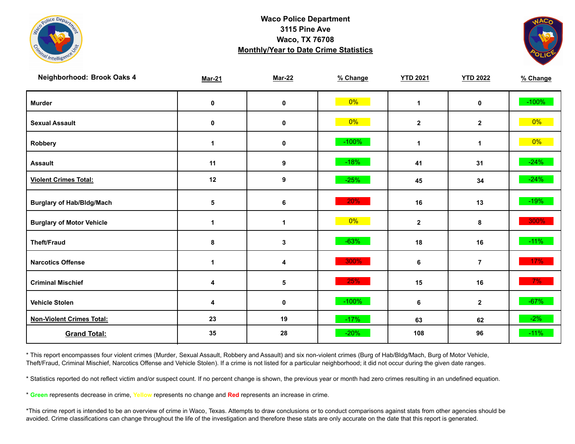



| Neighborhood: Brook Oaks 4       | <b>Mar-21</b> | <b>Mar-22</b> | % Change | <b>YTD 2021</b> | <b>YTD 2022</b> | % Change |
|----------------------------------|---------------|---------------|----------|-----------------|-----------------|----------|
| <b>Murder</b>                    | $\pmb{0}$     | $\mathbf 0$   | $0\%$    | $\mathbf{1}$    | $\mathbf 0$     | $-100%$  |
| <b>Sexual Assault</b>            | $\pmb{0}$     | $\mathbf 0$   | $0\%$    | $\mathbf{2}$    | $\mathbf{2}$    | $0\%$    |
| Robbery                          | $\mathbf 1$   | 0             | $-100%$  | $\mathbf 1$     | $\mathbf 1$     | $0\%$    |
| <b>Assault</b>                   | 11            | 9             | $-18%$   | 41              | 31              | $-24%$   |
| <b>Violent Crimes Total:</b>     | 12            | 9             | $-25%$   | 45              | 34              | $-24%$   |
| <b>Burglary of Hab/Bldg/Mach</b> | 5             | 6             | 20%      | 16              | 13              | $-19%$   |
| <b>Burglary of Motor Vehicle</b> | 1             | 1             | 0%       | $\mathbf{2}$    | 8               | 300%     |
| <b>Theft/Fraud</b>               | 8             | $\mathbf{3}$  | $-63%$   | 18              | 16              | $-11%$   |
| <b>Narcotics Offense</b>         | $\mathbf 1$   | 4             | 300%     | 6               | $\overline{7}$  | $17\%$   |
| <b>Criminal Mischief</b>         | 4             | $\sqrt{5}$    | 25%      | 15              | 16              | $7\%$    |
| <b>Vehicle Stolen</b>            | 4             | $\pmb{0}$     | $-100%$  | 6               | $\mathbf{2}$    | $-67%$   |
| <b>Non-Violent Crimes Total:</b> | 23            | 19            | $-17%$   | 63              | 62              | $-2\%$   |
| <b>Grand Total:</b>              | 35            | 28            | $-20%$   | 108             | 96              | $-11%$   |

\* This report encompasses four violent crimes (Murder, Sexual Assault, Robbery and Assault) and six non-violent crimes (Burg of Hab/Bldg/Mach, Burg of Motor Vehicle, Theft/Fraud, Criminal Mischief, Narcotics Offense and Vehicle Stolen). If a crime is not listed for a particular neighborhood; it did not occur during the given date ranges.

\* Statistics reported do not reflect victim and/or suspect count. If no percent change is shown, the previous year or month had zero crimes resulting in an undefined equation.

\* **Green** represents decrease in crime, **Yellow** represents no change and **Red** represents an increase in crime.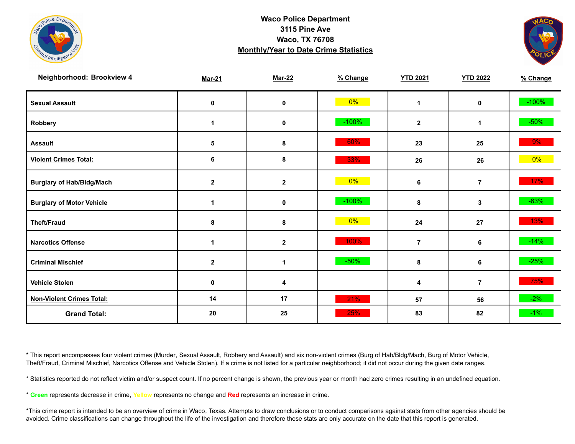



| Neighborhood: Brookview 4        | <b>Mar-21</b>        | <b>Mar-22</b> | % Change | <b>YTD 2021</b>      | <b>YTD 2022</b> | % Change |
|----------------------------------|----------------------|---------------|----------|----------------------|-----------------|----------|
| <b>Sexual Assault</b>            | 0                    | 0             | $0\%$    | $\blacktriangleleft$ | 0               | $-100%$  |
| Robbery                          | 1                    | 0             | $-100%$  | $\mathbf{2}$         | 1               | $-50\%$  |
| <b>Assault</b>                   | $\sqrt{5}$           | 8             | 60%      | 23                   | 25              | 9%       |
| <b>Violent Crimes Total:</b>     | 6                    | $\bf8$        | 33%      | 26                   | 26              | $0\%$    |
| <b>Burglary of Hab/Bldg/Mach</b> | $\mathbf{2}$         | $\mathbf 2$   | $0\%$    | 6                    | $\overline{7}$  | 17%      |
| <b>Burglary of Motor Vehicle</b> | $\mathbf 1$          | 0             | $-100%$  | 8                    | 3               | $-63%$   |
| <b>Theft/Fraud</b>               | 8                    | 8             | $0\%$    | 24                   | 27              | 13%      |
| <b>Narcotics Offense</b>         | $\blacktriangleleft$ | $\mathbf{2}$  | 100%     | $\overline{7}$       | 6               | $-14%$   |
| <b>Criminal Mischief</b>         | $\mathbf{2}$         | 1             | $-50%$   | 8                    | 6               | $-25%$   |
| <b>Vehicle Stolen</b>            | $\pmb{0}$            | 4             |          | 4                    | $\overline{7}$  | 75%      |
| <b>Non-Violent Crimes Total:</b> | 14                   | 17            | 21%      | 57                   | 56              | $-2\%$   |
| <b>Grand Total:</b>              | 20                   | 25            | 25%      | 83                   | 82              | $-1\%$   |

\* This report encompasses four violent crimes (Murder, Sexual Assault, Robbery and Assault) and six non-violent crimes (Burg of Hab/Bldg/Mach, Burg of Motor Vehicle, Theft/Fraud, Criminal Mischief, Narcotics Offense and Vehicle Stolen). If a crime is not listed for a particular neighborhood; it did not occur during the given date ranges.

\* Statistics reported do not reflect victim and/or suspect count. If no percent change is shown, the previous year or month had zero crimes resulting in an undefined equation.

\* **Green** represents decrease in crime, **Yellow** represents no change and **Red** represents an increase in crime.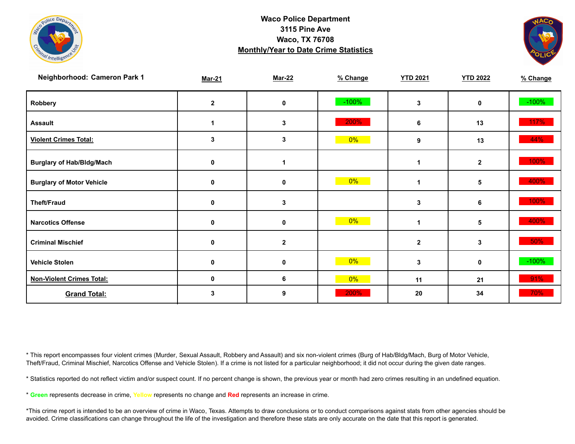



| Neighborhood: Cameron Park 1     | <b>Mar-21</b> | <b>Mar-22</b> | % Change | <b>YTD 2021</b> | <b>YTD 2022</b> | % Change |
|----------------------------------|---------------|---------------|----------|-----------------|-----------------|----------|
| Robbery                          | $\mathbf{2}$  | 0             | $-100%$  | 3               | 0               | $-100%$  |
| <b>Assault</b>                   |               | 3             | 200%     | 6               | 13              | 117%     |
| <b>Violent Crimes Total:</b>     | 3             | 3             | $0\%$    | 9               | 13              | 44%      |
| <b>Burglary of Hab/Bldg/Mach</b> | 0             | 1             |          | 1               | $\mathbf{2}$    | 100%     |
| <b>Burglary of Motor Vehicle</b> | 0             | 0             | 0%       | 1               | 5               | 400%     |
| <b>Theft/Fraud</b>               | 0             | 3             |          | 3               | 6               | 100%     |
| <b>Narcotics Offense</b>         | 0             | 0             | $0\%$    | 1               | 5               | 400%     |
| <b>Criminal Mischief</b>         | 0             | $\mathbf 2$   |          | $\mathbf 2$     | 3               | 50%      |
| <b>Vehicle Stolen</b>            | 0             | 0             | $0\%$    | 3               | 0               | $-100%$  |
| <b>Non-Violent Crimes Total:</b> | 0             | 6             | $0\%$    | 11              | 21              | 91%      |
| <b>Grand Total:</b>              | 3             | 9             | 200%     | 20              | 34              | 70%      |

\* This report encompasses four violent crimes (Murder, Sexual Assault, Robbery and Assault) and six non-violent crimes (Burg of Hab/Bldg/Mach, Burg of Motor Vehicle, Theft/Fraud, Criminal Mischief, Narcotics Offense and Vehicle Stolen). If a crime is not listed for a particular neighborhood; it did not occur during the given date ranges.

\* Statistics reported do not reflect victim and/or suspect count. If no percent change is shown, the previous year or month had zero crimes resulting in an undefined equation.

\* **Green** represents decrease in crime, **Yellow** represents no change and **Red** represents an increase in crime.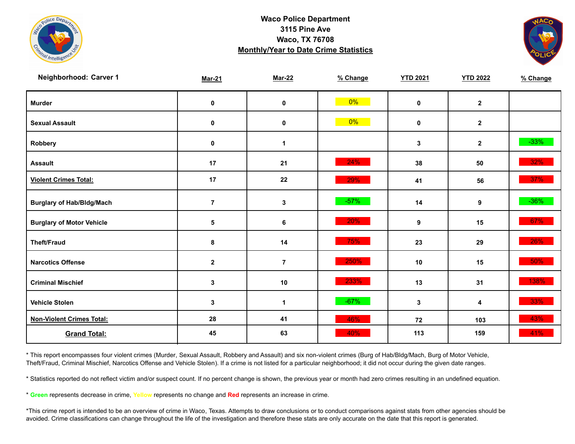



| Neighborhood: Carver 1           | <b>Mar-21</b>  | <b>Mar-22</b>        | % Change | <b>YTD 2021</b> | <b>YTD 2022</b> | % Change |
|----------------------------------|----------------|----------------------|----------|-----------------|-----------------|----------|
| <b>Murder</b>                    | $\pmb{0}$      | $\mathbf 0$          | $0\%$    | $\mathbf 0$     | $\mathbf{2}$    |          |
| <b>Sexual Assault</b>            | $\pmb{0}$      | $\pmb{0}$            | $0\%$    | $\mathbf 0$     | $\mathbf{2}$    |          |
| Robbery                          | 0              | 1                    |          | 3               | $\mathbf{2}$    | $-33%$   |
| <b>Assault</b>                   | 17             | 21                   | 24%      | 38              | 50              | 32%      |
| <b>Violent Crimes Total:</b>     | 17             | 22                   | 29%      | 41              | 56              | 37%      |
| <b>Burglary of Hab/Bldg/Mach</b> | $\overline{7}$ | $\mathbf{3}$         | $-57%$   | 14              | 9               | $-36%$   |
| <b>Burglary of Motor Vehicle</b> | 5              | 6                    | 20%      | 9               | 15              | 67%      |
| <b>Theft/Fraud</b>               | 8              | 14                   | 75%      | 23              | 29              | 26%      |
| <b>Narcotics Offense</b>         | $\mathbf 2$    | $\bf 7$              | 250%     | 10              | 15              | 50%      |
| <b>Criminal Mischief</b>         | 3              | 10                   | 233%     | 13              | 31              | 138%     |
| <b>Vehicle Stolen</b>            | 3              | $\blacktriangleleft$ | $-67%$   | $\mathbf{3}$    | 4               | 33%      |
| <b>Non-Violent Crimes Total:</b> | 28             | 41                   | 46%      | 72              | 103             | 43%      |
| <b>Grand Total:</b>              | 45             | 63                   | 40%      | 113             | 159             | 41%      |

\* This report encompasses four violent crimes (Murder, Sexual Assault, Robbery and Assault) and six non-violent crimes (Burg of Hab/Bldg/Mach, Burg of Motor Vehicle, Theft/Fraud, Criminal Mischief, Narcotics Offense and Vehicle Stolen). If a crime is not listed for a particular neighborhood; it did not occur during the given date ranges.

\* Statistics reported do not reflect victim and/or suspect count. If no percent change is shown, the previous year or month had zero crimes resulting in an undefined equation.

\* **Green** represents decrease in crime, **Yellow** represents no change and **Red** represents an increase in crime.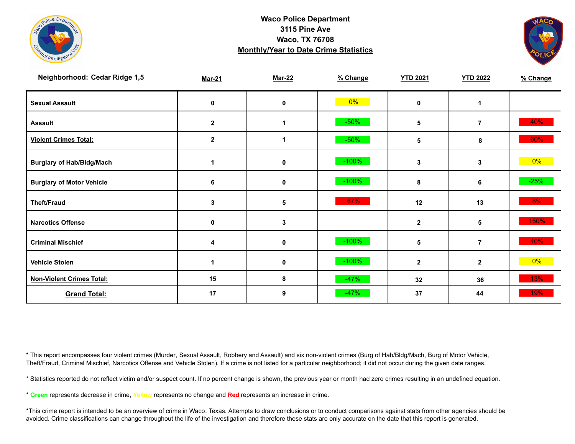



| Neighborhood: Cedar Ridge 1,5    | <b>Mar-21</b> | <b>Mar-22</b> | % Change | <b>YTD 2021</b> | <b>YTD 2022</b> | % Change |
|----------------------------------|---------------|---------------|----------|-----------------|-----------------|----------|
| <b>Sexual Assault</b>            | 0             | 0             | $0\%$    | $\mathbf{0}$    | 1               |          |
| <b>Assault</b>                   | $\mathbf{2}$  |               | $-50%$   | 5               | $\overline{7}$  | 40%      |
| <b>Violent Crimes Total:</b>     | $\mathbf 2$   |               | $-50%$   | 5               | 8               | 60%      |
| <b>Burglary of Hab/Bldg/Mach</b> |               | 0             | $-100%$  | 3               | 3               | $0\%$    |
| <b>Burglary of Motor Vehicle</b> | 6             | 0             | $-100%$  | 8               | 6               | $-25%$   |
| <b>Theft/Fraud</b>               | 3             | 5             | 67%      | 12              | 13              | 8%       |
| <b>Narcotics Offense</b>         | $\mathbf 0$   | 3             |          | $\mathbf{2}$    | 5               | 150%     |
| <b>Criminal Mischief</b>         | 4             | 0             | $-100%$  | 5               | $\overline{7}$  | 40%      |
| <b>Vehicle Stolen</b>            |               | 0             | $-100%$  | $\mathbf{2}$    | $\mathbf{2}$    | $0\%$    |
| <b>Non-Violent Crimes Total:</b> | 15            | 8             | $-47%$   | 32              | 36              | 13%      |
| <b>Grand Total:</b>              | 17            | 9             | $-47%$   | 37              | 44              | 19%      |

\* This report encompasses four violent crimes (Murder, Sexual Assault, Robbery and Assault) and six non-violent crimes (Burg of Hab/Bldg/Mach, Burg of Motor Vehicle, Theft/Fraud, Criminal Mischief, Narcotics Offense and Vehicle Stolen). If a crime is not listed for a particular neighborhood; it did not occur during the given date ranges.

\* Statistics reported do not reflect victim and/or suspect count. If no percent change is shown, the previous year or month had zero crimes resulting in an undefined equation.

\* **Green** represents decrease in crime, **Yellow** represents no change and **Red** represents an increase in crime.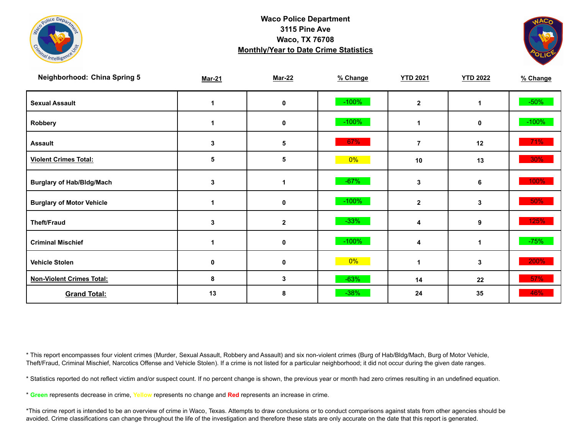



| <b>Neighborhood: China Spring 5</b> | <b>Mar-21</b> | <b>Mar-22</b> | % Change | <b>YTD 2021</b>         | <b>YTD 2022</b>  | % Change |
|-------------------------------------|---------------|---------------|----------|-------------------------|------------------|----------|
| <b>Sexual Assault</b>               | 1             | 0             | $-100%$  | $\overline{\mathbf{2}}$ |                  | $-50%$   |
| Robbery                             | 1             | 0             | $-100\%$ | 1                       | 0                | $-100%$  |
| <b>Assault</b>                      | 3             | 5             | 67%      | $\overline{7}$          | 12               | 71%      |
| <b>Violent Crimes Total:</b>        | 5             | 5             | 0%       | 10                      | 13               | 30%      |
| <b>Burglary of Hab/Bldg/Mach</b>    | 3             | 1             | $-67%$   | 3                       | 6                | 100%     |
| <b>Burglary of Motor Vehicle</b>    | 1             | 0             | $-100\%$ | $\mathbf 2$             | 3                | 50%      |
| <b>Theft/Fraud</b>                  | 3             | $\mathbf 2$   | $-33%$   | 4                       | $\boldsymbol{9}$ | 125%     |
| <b>Criminal Mischief</b>            | 1             | 0             | $-100%$  | 4                       | 1                | $-75%$   |
| <b>Vehicle Stolen</b>               | $\mathbf 0$   | 0             | $0\%$    | 1                       | 3                | 200%     |
| <b>Non-Violent Crimes Total:</b>    | 8             | 3             | $-63%$   | 14                      | 22               | 57%      |
| <b>Grand Total:</b>                 | 13            | 8             | $-38%$   | 24                      | 35               | 46%      |

\* This report encompasses four violent crimes (Murder, Sexual Assault, Robbery and Assault) and six non-violent crimes (Burg of Hab/Bldg/Mach, Burg of Motor Vehicle, Theft/Fraud, Criminal Mischief, Narcotics Offense and Vehicle Stolen). If a crime is not listed for a particular neighborhood; it did not occur during the given date ranges.

\* Statistics reported do not reflect victim and/or suspect count. If no percent change is shown, the previous year or month had zero crimes resulting in an undefined equation.

\* **Green** represents decrease in crime, **Yellow** represents no change and **Red** represents an increase in crime.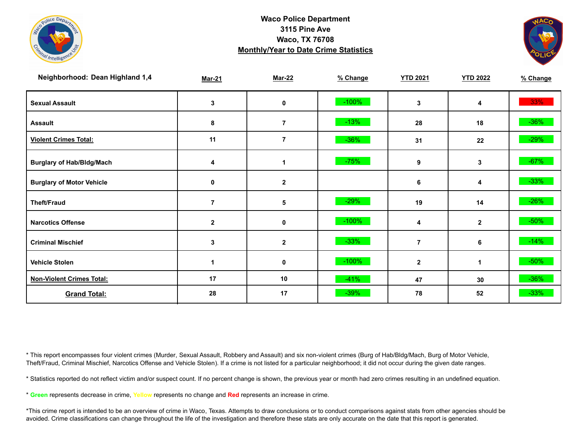



| Neighborhood: Dean Highland 1,4  | <b>Mar-21</b>  | <b>Mar-22</b>    | % Change | <b>YTD 2021</b> | <b>YTD 2022</b> | % Change |
|----------------------------------|----------------|------------------|----------|-----------------|-----------------|----------|
| <b>Sexual Assault</b>            | 3              | 0                | $-100%$  | 3               | 4               | 33%      |
| <b>Assault</b>                   | 8              | $\overline{7}$   | $-13%$   | 28              | 18              | $-36\%$  |
| <b>Violent Crimes Total:</b>     | 11             | 7                | $-36%$   | 31              | 22              | $-29%$   |
| <b>Burglary of Hab/Bldg/Mach</b> | 4              | 1                | $-75%$   | 9               | 3               | $-67%$   |
| <b>Burglary of Motor Vehicle</b> | 0              | $\boldsymbol{2}$ |          | 6               | 4               | $-33%$   |
| <b>Theft/Fraud</b>               | $\overline{7}$ | 5                | $-29%$   | 19              | 14              | $-26%$   |
| <b>Narcotics Offense</b>         | $\mathbf{2}$   | 0                | $-100%$  | 4               | $\mathbf{2}$    | $-50\%$  |
| <b>Criminal Mischief</b>         | 3              | $\boldsymbol{2}$ | $-33%$   | $\overline{7}$  | 6               | $-14%$   |
| <b>Vehicle Stolen</b>            | 1              | 0                | $-100%$  | $\mathbf{2}$    | 1               | $-50\%$  |
| <b>Non-Violent Crimes Total:</b> | 17             | 10               | $-41%$   | 47              | 30              | $-36%$   |
| <b>Grand Total:</b>              | 28             | 17               | $-39%$   | 78              | 52              | $-33%$   |

\* This report encompasses four violent crimes (Murder, Sexual Assault, Robbery and Assault) and six non-violent crimes (Burg of Hab/Bldg/Mach, Burg of Motor Vehicle, Theft/Fraud, Criminal Mischief, Narcotics Offense and Vehicle Stolen). If a crime is not listed for a particular neighborhood; it did not occur during the given date ranges.

\* Statistics reported do not reflect victim and/or suspect count. If no percent change is shown, the previous year or month had zero crimes resulting in an undefined equation.

\* **Green** represents decrease in crime, **Yellow** represents no change and **Red** represents an increase in crime.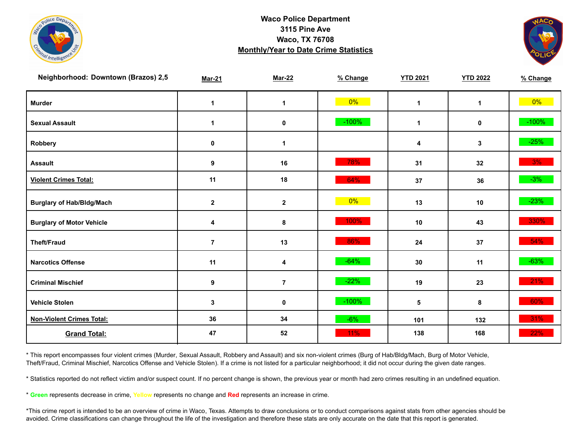



| Neighborhood: Downtown (Brazos) 2,5 | <b>Mar-21</b>        | <b>Mar-22</b>  | % Change | <b>YTD 2021</b> | <b>YTD 2022</b> | % Change |
|-------------------------------------|----------------------|----------------|----------|-----------------|-----------------|----------|
| <b>Murder</b>                       | $\mathbf{1}$         | $\mathbf 1$    | $0\%$    | $\mathbf 1$     | $\mathbf{1}$    | $0\%$    |
| <b>Sexual Assault</b>               | $\blacktriangleleft$ | 0              | $-100%$  | $\mathbf{1}$    | 0               | $-100%$  |
| Robbery                             | 0                    | 1              |          | 4               | 3               | $-25%$   |
| <b>Assault</b>                      | $\boldsymbol{9}$     | 16             | 78%      | 31              | 32              | 3%       |
| <b>Violent Crimes Total:</b>        | 11                   | 18             | 64%      | 37              | 36              | $-3%$    |
| <b>Burglary of Hab/Bldg/Mach</b>    | $\boldsymbol{2}$     | $\mathbf 2$    | 0%       | 13              | 10              | $-23%$   |
| <b>Burglary of Motor Vehicle</b>    | 4                    | 8              | 100%     | 10              | 43              | 330%     |
| <b>Theft/Fraud</b>                  | $\overline{7}$       | 13             | 86%      | 24              | 37              | 54%      |
| <b>Narcotics Offense</b>            | 11                   | 4              | $-64%$   | 30              | 11              | $-63%$   |
| <b>Criminal Mischief</b>            | $\boldsymbol{9}$     | $\overline{7}$ | $-22%$   | 19              | 23              | 21%      |
| <b>Vehicle Stolen</b>               | $\mathbf 3$          | $\pmb{0}$      | $-100%$  | $5\phantom{.0}$ | 8               | 60%      |
| <b>Non-Violent Crimes Total:</b>    | 36                   | 34             | $-6%$    | 101             | 132             | 31%      |
| <b>Grand Total:</b>                 | 47                   | 52             | 11%      | 138             | 168             | 22%      |

\* This report encompasses four violent crimes (Murder, Sexual Assault, Robbery and Assault) and six non-violent crimes (Burg of Hab/Bldg/Mach, Burg of Motor Vehicle, Theft/Fraud, Criminal Mischief, Narcotics Offense and Vehicle Stolen). If a crime is not listed for a particular neighborhood; it did not occur during the given date ranges.

\* Statistics reported do not reflect victim and/or suspect count. If no percent change is shown, the previous year or month had zero crimes resulting in an undefined equation.

\* **Green** represents decrease in crime, **Yellow** represents no change and **Red** represents an increase in crime.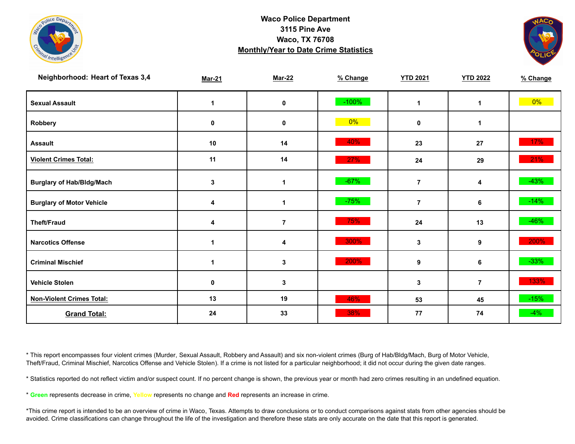



| Neighborhood: Heart of Texas 3,4 | <b>Mar-21</b>        | <b>Mar-22</b>        | % Change | <b>YTD 2021</b> | <b>YTD 2022</b> | % Change |
|----------------------------------|----------------------|----------------------|----------|-----------------|-----------------|----------|
| <b>Sexual Assault</b>            | $\blacktriangleleft$ | 0                    | $-100%$  | 1               | $\mathbf{1}$    | $0\%$    |
| Robbery                          | 0                    | $\pmb{0}$            | 0%       | $\mathbf 0$     | 1               |          |
| <b>Assault</b>                   | 10                   | 14                   | 40%      | 23              | 27              | 17%      |
| <b>Violent Crimes Total:</b>     | 11                   | 14                   | 27%      | 24              | 29              | 21%      |
| <b>Burglary of Hab/Bldg/Mach</b> | 3                    | $\blacktriangleleft$ | $-67%$   | $\overline{7}$  | 4               | $-43%$   |
| <b>Burglary of Motor Vehicle</b> | 4                    | $\blacktriangleleft$ | $-75%$   | $\overline{7}$  | 6               | $-14%$   |
| <b>Theft/Fraud</b>               | 4                    | $\overline{7}$       | 75%      | 24              | 13              | $-46%$   |
| <b>Narcotics Offense</b>         |                      | 4                    | 300%     | 3               | 9               | 200%     |
| <b>Criminal Mischief</b>         |                      | 3                    | 200%     | 9               | 6               | $-33%$   |
| <b>Vehicle Stolen</b>            | 0                    | 3                    |          | 3               | $\overline{7}$  | 133%     |
| <b>Non-Violent Crimes Total:</b> | 13                   | 19                   | 46%      | 53              | 45              | $-15%$   |
| <b>Grand Total:</b>              | 24                   | 33                   | 38%      | 77              | 74              | $-4%$    |

\* This report encompasses four violent crimes (Murder, Sexual Assault, Robbery and Assault) and six non-violent crimes (Burg of Hab/Bldg/Mach, Burg of Motor Vehicle, Theft/Fraud, Criminal Mischief, Narcotics Offense and Vehicle Stolen). If a crime is not listed for a particular neighborhood; it did not occur during the given date ranges.

\* Statistics reported do not reflect victim and/or suspect count. If no percent change is shown, the previous year or month had zero crimes resulting in an undefined equation.

\* **Green** represents decrease in crime, **Yellow** represents no change and **Red** represents an increase in crime.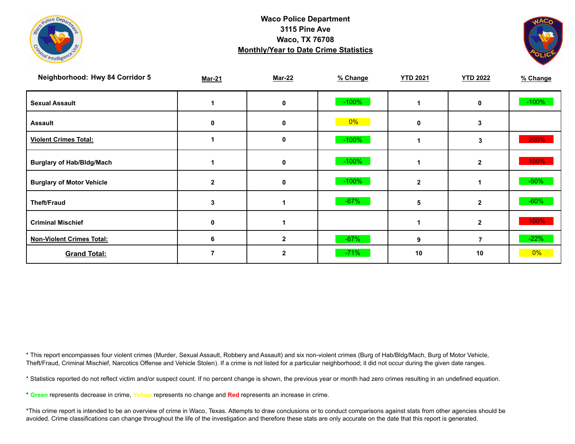



| Neighborhood: Hwy 84 Corridor 5  | <b>Mar-21</b> | <b>Mar-22</b> | % Change | <b>YTD 2021</b> | <b>YTD 2022</b> | % Change |
|----------------------------------|---------------|---------------|----------|-----------------|-----------------|----------|
| <b>Sexual Assault</b>            |               | 0             | $-100%$  |                 | $\mathbf 0$     | $-100%$  |
| <b>Assault</b>                   | 0             | 0             | 0%       | 0               | 3               |          |
| <b>Violent Crimes Total:</b>     |               | 0             | $-100%$  |                 | 3               | 200%     |
| <b>Burglary of Hab/Bldg/Mach</b> |               | 0             | $-100%$  |                 | $\mathbf{2}$    | 100%     |
| <b>Burglary of Motor Vehicle</b> | $\mathbf{2}$  | 0             | $-100%$  | $\overline{2}$  |                 | $-50\%$  |
| <b>Theft/Fraud</b>               | 3             |               | $-67%$   | 5               | $\mathbf{2}$    | $-60\%$  |
| <b>Criminal Mischief</b>         | 0             |               |          |                 | $\mathbf{2}$    | 100%     |
| <b>Non-Violent Crimes Total:</b> | 6             | $\mathbf{2}$  | $-67%$   | 9               | 7               | $-22%$   |
| <b>Grand Total:</b>              |               | $\mathbf{2}$  | $-71%$   | 10              | 10              | $0\%$    |

\* This report encompasses four violent crimes (Murder, Sexual Assault, Robbery and Assault) and six non-violent crimes (Burg of Hab/Bldg/Mach, Burg of Motor Vehicle, Theft/Fraud, Criminal Mischief, Narcotics Offense and Vehicle Stolen). If a crime is not listed for a particular neighborhood; it did not occur during the given date ranges.

\* Statistics reported do not reflect victim and/or suspect count. If no percent change is shown, the previous year or month had zero crimes resulting in an undefined equation.

\* **Green** represents decrease in crime, **Yellow** represents no change and **Red** represents an increase in crime.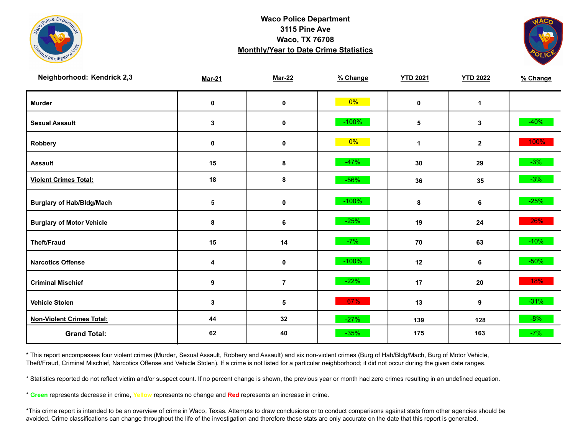



| Neighborhood: Kendrick 2,3       | <b>Mar-21</b>    | <b>Mar-22</b>  | % Change | <b>YTD 2021</b> | <b>YTD 2022</b> | % Change |
|----------------------------------|------------------|----------------|----------|-----------------|-----------------|----------|
| <b>Murder</b>                    | $\mathbf 0$      | $\mathbf 0$    | $0\%$    | $\mathbf 0$     | $\mathbf{1}$    |          |
| <b>Sexual Assault</b>            | 3                | 0              | $-100%$  | 5               | 3               | $-40%$   |
| <b>Robbery</b>                   | 0                | $\pmb{0}$      | $0\%$    | $\mathbf 1$     | $\mathbf{2}$    | 100%     |
| <b>Assault</b>                   | 15               | 8              | $-47%$   | 30              | 29              | $-3%$    |
| <b>Violent Crimes Total:</b>     | 18               | 8              | $-56%$   | 36              | 35              | $-3%$    |
| <b>Burglary of Hab/Bldg/Mach</b> | 5                | 0              | $-100%$  | 8               | 6               | $-25%$   |
| <b>Burglary of Motor Vehicle</b> | 8                | 6              | $-25%$   | 19              | 24              | 26%      |
| <b>Theft/Fraud</b>               | 15               | 14             | $-7%$    | 70              | 63              | $-10%$   |
| <b>Narcotics Offense</b>         | 4                | 0              | $-100%$  | 12              | 6               | $-50\%$  |
| <b>Criminal Mischief</b>         | $\boldsymbol{9}$ | $\overline{7}$ | $-22%$   | 17              | 20              | 18%      |
| <b>Vehicle Stolen</b>            | 3                | 5              | 67%      | 13              | 9               | $-31\%$  |
| <b>Non-Violent Crimes Total:</b> | 44               | 32             | $-27%$   | 139             | 128             | $-8%$    |
| <b>Grand Total:</b>              | 62               | 40             | $-35%$   | 175             | 163             | $-7%$    |

\* This report encompasses four violent crimes (Murder, Sexual Assault, Robbery and Assault) and six non-violent crimes (Burg of Hab/Bldg/Mach, Burg of Motor Vehicle, Theft/Fraud, Criminal Mischief, Narcotics Offense and Vehicle Stolen). If a crime is not listed for a particular neighborhood; it did not occur during the given date ranges.

\* Statistics reported do not reflect victim and/or suspect count. If no percent change is shown, the previous year or month had zero crimes resulting in an undefined equation.

\* **Green** represents decrease in crime, **Yellow** represents no change and **Red** represents an increase in crime.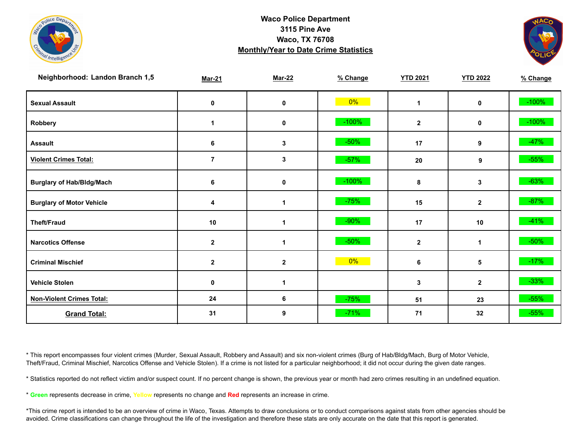



| Neighborhood: Landon Branch 1,5  | <b>Mar-21</b> | <b>Mar-22</b> | % Change | <b>YTD 2021</b> | <b>YTD 2022</b> | % Change |
|----------------------------------|---------------|---------------|----------|-----------------|-----------------|----------|
| <b>Sexual Assault</b>            | 0             | 0             | $0\%$    | $\mathbf{1}$    | 0               | $-100%$  |
| Robbery                          | 1             | $\pmb{0}$     | $-100%$  | $\mathbf{2}$    | 0               | $-100%$  |
| <b>Assault</b>                   | 6             | 3             | $-50%$   | 17              | 9               | $-47%$   |
| <b>Violent Crimes Total:</b>     | $\bf 7$       | 3             | $-57%$   | 20              | 9               | $-55%$   |
| <b>Burglary of Hab/Bldg/Mach</b> | 6             | 0             | $-100%$  | 8               | 3               | $-63%$   |
| <b>Burglary of Motor Vehicle</b> | 4             | 1             | $-75%$   | 15              | $\mathbf{2}$    | $-87%$   |
| <b>Theft/Fraud</b>               | 10            | 1             | $-90%$   | 17              | 10              | $-41%$   |
| <b>Narcotics Offense</b>         | $\mathbf{2}$  | 1             | $-50%$   | $\mathbf{2}$    | 1               | $-50\%$  |
| <b>Criminal Mischief</b>         | $\mathbf{2}$  | $\mathbf{2}$  | $0\%$    | 6               | 5               | $-17%$   |
| <b>Vehicle Stolen</b>            | 0             |               |          | 3               | $\mathbf{2}$    | $-33%$   |
| <b>Non-Violent Crimes Total:</b> | 24            | 6             | $-75%$   | 51              | 23              | $-55%$   |
| <b>Grand Total:</b>              | 31            | 9             | $-71%$   | 71              | 32              | $-55%$   |

\* This report encompasses four violent crimes (Murder, Sexual Assault, Robbery and Assault) and six non-violent crimes (Burg of Hab/Bldg/Mach, Burg of Motor Vehicle, Theft/Fraud, Criminal Mischief, Narcotics Offense and Vehicle Stolen). If a crime is not listed for a particular neighborhood; it did not occur during the given date ranges.

\* Statistics reported do not reflect victim and/or suspect count. If no percent change is shown, the previous year or month had zero crimes resulting in an undefined equation.

\* **Green** represents decrease in crime, **Yellow** represents no change and **Red** represents an increase in crime.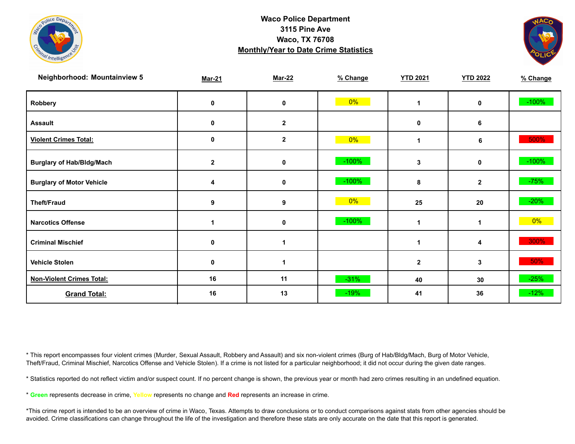



| <b>Neighborhood: Mountainview 5</b> | <b>Mar-21</b> | <b>Mar-22</b> | % Change | <b>YTD 2021</b> | <b>YTD 2022</b> | % Change |
|-------------------------------------|---------------|---------------|----------|-----------------|-----------------|----------|
| Robbery                             | 0             | 0             | $0\%$    | 1               | 0               | $-100%$  |
| <b>Assault</b>                      | 0             | $\mathbf{2}$  |          | 0               | 6               |          |
| <b>Violent Crimes Total:</b>        | 0             | $\mathbf 2$   | $0\%$    | 1               | 6               | 500%     |
| <b>Burglary of Hab/Bldg/Mach</b>    | $\mathbf{2}$  | 0             | $-100%$  | 3               | $\mathbf 0$     | $-100%$  |
| <b>Burglary of Motor Vehicle</b>    | 4             | 0             | $-100%$  | 8               | $\mathbf{2}$    | $-75%$   |
| <b>Theft/Fraud</b>                  | 9             | 9             | 0%       | 25              | 20              | $-20%$   |
| <b>Narcotics Offense</b>            |               | 0             | $-100%$  | 1               |                 | $0\%$    |
| <b>Criminal Mischief</b>            | 0             | 1             |          | 1               | 4               | 300%     |
| <b>Vehicle Stolen</b>               | 0             | 1             |          | $\mathbf 2$     | 3               | 50%      |
| <b>Non-Violent Crimes Total:</b>    | 16            | 11            | $-31%$   | 40              | 30              | $-25%$   |
| <b>Grand Total:</b>                 | 16            | 13            | $-19%$   | 41              | 36              | $-12%$   |

\* This report encompasses four violent crimes (Murder, Sexual Assault, Robbery and Assault) and six non-violent crimes (Burg of Hab/Bldg/Mach, Burg of Motor Vehicle, Theft/Fraud, Criminal Mischief, Narcotics Offense and Vehicle Stolen). If a crime is not listed for a particular neighborhood; it did not occur during the given date ranges.

\* Statistics reported do not reflect victim and/or suspect count. If no percent change is shown, the previous year or month had zero crimes resulting in an undefined equation.

\* **Green** represents decrease in crime, **Yellow** represents no change and **Red** represents an increase in crime.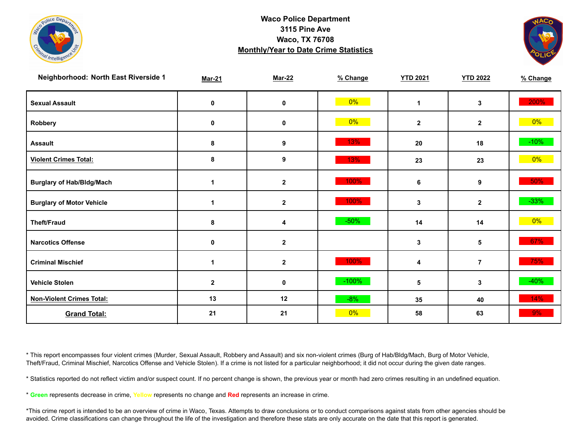



| Neighborhood: North East Riverside 1 | <b>Mar-21</b> | <b>Mar-22</b> | % Change | <b>YTD 2021</b> | <b>YTD 2022</b> | % Change |
|--------------------------------------|---------------|---------------|----------|-----------------|-----------------|----------|
| <b>Sexual Assault</b>                | 0             | 0             | $0\%$    | $\mathbf 1$     | 3               | 200%     |
| Robbery                              | 0             | $\pmb{0}$     | 0%       | $\mathbf{2}$    | $\mathbf{2}$    | $0\%$    |
| <b>Assault</b>                       | 8             | 9             | 13%      | 20              | 18              | $-10%$   |
| <b>Violent Crimes Total:</b>         | 8             | 9             | 13%      | 23              | 23              | $0\%$    |
| <b>Burglary of Hab/Bldg/Mach</b>     | 1             | $\mathbf{2}$  | 100%     | 6               | 9               | 50%      |
| <b>Burglary of Motor Vehicle</b>     | 1             | $\mathbf{2}$  | 100%     | 3               | $\mathbf{2}$    | $-33%$   |
| <b>Theft/Fraud</b>                   | 8             | 4             | $-50%$   | 14              | 14              | $0\%$    |
| <b>Narcotics Offense</b>             | $\mathbf 0$   | $\mathbf{2}$  |          | 3               | 5               | 67%      |
| <b>Criminal Mischief</b>             |               | $\mathbf{2}$  | 100%     | 4               | $\overline{7}$  | 75%      |
| <b>Vehicle Stolen</b>                | $\mathbf{2}$  | $\mathbf 0$   | $-100%$  | 5               | 3               | $-40%$   |
| <b>Non-Violent Crimes Total:</b>     | 13            | 12            | $-8%$    | 35              | 40              | 14%      |
| <b>Grand Total:</b>                  | 21            | 21            | $0\%$    | 58              | 63              | 9%       |

\* This report encompasses four violent crimes (Murder, Sexual Assault, Robbery and Assault) and six non-violent crimes (Burg of Hab/Bldg/Mach, Burg of Motor Vehicle, Theft/Fraud, Criminal Mischief, Narcotics Offense and Vehicle Stolen). If a crime is not listed for a particular neighborhood; it did not occur during the given date ranges.

\* Statistics reported do not reflect victim and/or suspect count. If no percent change is shown, the previous year or month had zero crimes resulting in an undefined equation.

\* **Green** represents decrease in crime, **Yellow** represents no change and **Red** represents an increase in crime.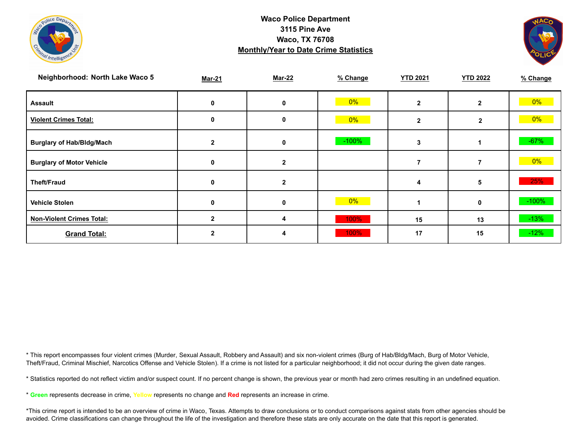



| Neighborhood: North Lake Waco 5  | <b>Mar-21</b> | <b>Mar-22</b> | % Change | <b>YTD 2021</b> | <b>YTD 2022</b> | % Change |
|----------------------------------|---------------|---------------|----------|-----------------|-----------------|----------|
| <b>Assault</b>                   | 0             | 0             | $0\%$    |                 | $\mathbf{2}$    | $0\%$    |
| <b>Violent Crimes Total:</b>     | 0             | 0             | $0\%$    | $\mathbf{2}$    | $\mathbf{2}$    | $0\%$    |
| <b>Burglary of Hab/Bldg/Mach</b> | $\mathbf{2}$  | 0             | $-100%$  | 3               |                 | $-67%$   |
| <b>Burglary of Motor Vehicle</b> | 0             | 2             |          |                 |                 | $0\%$    |
| <b>Theft/Fraud</b>               | 0             | $\mathbf{2}$  |          | 4               | 5               | 25%      |
| <b>Vehicle Stolen</b>            | 0             | 0             | 0%       |                 | 0               | $-100%$  |
| <b>Non-Violent Crimes Total:</b> |               | 4             | 100%     | 15              | 13              | $-13%$   |
| <b>Grand Total:</b>              |               |               | 100%     | 17              | 15              | $-12%$   |

\* This report encompasses four violent crimes (Murder, Sexual Assault, Robbery and Assault) and six non-violent crimes (Burg of Hab/Bldg/Mach, Burg of Motor Vehicle, Theft/Fraud, Criminal Mischief, Narcotics Offense and Vehicle Stolen). If a crime is not listed for a particular neighborhood; it did not occur during the given date ranges.

\* Statistics reported do not reflect victim and/or suspect count. If no percent change is shown, the previous year or month had zero crimes resulting in an undefined equation.

\* **Green** represents decrease in crime, **Yellow** represents no change and **Red** represents an increase in crime.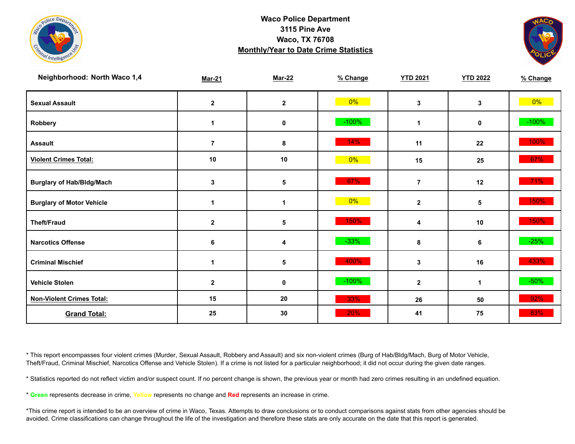



| Neighborhood: North Waco 1,4     | <b>Mar-21</b>  | <b>Mar-22</b> | % Change | <b>YTD 2021</b>      | <b>YTD 2022</b> | % Change |
|----------------------------------|----------------|---------------|----------|----------------------|-----------------|----------|
| <b>Sexual Assault</b>            | $\mathbf{2}$   | $\mathbf{2}$  | $0\%$    | 3                    | 3               | $0\%$    |
| Robbery                          | 1              | $\mathbf 0$   | $-100%$  | $\blacktriangleleft$ | $\mathbf 0$     | $-100%$  |
| <b>Assault</b>                   | $\overline{7}$ | 8             | 14%      | 11                   | 22              | 100%     |
| <b>Violent Crimes Total:</b>     | 10             | 10            | $0\%$    | 15                   | 25              | 67%      |
| <b>Burglary of Hab/Bldg/Mach</b> | $\mathbf{3}$   | $\sqrt{5}$    | 67%      | $\overline{7}$       | 12              | 71%      |
| <b>Burglary of Motor Vehicle</b> | 1              | $\mathbf 1$   | 0%       | $\overline{2}$       | 5               | 150%     |
| <b>Theft/Fraud</b>               | $\mathbf{2}$   | 5             | 150%     | 4                    | 10              | 150%     |
| <b>Narcotics Offense</b>         | 6              | 4             | $-33%$   | 8                    | 6               | $-25%$   |
| <b>Criminal Mischief</b>         | 1              | 5             | 400%     | 3                    | 16              | 433%     |
| <b>Vehicle Stolen</b>            | $\mathbf{2}$   | $\pmb{0}$     | $-100%$  | $\overline{2}$       | 1               | $-50%$   |
| <b>Non-Violent Crimes Total:</b> | 15             | 20            | 33%      | 26                   | 50              | 92%      |
| <b>Grand Total:</b>              | 25             | 30            | 20%      | 41                   | 75              | 83%      |

\* This report encompasses four violent crimes (Murder, Sexual Assault, Robbery and Assault) and six non-violent crimes (Burg of Hab/Bldg/Mach, Burg of Motor Vehicle, Theft/Fraud, Criminal Mischief, Narcotics Offense and Vehicle Stolen). If a crime is not listed for a particular neighborhood; it did not occur during the given date ranges.

\* Statistics reported do not reflect victim and/or suspect count. If no percent change is shown, the previous year or month had zero crimes resulting in an undefined equation.

\* **Green** represents decrease in crime, **Yellow** represents no change and **Red** represents an increase in crime.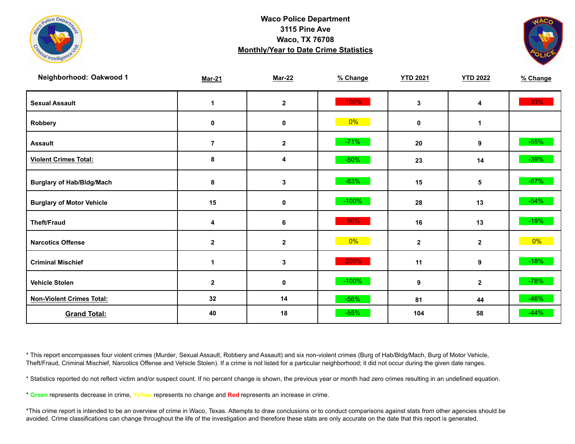



| Neighborhood: Oakwood 1          | <b>Mar-21</b>    | <b>Mar-22</b> | % Change | <b>YTD 2021</b> | <b>YTD 2022</b> | % Change |
|----------------------------------|------------------|---------------|----------|-----------------|-----------------|----------|
| <b>Sexual Assault</b>            | 1                | $\mathbf 2$   | 100%     | 3               | 4               | 33%      |
| Robbery                          | 0                | 0             | $0\%$    | 0               | 1               |          |
| <b>Assault</b>                   | $\overline{7}$   | $\mathbf 2$   | $-71%$   | 20              | 9               | $-55%$   |
| <b>Violent Crimes Total:</b>     | 8                | 4             | $-50%$   | 23              | 14              | $-39%$   |
| <b>Burglary of Hab/Bldg/Mach</b> | 8                | 3             | $-63%$   | 15              | 5               | $-67%$   |
| <b>Burglary of Motor Vehicle</b> | 15               | 0             | $-100%$  | 28              | 13              | $-54%$   |
| <b>Theft/Fraud</b>               | 4                | 6             | 50%      | 16              | 13              | $-19%$   |
| <b>Narcotics Offense</b>         | $\mathbf{2}$     | $\mathbf{2}$  | $0\%$    | $\mathbf{2}$    | $\mathbf{2}$    | $0\%$    |
| <b>Criminal Mischief</b>         | $\mathbf{1}$     | 3             | 200%     | 11              | 9               | $-18%$   |
| <b>Vehicle Stolen</b>            | $\boldsymbol{2}$ | $\pmb{0}$     | $-100%$  | 9               | $\mathbf 2$     | $-78%$   |
| <b>Non-Violent Crimes Total:</b> | 32               | 14            | $-56%$   | 81              | 44              | $-46%$   |
| <b>Grand Total:</b>              | 40               | 18            | $-55%$   | 104             | 58              | $-44%$   |

\* This report encompasses four violent crimes (Murder, Sexual Assault, Robbery and Assault) and six non-violent crimes (Burg of Hab/Bldg/Mach, Burg of Motor Vehicle, Theft/Fraud, Criminal Mischief, Narcotics Offense and Vehicle Stolen). If a crime is not listed for a particular neighborhood; it did not occur during the given date ranges.

\* Statistics reported do not reflect victim and/or suspect count. If no percent change is shown, the previous year or month had zero crimes resulting in an undefined equation.

\* **Green** represents decrease in crime, **Yellow** represents no change and **Red** represents an increase in crime.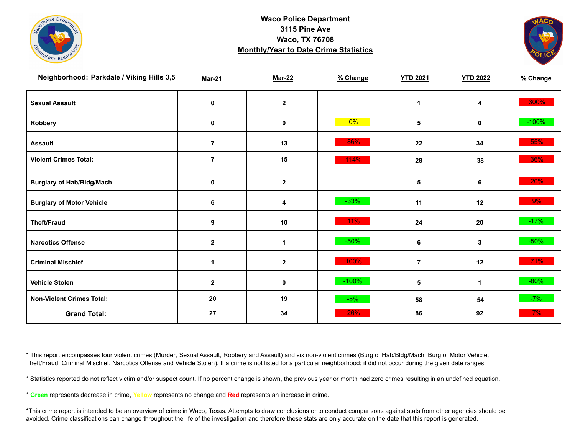



| Neighborhood: Parkdale / Viking Hills 3,5 | <b>Mar-21</b>  | <b>Mar-22</b> | % Change | <b>YTD 2021</b> | <b>YTD 2022</b> | % Change |
|-------------------------------------------|----------------|---------------|----------|-----------------|-----------------|----------|
| <b>Sexual Assault</b>                     | 0              | $\mathbf{2}$  |          | 1               | 4               | 300%     |
| Robbery                                   | $\mathbf 0$    | $\mathbf 0$   | $0\%$    | 5               | 0               | $-100%$  |
| <b>Assault</b>                            | $\overline{7}$ | 13            | 86%      | 22              | 34              | 55%      |
| <b>Violent Crimes Total:</b>              | $\overline{7}$ | 15            | 114%     | 28              | 38              | 36%      |
| <b>Burglary of Hab/Bldg/Mach</b>          | 0              | $\mathbf{2}$  |          | 5               | 6               | 20%      |
| <b>Burglary of Motor Vehicle</b>          | $\bf 6$        | 4             | $-33%$   | 11              | 12              | 9%       |
| <b>Theft/Fraud</b>                        | 9              | 10            | 11%      | 24              | 20              | $-17%$   |
| <b>Narcotics Offense</b>                  | $\mathbf 2$    | 1             | $-50%$   | 6               | 3               | $-50\%$  |
| <b>Criminal Mischief</b>                  | 1              | $\mathbf 2$   | 100%     | 7               | 12              | 71%      |
| <b>Vehicle Stolen</b>                     | $\mathbf{2}$   | $\mathbf 0$   | $-100%$  | 5               | 1               | $-80%$   |
| <b>Non-Violent Crimes Total:</b>          | 20             | 19            | $-5%$    | 58              | 54              | $-7%$    |
| <b>Grand Total:</b>                       | 27             | 34            | 26%      | 86              | 92              | $7\%$    |

\* This report encompasses four violent crimes (Murder, Sexual Assault, Robbery and Assault) and six non-violent crimes (Burg of Hab/Bldg/Mach, Burg of Motor Vehicle, Theft/Fraud, Criminal Mischief, Narcotics Offense and Vehicle Stolen). If a crime is not listed for a particular neighborhood; it did not occur during the given date ranges.

\* Statistics reported do not reflect victim and/or suspect count. If no percent change is shown, the previous year or month had zero crimes resulting in an undefined equation.

\* **Green** represents decrease in crime, **Yellow** represents no change and **Red** represents an increase in crime.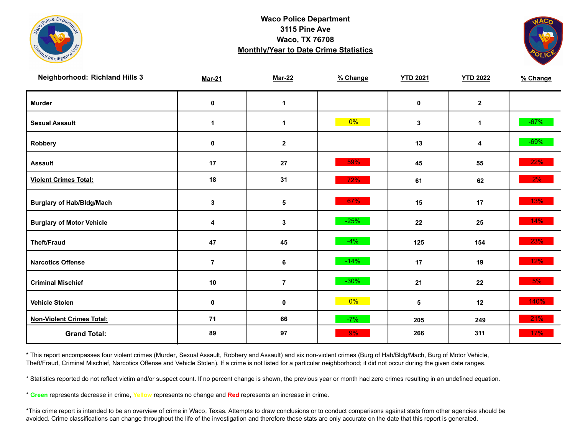



| <b>Neighborhood: Richland Hills 3</b> | <b>Mar-21</b>  | <b>Mar-22</b>  | % Change | <b>YTD 2021</b> | <b>YTD 2022</b> | % Change |
|---------------------------------------|----------------|----------------|----------|-----------------|-----------------|----------|
| <b>Murder</b>                         | $\mathbf 0$    | $\mathbf{1}$   |          | $\mathbf 0$     | $\mathbf{2}$    |          |
| <b>Sexual Assault</b>                 | $\mathbf 1$    | $\mathbf 1$    | $0\%$    | $\mathbf{3}$    | $\mathbf{1}$    | $-67%$   |
| Robbery                               | 0              | $\mathbf{2}$   |          | 13              | 4               | $-69\%$  |
| <b>Assault</b>                        | 17             | 27             | 59%      | 45              | 55              | 22%      |
| <b>Violent Crimes Total:</b>          | 18             | 31             | 72%      | 61              | 62              | $2\%$    |
| <b>Burglary of Hab/Bldg/Mach</b>      | $\mathbf{3}$   | 5              | 67%      | 15              | 17              | 13%      |
| <b>Burglary of Motor Vehicle</b>      | 4              | 3              | $-25%$   | 22              | 25              | 14%      |
| <b>Theft/Fraud</b>                    | 47             | 45             | $-4%$    | 125             | 154             | 23%      |
| <b>Narcotics Offense</b>              | $\overline{7}$ | 6              | $-14%$   | 17              | 19              | $12\%$   |
| <b>Criminal Mischief</b>              | 10             | $\overline{7}$ | $-30\%$  | 21              | 22              | 5%       |
| <b>Vehicle Stolen</b>                 | 0              | $\pmb{0}$      | $0\%$    | 5               | 12              | 140%     |
| <b>Non-Violent Crimes Total:</b>      | 71             | 66             | $-7%$    | 205             | 249             | 21%      |
| <b>Grand Total:</b>                   | 89             | 97             | 9%       | 266             | 311             | 17%      |

\* This report encompasses four violent crimes (Murder, Sexual Assault, Robbery and Assault) and six non-violent crimes (Burg of Hab/Bldg/Mach, Burg of Motor Vehicle, Theft/Fraud, Criminal Mischief, Narcotics Offense and Vehicle Stolen). If a crime is not listed for a particular neighborhood; it did not occur during the given date ranges.

\* Statistics reported do not reflect victim and/or suspect count. If no percent change is shown, the previous year or month had zero crimes resulting in an undefined equation.

\* **Green** represents decrease in crime, **Yellow** represents no change and **Red** represents an increase in crime.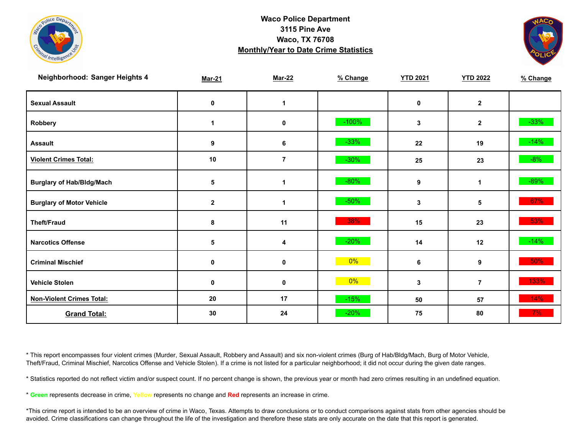



| Neighborhood: Sanger Heights 4   | <b>Mar-21</b> | <b>Mar-22</b>           | % Change | <b>YTD 2021</b> | <b>YTD 2022</b> | % Change |
|----------------------------------|---------------|-------------------------|----------|-----------------|-----------------|----------|
| <b>Sexual Assault</b>            | 0             | $\mathbf 1$             |          | 0               | $\mathbf{2}$    |          |
| Robbery                          | 1             | 0                       | $-100%$  | $\mathbf{3}$    | $\mathbf{2}$    | $-33%$   |
| <b>Assault</b>                   | 9             | 6                       | $-33%$   | 22              | 19              | $-14%$   |
| <b>Violent Crimes Total:</b>     | 10            | $\overline{\mathbf{7}}$ | $-30%$   | 25              | 23              | $-8%$    |
| <b>Burglary of Hab/Bldg/Mach</b> | $\sqrt{5}$    | $\mathbf{1}$            | $-80%$   | 9               | $\mathbf 1$     | $-89%$   |
| <b>Burglary of Motor Vehicle</b> | $\mathbf{2}$  | 1                       | $-50%$   | 3               | 5               | 67%      |
| <b>Theft/Fraud</b>               | 8             | 11                      | 38%      | 15              | 23              | 53%      |
| <b>Narcotics Offense</b>         | $\sqrt{5}$    | 4                       | $-20%$   | 14              | 12              | $-14%$   |
| <b>Criminal Mischief</b>         | $\mathbf 0$   | $\mathbf 0$             | $0\%$    | 6               | 9               | 50%      |
| <b>Vehicle Stolen</b>            | $\mathbf 0$   | $\pmb{0}$               | 0%       | 3               | $\overline{7}$  | 133%     |
| <b>Non-Violent Crimes Total:</b> | 20            | 17                      | $-15%$   | 50              | 57              | 14%      |
| <b>Grand Total:</b>              | 30            | 24                      | $-20%$   | 75              | 80              | $7\%$    |

\* This report encompasses four violent crimes (Murder, Sexual Assault, Robbery and Assault) and six non-violent crimes (Burg of Hab/Bldg/Mach, Burg of Motor Vehicle, Theft/Fraud, Criminal Mischief, Narcotics Offense and Vehicle Stolen). If a crime is not listed for a particular neighborhood; it did not occur during the given date ranges.

\* Statistics reported do not reflect victim and/or suspect count. If no percent change is shown, the previous year or month had zero crimes resulting in an undefined equation.

\* **Green** represents decrease in crime, **Yellow** represents no change and **Red** represents an increase in crime.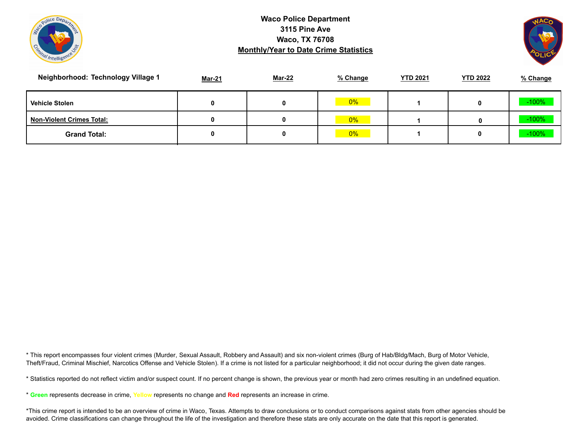



| Neighborhood: Technology Village 1 | <b>Mar-21</b> | Mar-22 | % Change | <b>YTD 2021</b> | <b>YTD 2022</b> | % Change |
|------------------------------------|---------------|--------|----------|-----------------|-----------------|----------|
| <b>Vehicle Stolen</b>              |               |        | 0%       |                 |                 | $-100%$  |
| <b>Non-Violent Crimes Total:</b>   | 0             |        | 0%       |                 | 0               | $-100%$  |
| <b>Grand Total:</b>                |               |        | 0%       |                 |                 | $-100%$  |

\* This report encompasses four violent crimes (Murder, Sexual Assault, Robbery and Assault) and six non-violent crimes (Burg of Hab/Bldg/Mach, Burg of Motor Vehicle, Theft/Fraud, Criminal Mischief, Narcotics Offense and Vehicle Stolen). If a crime is not listed for a particular neighborhood; it did not occur during the given date ranges.

\* Statistics reported do not reflect victim and/or suspect count. If no percent change is shown, the previous year or month had zero crimes resulting in an undefined equation.

\* **Green** represents decrease in crime, **Yellow** represents no change and **Red** represents an increase in crime.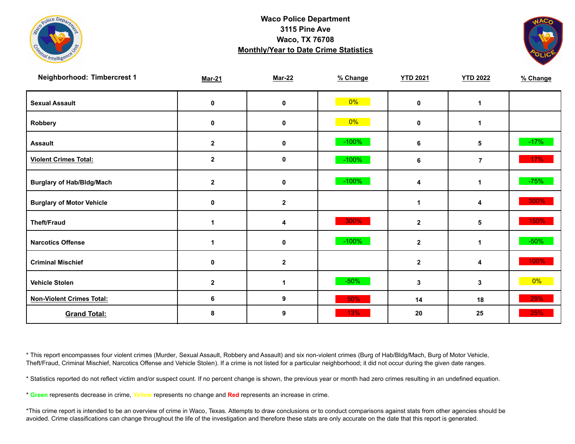



| Neighborhood: Timbercrest 1      | <b>Mar-21</b> | <b>Mar-22</b> | % Change | <b>YTD 2021</b> | <b>YTD 2022</b> | % Change |
|----------------------------------|---------------|---------------|----------|-----------------|-----------------|----------|
| <b>Sexual Assault</b>            | 0             | $\mathbf 0$   | $0\%$    | 0               | 1               |          |
| Robbery                          | 0             | 0             | $0\%$    | 0               | 1               |          |
| <b>Assault</b>                   | $\mathbf 2$   | 0             | $-100\%$ | 6               | 5               | $-17%$   |
| <b>Violent Crimes Total:</b>     | $\mathbf{2}$  | 0             | $-100%$  | 6               | $\overline{7}$  | $17\%$   |
| <b>Burglary of Hab/Bldg/Mach</b> | $\mathbf{2}$  | $\mathbf 0$   | $-100\%$ | 4               | 1               | $-75%$   |
| <b>Burglary of Motor Vehicle</b> | 0             | $\mathbf{2}$  |          | 1               | 4               | 300%     |
| <b>Theft/Fraud</b>               | 1             | 4             | 300%     | $\mathbf{2}$    | 5               | 150%     |
| <b>Narcotics Offense</b>         |               | $\mathbf 0$   | $-100%$  | $\mathbf{2}$    | 1               | $-50%$   |
| <b>Criminal Mischief</b>         | 0             | $\mathbf{2}$  |          | $\mathbf{2}$    | 4               | 100%     |
| <b>Vehicle Stolen</b>            | $\mathbf{2}$  | 1             | $-50%$   | 3               | 3               | $0\%$    |
| <b>Non-Violent Crimes Total:</b> | 6             | 9             | 50%      | 14              | 18              | 29%      |
| <b>Grand Total:</b>              | 8             | 9             | 13%      | 20              | 25              | 25%      |

\* This report encompasses four violent crimes (Murder, Sexual Assault, Robbery and Assault) and six non-violent crimes (Burg of Hab/Bldg/Mach, Burg of Motor Vehicle, Theft/Fraud, Criminal Mischief, Narcotics Offense and Vehicle Stolen). If a crime is not listed for a particular neighborhood; it did not occur during the given date ranges.

\* Statistics reported do not reflect victim and/or suspect count. If no percent change is shown, the previous year or month had zero crimes resulting in an undefined equation.

\* **Green** represents decrease in crime, **Yellow** represents no change and **Red** represents an increase in crime.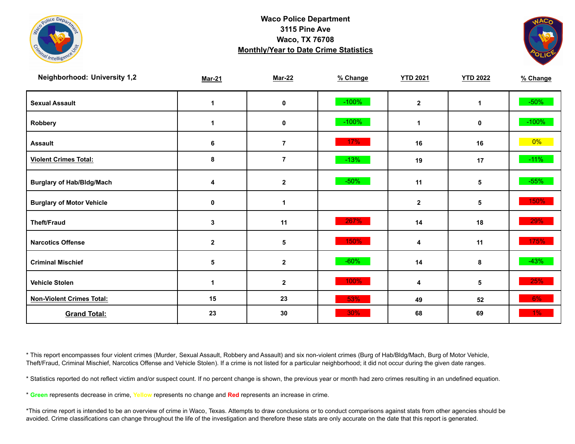



| <b>Neighborhood: University 1,2</b> | <b>Mar-21</b> | <b>Mar-22</b>  | % Change | <b>YTD 2021</b>      | <b>YTD 2022</b> | % Change |
|-------------------------------------|---------------|----------------|----------|----------------------|-----------------|----------|
| <b>Sexual Assault</b>               | 1             | 0              | $-100%$  | $\mathbf{2}$         | 1               | $-50\%$  |
| Robbery                             | 1             | 0              | $-100%$  | $\blacktriangleleft$ | 0               | $-100%$  |
| <b>Assault</b>                      | 6             | $\overline{7}$ | 17%      | 16                   | 16              | $0\%$    |
| <b>Violent Crimes Total:</b>        | 8             | $\bf 7$        | $-13%$   | 19                   | 17              | $-11%$   |
| <b>Burglary of Hab/Bldg/Mach</b>    | 4             | $\mathbf{2}$   | $-50%$   | 11                   | 5               | $-55%$   |
| <b>Burglary of Motor Vehicle</b>    | 0             | $\mathbf 1$    |          | $\mathbf{2}$         | 5               | 150%     |
| <b>Theft/Fraud</b>                  | 3             | 11             | 267%     | 14                   | 18              | $29\%$   |
| <b>Narcotics Offense</b>            | $\mathbf{2}$  | 5              | 150%     | 4                    | 11              | 175%     |
| <b>Criminal Mischief</b>            | $\sqrt{5}$    | $\mathbf{2}$   | $-60%$   | 14                   | 8               | $-43%$   |
| <b>Vehicle Stolen</b>               |               | $\mathbf 2$    | 100%     | 4                    | 5               | 25%      |
| <b>Non-Violent Crimes Total:</b>    | 15            | 23             | 53%      | 49                   | 52              | $6\%$    |
| <b>Grand Total:</b>                 | 23            | 30             | 30%      | 68                   | 69              | $1\%$    |

\* This report encompasses four violent crimes (Murder, Sexual Assault, Robbery and Assault) and six non-violent crimes (Burg of Hab/Bldg/Mach, Burg of Motor Vehicle, Theft/Fraud, Criminal Mischief, Narcotics Offense and Vehicle Stolen). If a crime is not listed for a particular neighborhood; it did not occur during the given date ranges.

\* Statistics reported do not reflect victim and/or suspect count. If no percent change is shown, the previous year or month had zero crimes resulting in an undefined equation.

\* **Green** represents decrease in crime, **Yellow** represents no change and **Red** represents an increase in crime.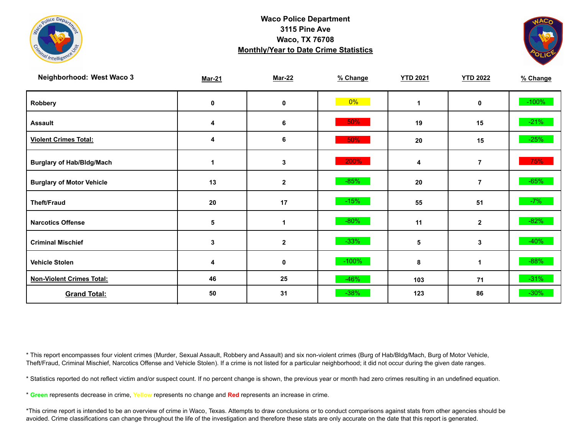



| Neighborhood: West Waco 3        | <b>Mar-21</b> | <b>Mar-22</b> | % Change | <b>YTD 2021</b> | <b>YTD 2022</b> | % Change |
|----------------------------------|---------------|---------------|----------|-----------------|-----------------|----------|
| Robbery                          | 0             | 0             | $0\%$    | 1               | 0               | $-100%$  |
| <b>Assault</b>                   | 4             | 6             | 50%      | 19              | 15              | $-21%$   |
| <b>Violent Crimes Total:</b>     | 4             | 6             | 50%      | 20              | 15              | $-25%$   |
| <b>Burglary of Hab/Bldg/Mach</b> |               | 3             | 200%     | 4               | $\overline{7}$  | 75%      |
| <b>Burglary of Motor Vehicle</b> | 13            | $\mathbf 2$   | $-85%$   | 20              | $\overline{7}$  | $-65%$   |
| <b>Theft/Fraud</b>               | 20            | 17            | $-15%$   | 55              | 51              | $-7%$    |
| <b>Narcotics Offense</b>         | 5             |               | $-80%$   | 11              | $\mathbf{2}$    | $-82%$   |
| <b>Criminal Mischief</b>         | 3             | $\mathbf 2$   | $-33%$   | 5               | 3               | $-40%$   |
| <b>Vehicle Stolen</b>            | 4             | 0             | $-100%$  | 8               | 1               | $-88%$   |
| <b>Non-Violent Crimes Total:</b> | 46            | 25            | $-46%$   | 103             | 71              | $-31%$   |
| <b>Grand Total:</b>              | 50            | 31            | $-38%$   | 123             | 86              | $-30%$   |

\* This report encompasses four violent crimes (Murder, Sexual Assault, Robbery and Assault) and six non-violent crimes (Burg of Hab/Bldg/Mach, Burg of Motor Vehicle, Theft/Fraud, Criminal Mischief, Narcotics Offense and Vehicle Stolen). If a crime is not listed for a particular neighborhood; it did not occur during the given date ranges.

\* Statistics reported do not reflect victim and/or suspect count. If no percent change is shown, the previous year or month had zero crimes resulting in an undefined equation.

\* **Green** represents decrease in crime, **Yellow** represents no change and **Red** represents an increase in crime.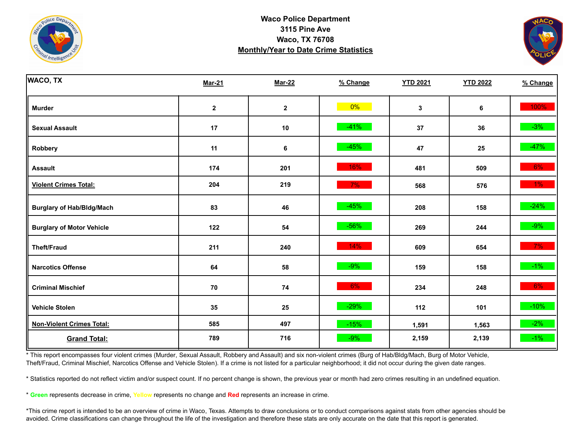



| <b>WACO, TX</b>                  | <b>Mar-21</b> | <b>Mar-22</b> | % Change | <b>YTD 2021</b> | <b>YTD 2022</b> | % Change |
|----------------------------------|---------------|---------------|----------|-----------------|-----------------|----------|
| <b>Murder</b>                    | $\mathbf 2$   | $\mathbf 2$   | $0\%$    | 3               | 6               | 100%     |
| <b>Sexual Assault</b>            | 17            | $10$          | $-41%$   | 37              | 36              | $-3%$    |
| Robbery                          | 11            | 6             | $-45%$   | 47              | 25              | $-47%$   |
| <b>Assault</b>                   | 174           | 201           | 16%      | 481             | 509             | 6%       |
| <b>Violent Crimes Total:</b>     | 204           | 219           | 7%       | 568             | 576             | $1\%$    |
| <b>Burglary of Hab/Bldg/Mach</b> | 83            | 46            | $-45%$   | 208             | 158             | $-24%$   |
| <b>Burglary of Motor Vehicle</b> | 122           | 54            | $-56%$   | 269             | 244             | $-9%$    |
| <b>Theft/Fraud</b>               | 211           | 240           | 14%      | 609             | 654             | 7%       |
| <b>Narcotics Offense</b>         | 64            | 58            | $-9%$    | 159             | 158             | $-1\%$   |
| <b>Criminal Mischief</b>         | ${\bf 70}$    | 74            | 6%       | 234             | 248             | 6%       |
| <b>Vehicle Stolen</b>            | 35            | 25            | $-29%$   | 112             | 101             | $-10%$   |
| <b>Non-Violent Crimes Total:</b> | 585           | 497           | $-15%$   | 1,591           | 1,563           | $-2%$    |
| <b>Grand Total:</b>              | 789           | 716           | $-9%$    | 2,159           | 2,139           | $-1\%$   |

\* This report encompasses four violent crimes (Murder, Sexual Assault, Robbery and Assault) and six non-violent crimes (Burg of Hab/Bldg/Mach, Burg of Motor Vehicle, Theft/Fraud, Criminal Mischief, Narcotics Offense and Vehicle Stolen). If a crime is not listed for a particular neighborhood; it did not occur during the given date ranges.

\* Statistics reported do not reflect victim and/or suspect count. If no percent change is shown, the previous year or month had zero crimes resulting in an undefined equation.

\* **Green** represents decrease in crime, **Yellow** represents no change and **Red** represents an increase in crime.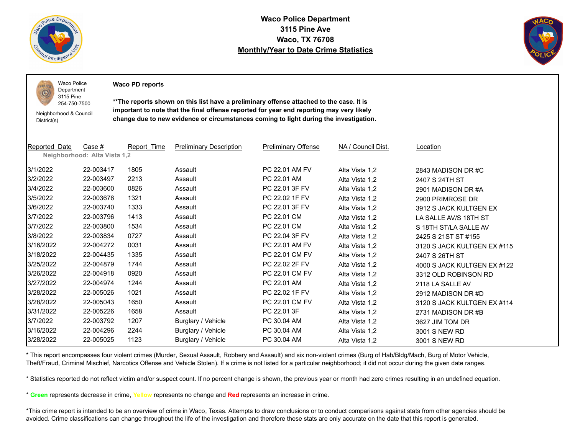

 $PQLI$ O

**Waco Police Department 3115 Pine Ave Waco, TX 76708 Monthly/Year to Date Crime Statistics**



Waco Police Department

**Waco PD reports**

254-750-7500 Neighborhood & Council District(s)

3115 Pine

**\*\*The reports shown on this list have a preliminary offense attached to the case. It is important to note that the final offense reported for year end reporting may very likely change due to new evidence or circumstances coming to light during the investigation.**

| <b>Reported Date</b> | Case #<br>Neighborhood: Alta Vista 1,2 | Report Time | <b>Preliminary Description</b> | <b>Preliminary Offense</b> | NA / Council Dist. | Location                    |
|----------------------|----------------------------------------|-------------|--------------------------------|----------------------------|--------------------|-----------------------------|
|                      |                                        |             |                                |                            |                    |                             |
| 3/1/2022             | 22-003417                              | 1805        | Assault                        | PC 22.01 AM FV             | Alta Vista 1,2     | 2843 MADISON DR#C           |
| 3/2/2022             | 22-003497                              | 2213        | Assault                        | PC 22.01 AM                | Alta Vista 1,2     | 2407 S 24TH ST              |
| 3/4/2022             | 22-003600                              | 0826        | Assault                        | PC 22.01 3F FV             | Alta Vista 1,2     | 2901 MADISON DR#A           |
| 3/5/2022             | 22-003676                              | 1321        | Assault                        | PC 22.02 1F FV             | Alta Vista 1,2     | 2900 PRIMROSE DR            |
| 3/6/2022             | 22-003740                              | 1333        | Assault                        | PC 22.01 3F FV             | Alta Vista 1,2     | 3912 S JACK KULTGEN EX      |
| 3/7/2022             | 22-003796                              | 1413        | Assault                        | PC 22.01 CM                | Alta Vista 1,2     | LA SALLE AV/S 18TH ST       |
| 3/7/2022             | 22-003800                              | 1534        | Assault                        | PC 22.01 CM                | Alta Vista 1,2     | S 18TH ST/LA SALLE AV       |
| 3/8/2022             | 22-003834                              | 0727        | Assault                        | PC 22.04 3F FV             | Alta Vista 1,2     | 2425 S 21ST ST #155         |
| 3/16/2022            | 22-004272                              | 0031        | Assault                        | PC 22.01 AM FV             | Alta Vista 1,2     | 3120 S JACK KULTGEN EX #115 |
| 3/18/2022            | 22-004435                              | 1335        | Assault                        | PC 22.01 CM FV             | Alta Vista 1,2     | 2407 S 26TH ST              |
| 3/25/2022            | 22-004879                              | 1744        | Assault                        | PC 22.02 2F FV             | Alta Vista 1,2     | 4000 S JACK KULTGEN EX #122 |
| 3/26/2022            | 22-004918                              | 0920        | Assault                        | PC 22.01 CM FV             | Alta Vista 1,2     | 3312 OLD ROBINSON RD        |
| 3/27/2022            | 22-004974                              | 1244        | Assault                        | PC 22.01 AM                | Alta Vista 1,2     | 2118 LA SALLE AV            |
| 3/28/2022            | 22-005026                              | 1021        | Assault                        | PC 22.02 1F FV             | Alta Vista 1,2     | 2912 MADISON DR #D          |
| 3/28/2022            | 22-005043                              | 1650        | Assault                        | PC 22.01 CM FV             | Alta Vista 1,2     | 3120 S JACK KULTGEN EX #114 |
| 3/31/2022            | 22-005226                              | 1658        | Assault                        | PC 22.01 3F                | Alta Vista 1,2     | 2731 MADISON DR #B          |
| 3/7/2022             | 22-003792                              | 1207        | Burglary / Vehicle             | PC 30.04 AM                | Alta Vista 1,2     | 3627 JIM TOM DR             |
| 3/16/2022            | 22-004296                              | 2244        | Burglary / Vehicle             | PC 30.04 AM                | Alta Vista 1,2     | 3001 S NEW RD               |
| 3/28/2022            | 22-005025                              | 1123        | Burglary / Vehicle             | PC 30.04 AM                | Alta Vista 1,2     | 3001 S NEW RD               |

\* This report encompasses four violent crimes (Murder, Sexual Assault, Robbery and Assault) and six non-violent crimes (Burg of Hab/Bldg/Mach, Burg of Motor Vehicle, Theft/Fraud, Criminal Mischief, Narcotics Offense and Vehicle Stolen). If a crime is not listed for a particular neighborhood; it did not occur during the given date ranges.

\* Statistics reported do not reflect victim and/or suspect count. If no percent change is shown, the previous year or month had zero crimes resulting in an undefined equation.

\* **Green** represents decrease in crime, **Yellow** represents no change and **Red** represents an increase in crime.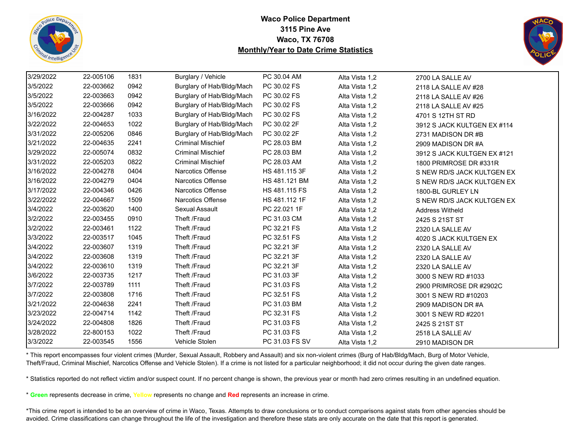



| 3/29/2022 | 22-005106 | 1831 | Burglary / Vehicle        | PC 30.04 AM    | Alta Vista 1,2 | 2700 LA SALLE AV            |
|-----------|-----------|------|---------------------------|----------------|----------------|-----------------------------|
| 3/5/2022  | 22-003662 | 0942 | Burglary of Hab/Bldg/Mach | PC 30.02 FS    | Alta Vista 1,2 | 2118 LA SALLE AV #28        |
| 3/5/2022  | 22-003663 | 0942 | Burglary of Hab/Bldg/Mach | PC 30.02 FS    | Alta Vista 1,2 | 2118 LA SALLE AV #26        |
| 3/5/2022  | 22-003666 | 0942 | Burglary of Hab/Bldg/Mach | PC 30.02 FS    | Alta Vista 1,2 | 2118 LA SALLE AV #25        |
| 3/16/2022 | 22-004287 | 1033 | Burglary of Hab/Bldg/Mach | PC 30.02 FS    | Alta Vista 1,2 | 4701 S 12TH ST RD           |
| 3/22/2022 | 22-004653 | 1022 | Burglary of Hab/Bldg/Mach | PC 30.02 2F    | Alta Vista 1,2 | 3912 S JACK KULTGEN EX #114 |
| 3/31/2022 | 22-005206 | 0846 | Burglary of Hab/Bldg/Mach | PC 30.02 2F    | Alta Vista 1,2 | 2731 MADISON DR #B          |
| 3/21/2022 | 22-004635 | 2241 | <b>Criminal Mischief</b>  | PC 28.03 BM    | Alta Vista 1,2 | 2909 MADISON DR #A          |
| 3/29/2022 | 22-005074 | 0832 | <b>Criminal Mischief</b>  | PC 28.03 BM    | Alta Vista 1,2 | 3912 S JACK KULTGEN EX #121 |
| 3/31/2022 | 22-005203 | 0822 | <b>Criminal Mischief</b>  | PC 28.03 AM    | Alta Vista 1,2 | 1800 PRIMROSE DR #331R      |
| 3/16/2022 | 22-004278 | 0404 | <b>Narcotics Offense</b>  | HS 481.115 3F  | Alta Vista 1,2 | S NEW RD/S JACK KULTGEN EX  |
| 3/16/2022 | 22-004279 | 0404 | <b>Narcotics Offense</b>  | HS 481.121 BM  | Alta Vista 1,2 | S NEW RD/S JACK KULTGEN EX  |
| 3/17/2022 | 22-004346 | 0426 | <b>Narcotics Offense</b>  | HS 481.115 FS  | Alta Vista 1,2 | 1800-BL GURLEY LN           |
| 3/22/2022 | 22-004667 | 1509 | <b>Narcotics Offense</b>  | HS 481.112 1F  | Alta Vista 1,2 | S NEW RD/S JACK KULTGEN EX  |
| 3/4/2022  | 22-003620 | 1400 | Sexual Assault            | PC 22.021 1F   | Alta Vista 1,2 | <b>Address Witheld</b>      |
| 3/2/2022  | 22-003455 | 0910 | Theft /Fraud              | PC 31.03 CM    | Alta Vista 1,2 | 2425 S 21ST ST              |
| 3/2/2022  | 22-003461 | 1122 | Theft /Fraud              | PC 32.21 FS    | Alta Vista 1,2 | 2320 LA SALLE AV            |
| 3/3/2022  | 22-003517 | 1045 | Theft /Fraud              | PC 32.51 FS    | Alta Vista 1,2 | 4020 S JACK KULTGEN EX      |
| 3/4/2022  | 22-003607 | 1319 | Theft /Fraud              | PC 32.21 3F    | Alta Vista 1,2 | 2320 LA SALLE AV            |
| 3/4/2022  | 22-003608 | 1319 | Theft /Fraud              | PC 32.21 3F    | Alta Vista 1,2 | 2320 LA SALLE AV            |
| 3/4/2022  | 22-003610 | 1319 | Theft /Fraud              | PC 32.21 3F    | Alta Vista 1,2 | 2320 LA SALLE AV            |
| 3/6/2022  | 22-003735 | 1217 | Theft /Fraud              | PC 31.03 3F    | Alta Vista 1,2 | 3000 S NEW RD #1033         |
| 3/7/2022  | 22-003789 | 1111 | Theft /Fraud              | PC 31.03 FS    | Alta Vista 1,2 | 2900 PRIMROSE DR #2902C     |
| 3/7/2022  | 22-003808 | 1716 | Theft /Fraud              | PC 32.51 FS    | Alta Vista 1,2 | 3001 S NEW RD #10203        |
| 3/21/2022 | 22-004638 | 2241 | Theft /Fraud              | PC 31.03 BM    | Alta Vista 1,2 | 2909 MADISON DR #A          |
| 3/23/2022 | 22-004714 | 1142 | Theft /Fraud              | PC 32.31 FS    | Alta Vista 1,2 | 3001 S NEW RD #2201         |
| 3/24/2022 | 22-004808 | 1826 | Theft /Fraud              | PC 31.03 FS    | Alta Vista 1,2 | 2425 S 21ST ST              |
| 3/28/2022 | 22-800153 | 1022 | Theft /Fraud              | PC 31.03 FS    | Alta Vista 1,2 | 2518 LA SALLE AV            |
| 3/3/2022  | 22-003545 | 1556 | Vehicle Stolen            | PC 31.03 FS SV | Alta Vista 1,2 | 2910 MADISON DR             |

\* This report encompasses four violent crimes (Murder, Sexual Assault, Robbery and Assault) and six non-violent crimes (Burg of Hab/Bldg/Mach, Burg of Motor Vehicle, Theft/Fraud, Criminal Mischief, Narcotics Offense and Vehicle Stolen). If a crime is not listed for a particular neighborhood; it did not occur during the given date ranges.

\* Statistics reported do not reflect victim and/or suspect count. If no percent change is shown, the previous year or month had zero crimes resulting in an undefined equation.

\* **Green** represents decrease in crime, **Yellow** represents no change and **Red** represents an increase in crime.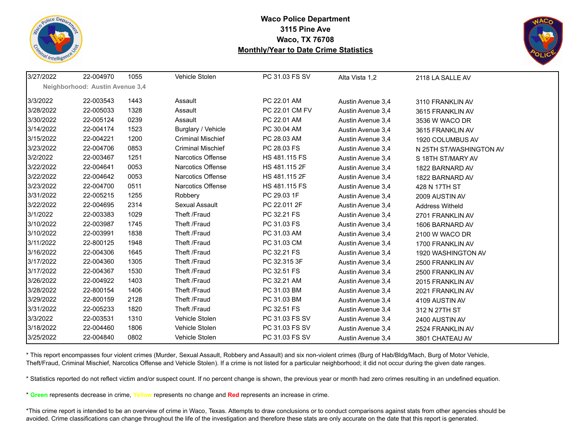



| 3/27/2022 | 22-004970                       | 1055 | Vehicle Stolen           | PC 31.03 FS SV | Alta Vista 1,2    | 2118 LA SALLE AV        |
|-----------|---------------------------------|------|--------------------------|----------------|-------------------|-------------------------|
|           | Neighborhood: Austin Avenue 3,4 |      |                          |                |                   |                         |
| 3/3/2022  | 22-003543                       | 1443 | Assault                  | PC 22.01 AM    | Austin Avenue 3,4 | 3110 FRANKLIN AV        |
| 3/28/2022 | 22-005033                       | 1328 | Assault                  | PC 22.01 CM FV | Austin Avenue 3,4 | 3615 FRANKLIN AV        |
| 3/30/2022 | 22-005124                       | 0239 | Assault                  | PC 22.01 AM    | Austin Avenue 3,4 | 3536 W WACO DR          |
| 3/14/2022 | 22-004174                       | 1523 | Burglary / Vehicle       | PC 30.04 AM    | Austin Avenue 3,4 | 3615 FRANKLIN AV        |
| 3/15/2022 | 22-004221                       | 1200 | <b>Criminal Mischief</b> | PC 28.03 AM    | Austin Avenue 3,4 | 1920 COLUMBUS AV        |
| 3/23/2022 | 22-004706                       | 0853 | <b>Criminal Mischief</b> | PC 28.03 FS    | Austin Avenue 3,4 | N 25TH ST/WASHINGTON AV |
| 3/2/2022  | 22-003467                       | 1251 | Narcotics Offense        | HS 481.115 FS  | Austin Avenue 3,4 | S 18TH ST/MARY AV       |
| 3/22/2022 | 22-004641                       | 0053 | Narcotics Offense        | HS 481.115 2F  | Austin Avenue 3,4 | 1822 BARNARD AV         |
| 3/22/2022 | 22-004642                       | 0053 | Narcotics Offense        | HS 481.115 2F  | Austin Avenue 3,4 | 1822 BARNARD AV         |
| 3/23/2022 | 22-004700                       | 0511 | Narcotics Offense        | HS 481.115 FS  | Austin Avenue 3,4 | 428 N 17TH ST           |
| 3/31/2022 | 22-005215                       | 1255 | Robbery                  | PC 29.03 1F    | Austin Avenue 3,4 | 2009 AUSTIN AV          |
| 3/22/2022 | 22-004695                       | 2314 | Sexual Assault           | PC 22.011 2F   | Austin Avenue 3,4 | <b>Address Witheld</b>  |
| 3/1/2022  | 22-003383                       | 1029 | Theft /Fraud             | PC 32.21 FS    | Austin Avenue 3,4 | 2701 FRANKLIN AV        |
| 3/10/2022 | 22-003987                       | 1745 | Theft /Fraud             | PC 31.03 FS    | Austin Avenue 3,4 | 1606 BARNARD AV         |
| 3/10/2022 | 22-003991                       | 1838 | Theft /Fraud             | PC 31.03 AM    | Austin Avenue 3,4 | 2100 W WACO DR          |
| 3/11/2022 | 22-800125                       | 1948 | Theft /Fraud             | PC 31.03 CM    | Austin Avenue 3,4 | 1700 FRANKLIN AV        |
| 3/16/2022 | 22-004306                       | 1645 | Theft /Fraud             | PC 32.21 FS    | Austin Avenue 3,4 | 1920 WASHINGTON AV      |
| 3/17/2022 | 22-004360                       | 1305 | Theft /Fraud             | PC 32.315 3F   | Austin Avenue 3,4 | 2500 FRANKLIN AV        |
| 3/17/2022 | 22-004367                       | 1530 | Theft /Fraud             | PC 32.51 FS    | Austin Avenue 3,4 | 2500 FRANKLIN AV        |
| 3/26/2022 | 22-004922                       | 1403 | Theft /Fraud             | PC 32.21 AM    | Austin Avenue 3,4 | 2015 FRANKLIN AV        |
| 3/28/2022 | 22-800154                       | 1406 | Theft /Fraud             | PC 31.03 BM    | Austin Avenue 3,4 | 2021 FRANKLIN AV        |
| 3/29/2022 | 22-800159                       | 2128 | Theft /Fraud             | PC 31.03 BM    | Austin Avenue 3,4 | 4109 AUSTIN AV          |
| 3/31/2022 | 22-005233                       | 1820 | Theft /Fraud             | PC 32.51 FS    | Austin Avenue 3,4 | 312 N 27TH ST           |
| 3/3/2022  | 22-003531                       | 1310 | Vehicle Stolen           | PC 31.03 FS SV | Austin Avenue 3,4 | 2400 AUSTIN AV          |
| 3/18/2022 | 22-004460                       | 1806 | Vehicle Stolen           | PC 31.03 FS SV | Austin Avenue 3,4 | 2524 FRANKLIN AV        |
| 3/25/2022 | 22-004840                       | 0802 | Vehicle Stolen           | PC 31.03 FS SV | Austin Avenue 3,4 | 3801 CHATEAU AV         |

\* This report encompasses four violent crimes (Murder, Sexual Assault, Robbery and Assault) and six non-violent crimes (Burg of Hab/Bldg/Mach, Burg of Motor Vehicle, Theft/Fraud, Criminal Mischief, Narcotics Offense and Vehicle Stolen). If a crime is not listed for a particular neighborhood; it did not occur during the given date ranges.

\* Statistics reported do not reflect victim and/or suspect count. If no percent change is shown, the previous year or month had zero crimes resulting in an undefined equation.

\* **Green** represents decrease in crime, **Yellow** represents no change and **Red** represents an increase in crime.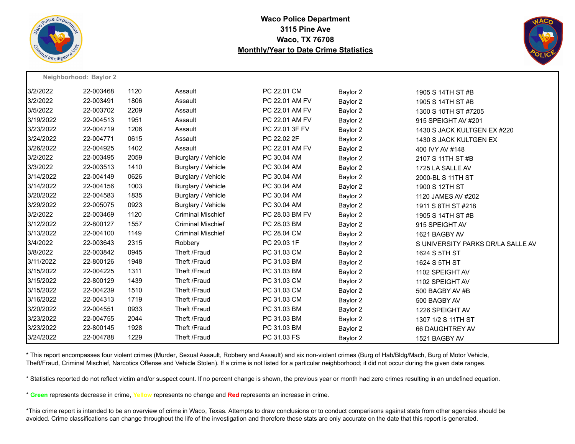



|           | Neighborhood: Baylor 2 |      |                          |                |          |                                   |
|-----------|------------------------|------|--------------------------|----------------|----------|-----------------------------------|
| 3/2/2022  | 22-003468              | 1120 | Assault                  | PC 22.01 CM    | Baylor 2 | 1905 S 14TH ST #B                 |
| 3/2/2022  | 22-003491              | 1806 | Assault                  | PC 22.01 AM FV | Baylor 2 | 1905 S 14TH ST #B                 |
| 3/5/2022  | 22-003702              | 2209 | Assault                  | PC 22.01 AM FV | Baylor 2 | 1300 S 10TH ST #7205              |
| 3/19/2022 | 22-004513              | 1951 | Assault                  | PC 22.01 AM FV | Baylor 2 | 915 SPEIGHT AV #201               |
| 3/23/2022 | 22-004719              | 1206 | Assault                  | PC 22.01 3F FV | Baylor 2 | 1430 S JACK KULTGEN EX #220       |
| 3/24/2022 | 22-004771              | 0615 | Assault                  | PC 22.02 2F    | Baylor 2 | 1430 S JACK KULTGEN EX            |
| 3/26/2022 | 22-004925              | 1402 | Assault                  | PC 22.01 AM FV | Baylor 2 | 400 IVY AV #148                   |
| 3/2/2022  | 22-003495              | 2059 | Burglary / Vehicle       | PC 30.04 AM    | Baylor 2 | 2107 S 11TH ST #B                 |
| 3/3/2022  | 22-003513              | 1410 | Burglary / Vehicle       | PC 30.04 AM    | Baylor 2 | 1725 LA SALLE AV                  |
| 3/14/2022 | 22-004149              | 0626 | Burglary / Vehicle       | PC 30.04 AM    | Baylor 2 | 2000-BL S 11TH ST                 |
| 3/14/2022 | 22-004156              | 1003 | Burglary / Vehicle       | PC 30.04 AM    | Baylor 2 | 1900 S 12TH ST                    |
| 3/20/2022 | 22-004583              | 1835 | Burglary / Vehicle       | PC 30.04 AM    | Baylor 2 | 1120 JAMES AV #202                |
| 3/29/2022 | 22-005075              | 0923 | Burglary / Vehicle       | PC 30.04 AM    | Baylor 2 | 1911 S 8TH ST #218                |
| 3/2/2022  | 22-003469              | 1120 | <b>Criminal Mischief</b> | PC 28.03 BM FV | Baylor 2 | 1905 S 14TH ST #B                 |
| 3/12/2022 | 22-800127              | 1557 | <b>Criminal Mischief</b> | PC 28.03 BM    | Baylor 2 | 915 SPEIGHT AV                    |
| 3/13/2022 | 22-004100              | 1149 | <b>Criminal Mischief</b> | PC 28.04 CM    | Baylor 2 | 1621 BAGBY AV                     |
| 3/4/2022  | 22-003643              | 2315 | Robbery                  | PC 29.03 1F    | Baylor 2 | S UNIVERSITY PARKS DR/LA SALLE AV |
| 3/8/2022  | 22-003842              | 0945 | Theft /Fraud             | PC 31.03 CM    | Baylor 2 | 1624 S 5TH ST                     |
| 3/11/2022 | 22-800126              | 1948 | Theft /Fraud             | PC 31.03 BM    | Baylor 2 | 1624 S 5TH ST                     |
| 3/15/2022 | 22-004225              | 1311 | Theft /Fraud             | PC 31.03 BM    | Baylor 2 | 1102 SPEIGHT AV                   |
| 3/15/2022 | 22-800129              | 1439 | Theft /Fraud             | PC 31.03 CM    | Baylor 2 | 1102 SPEIGHT AV                   |
| 3/15/2022 | 22-004239              | 1510 | Theft /Fraud             | PC 31.03 CM    | Baylor 2 | 500 BAGBY AV #B                   |
| 3/16/2022 | 22-004313              | 1719 | Theft /Fraud             | PC 31.03 CM    | Baylor 2 | 500 BAGBY AV                      |
| 3/20/2022 | 22-004551              | 0933 | Theft /Fraud             | PC 31.03 BM    | Baylor 2 | 1226 SPEIGHT AV                   |
| 3/23/2022 | 22-004755              | 2044 | Theft /Fraud             | PC 31.03 BM    | Baylor 2 | 1307 1/2 S 11TH ST                |
| 3/23/2022 | 22-800145              | 1928 | Theft /Fraud             | PC 31.03 BM    | Baylor 2 | 66 DAUGHTREY AV                   |
| 3/24/2022 | 22-004788              | 1229 | Theft /Fraud             | PC 31.03 FS    | Baylor 2 | 1521 BAGBY AV                     |

\* This report encompasses four violent crimes (Murder, Sexual Assault, Robbery and Assault) and six non-violent crimes (Burg of Hab/Bldg/Mach, Burg of Motor Vehicle, Theft/Fraud, Criminal Mischief, Narcotics Offense and Vehicle Stolen). If a crime is not listed for a particular neighborhood; it did not occur during the given date ranges.

\* Statistics reported do not reflect victim and/or suspect count. If no percent change is shown, the previous year or month had zero crimes resulting in an undefined equation.

\* **Green** represents decrease in crime, **Yellow** represents no change and **Red** represents an increase in crime.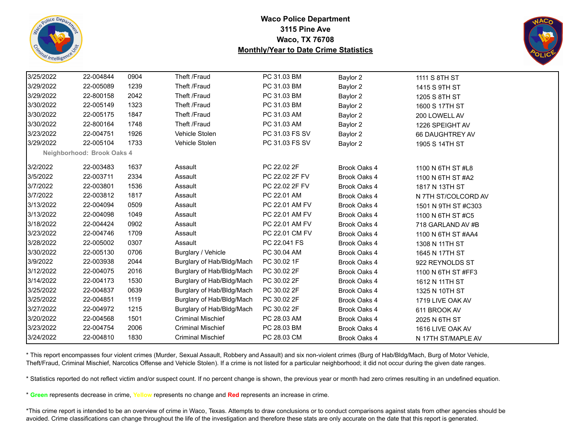



| 3/25/2022 | 22-004844                  | 0904 | Theft /Fraud              | PC 31.03 BM    | Baylor 2            | 1111 S 8TH ST       |  |
|-----------|----------------------------|------|---------------------------|----------------|---------------------|---------------------|--|
| 3/29/2022 | 22-005089                  | 1239 | Theft /Fraud              | PC 31.03 BM    | Baylor 2            | 1415 S 9TH ST       |  |
| 3/29/2022 | 22-800158                  | 2042 | Theft /Fraud              | PC 31.03 BM    | Baylor 2            | 1205 S 8TH ST       |  |
| 3/30/2022 | 22-005149                  | 1323 | Theft /Fraud              | PC 31.03 BM    | Baylor 2            | 1600 S 17TH ST      |  |
| 3/30/2022 | 22-005175                  | 1847 | Theft /Fraud              | PC 31.03 AM    | Baylor 2            | 200 LOWELL AV       |  |
| 3/30/2022 | 22-800164                  | 1748 | Theft /Fraud              | PC 31.03 AM    | Baylor 2            | 1226 SPEIGHT AV     |  |
| 3/23/2022 | 22-004751                  | 1926 | Vehicle Stolen            | PC 31.03 FS SV | Baylor 2            | 66 DAUGHTREY AV     |  |
| 3/29/2022 | 22-005104                  | 1733 | Vehicle Stolen            | PC 31.03 FS SV | Baylor 2            | 1905 S 14TH ST      |  |
|           | Neighborhood: Brook Oaks 4 |      |                           |                |                     |                     |  |
| 3/2/2022  | 22-003483                  | 1637 | Assault                   | PC 22.02 2F    | Brook Oaks 4        | 1100 N 6TH ST #L8   |  |
| 3/5/2022  | 22-003711                  | 2334 | Assault                   | PC 22.02 2F FV | Brook Oaks 4        | 1100 N 6TH ST #A2   |  |
| 3/7/2022  | 22-003801                  | 1536 | Assault                   | PC 22.02 2F FV | Brook Oaks 4        | 1817 N 13TH ST      |  |
| 3/7/2022  | 22-003812                  | 1817 | Assault                   | PC 22.01 AM    | Brook Oaks 4        | N 7TH ST/COLCORD AV |  |
| 3/13/2022 | 22-004094                  | 0509 | Assault                   | PC 22.01 AM FV | Brook Oaks 4        | 1501 N 9TH ST #C303 |  |
| 3/13/2022 | 22-004098                  | 1049 | Assault                   | PC 22.01 AM FV | Brook Oaks 4        | 1100 N 6TH ST #C5   |  |
| 3/18/2022 | 22-004424                  | 0902 | Assault                   | PC 22.01 AM FV | Brook Oaks 4        | 718 GARLAND AV #B   |  |
| 3/23/2022 | 22-004746                  | 1709 | Assault                   | PC 22.01 CM FV | Brook Oaks 4        | 1100 N 6TH ST #AA4  |  |
| 3/28/2022 | 22-005002                  | 0307 | Assault                   | PC 22.041 FS   | Brook Oaks 4        | 1308 N 11TH ST      |  |
| 3/30/2022 | 22-005130                  | 0706 | Burglary / Vehicle        | PC 30.04 AM    | Brook Oaks 4        | 1645 N 17TH ST      |  |
| 3/9/2022  | 22-003938                  | 2044 | Burglary of Hab/Bldg/Mach | PC 30.02 1F    | Brook Oaks 4        | 922 REYNOLDS ST     |  |
| 3/12/2022 | 22-004075                  | 2016 | Burglary of Hab/Bldg/Mach | PC 30.02 2F    | Brook Oaks 4        | 1100 N 6TH ST #FF3  |  |
| 3/14/2022 | 22-004173                  | 1530 | Burglary of Hab/Bldg/Mach | PC 30.02 2F    | Brook Oaks 4        | 1612 N 11TH ST      |  |
| 3/25/2022 | 22-004837                  | 0639 | Burglary of Hab/Bldg/Mach | PC 30.02 2F    | Brook Oaks 4        | 1325 N 10TH ST      |  |
| 3/25/2022 | 22-004851                  | 1119 | Burglary of Hab/Bldg/Mach | PC 30.02 2F    | Brook Oaks 4        | 1719 LIVE OAK AV    |  |
| 3/27/2022 | 22-004972                  | 1215 | Burglary of Hab/Bldg/Mach | PC 30.02 2F    | Brook Oaks 4        | 611 BROOK AV        |  |
| 3/20/2022 | 22-004568                  | 1501 | <b>Criminal Mischief</b>  | PC 28.03 AM    | Brook Oaks 4        | 2025 N 6TH ST       |  |
| 3/23/2022 | 22-004754                  | 2006 | <b>Criminal Mischief</b>  | PC 28.03 BM    | Brook Oaks 4        | 1616 LIVE OAK AV    |  |
| 3/24/2022 | 22-004810                  | 1830 | <b>Criminal Mischief</b>  | PC 28.03 CM    | <b>Brook Oaks 4</b> | N 17TH ST/MAPLE AV  |  |

\* This report encompasses four violent crimes (Murder, Sexual Assault, Robbery and Assault) and six non-violent crimes (Burg of Hab/Bldg/Mach, Burg of Motor Vehicle, Theft/Fraud, Criminal Mischief, Narcotics Offense and Vehicle Stolen). If a crime is not listed for a particular neighborhood; it did not occur during the given date ranges.

\* Statistics reported do not reflect victim and/or suspect count. If no percent change is shown, the previous year or month had zero crimes resulting in an undefined equation.

\* **Green** represents decrease in crime, **Yellow** represents no change and **Red** represents an increase in crime.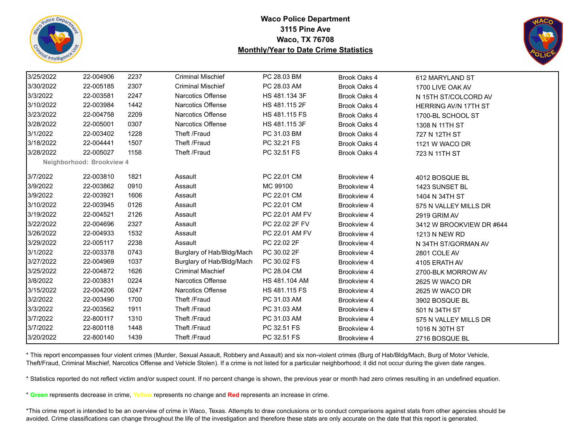



| 3/25/2022 | 22-004906                 | 2237 | <b>Criminal Mischief</b>  | PC 28.03 BM    | Brook Oaks 4       | 612 MARYLAND ST             |
|-----------|---------------------------|------|---------------------------|----------------|--------------------|-----------------------------|
| 3/30/2022 | 22-005185                 | 2307 | <b>Criminal Mischief</b>  | PC 28.03 AM    | Brook Oaks 4       | 1700 LIVE OAK AV            |
| 3/3/2022  | 22-003581                 | 2247 | <b>Narcotics Offense</b>  | HS 481.134 3F  | Brook Oaks 4       | N 15TH ST/COLCORD AV        |
| 3/10/2022 | 22-003984                 | 1442 | Narcotics Offense         | HS 481.115 2F  | Brook Oaks 4       | <b>HERRING AV/N 17TH ST</b> |
| 3/23/2022 | 22-004758                 | 2209 | Narcotics Offense         | HS 481.115 FS  | Brook Oaks 4       | 1700-BL SCHOOL ST           |
| 3/28/2022 | 22-005001                 | 0307 | <b>Narcotics Offense</b>  | HS 481.115 3F  | Brook Oaks 4       | 1308 N 11TH ST              |
| 3/1/2022  | 22-003402                 | 1228 | Theft /Fraud              | PC 31.03 BM    | Brook Oaks 4       | 727 N 12TH ST               |
| 3/18/2022 | 22-004441                 | 1507 | Theft /Fraud              | PC 32.21 FS    | Brook Oaks 4       | 1121 W WACO DR              |
| 3/28/2022 | 22-005027                 | 1158 | Theft /Fraud              | PC 32.51 FS    | Brook Oaks 4       | 723 N 11TH ST               |
|           | Neighborhood: Brookview 4 |      |                           |                |                    |                             |
| 3/7/2022  | 22-003810                 | 1821 | Assault                   | PC 22.01 CM    | Brookview 4        | 4012 BOSQUE BL              |
| 3/9/2022  | 22-003862                 | 0910 | Assault                   | MC 99100       | Brookview 4        | 1423 SUNSET BL              |
| 3/9/2022  | 22-003921                 | 1606 | Assault                   | PC 22.01 CM    | Brookview 4        | 1404 N 34TH ST              |
| 3/10/2022 | 22-003945                 | 0126 | Assault                   | PC 22.01 CM    | Brookview 4        | 575 N VALLEY MILLS DR       |
| 3/19/2022 | 22-004521                 | 2126 | Assault                   | PC 22.01 AM FV | Brookview 4        | 2919 GRIM AV                |
| 3/22/2022 | 22-004696                 | 2327 | Assault                   | PC 22.02 2F FV | Brookview 4        | 3412 W BROOKVIEW DR #644    |
| 3/26/2022 | 22-004933                 | 1532 | Assault                   | PC 22.01 AM FV | Brookview 4        | 1213 N NEW RD               |
| 3/29/2022 | 22-005117                 | 2238 | Assault                   | PC 22.02 2F    | Brookview 4        | N 34TH ST/GORMAN AV         |
| 3/1/2022  | 22-003378                 | 0743 | Burglary of Hab/Bldg/Mach | PC 30.02 2F    | Brookview 4        | 2801 COLE AV                |
| 3/27/2022 | 22-004969                 | 1037 | Burglary of Hab/Bldg/Mach | PC 30.02 FS    | Brookview 4        | 4105 ERATH AV               |
| 3/25/2022 | 22-004872                 | 1626 | <b>Criminal Mischief</b>  | PC 28.04 CM    | Brookview 4        | 2700-BLK MORROW AV          |
| 3/8/2022  | 22-003831                 | 0224 | <b>Narcotics Offense</b>  | HS 481.104 AM  | Brookview 4        | 2625 W WACO DR              |
| 3/15/2022 | 22-004206                 | 0247 | Narcotics Offense         | HS 481.115 FS  | <b>Brookview 4</b> | 2625 W WACO DR              |
| 3/2/2022  | 22-003490                 | 1700 | Theft /Fraud              | PC 31.03 AM    | Brookview 4        | 3902 BOSQUE BL              |
| 3/3/2022  | 22-003562                 | 1911 | Theft /Fraud              | PC 31.03 AM    | Brookview 4        | 501 N 34TH ST               |
| 3/7/2022  | 22-800117                 | 1310 | Theft /Fraud              | PC 31.03 AM    | Brookview 4        | 575 N VALLEY MILLS DR       |
| 3/7/2022  | 22-800118                 | 1448 | Theft /Fraud              | PC 32.51 FS    | Brookview 4        | 1016 N 30TH ST              |
| 3/20/2022 | 22-800140                 | 1439 | Theft /Fraud              | PC 32.51 FS    | Brookview 4        | 2716 BOSQUE BL              |

\* This report encompasses four violent crimes (Murder, Sexual Assault, Robbery and Assault) and six non-violent crimes (Burg of Hab/Bldg/Mach, Burg of Motor Vehicle, Theft/Fraud, Criminal Mischief, Narcotics Offense and Vehicle Stolen). If a crime is not listed for a particular neighborhood; it did not occur during the given date ranges.

\* Statistics reported do not reflect victim and/or suspect count. If no percent change is shown, the previous year or month had zero crimes resulting in an undefined equation.

\* **Green** represents decrease in crime, **Yellow** represents no change and **Red** represents an increase in crime.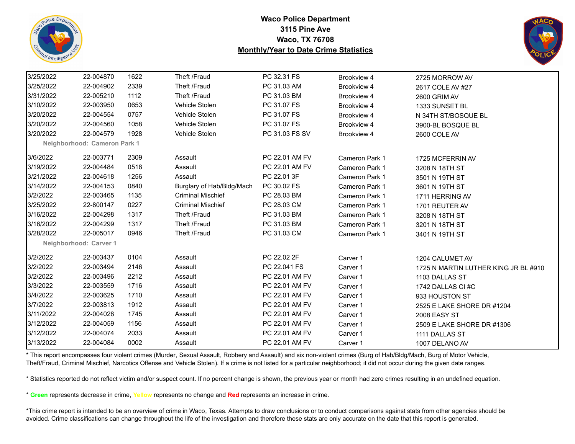



| 3/25/2022 | 22-004870                    | 1622 | Theft /Fraud              | PC 32.31 FS    | Brookview 4           | 2725 MORROW AV                       |
|-----------|------------------------------|------|---------------------------|----------------|-----------------------|--------------------------------------|
| 3/25/2022 | 22-004902                    | 2339 | Theft /Fraud              | PC 31.03 AM    | Brookview 4           | 2617 COLE AV #27                     |
| 3/31/2022 | 22-005210                    | 1112 | Theft /Fraud              | PC 31.03 BM    | Brookview 4           | 2600 GRIM AV                         |
| 3/10/2022 | 22-003950                    | 0653 | Vehicle Stolen            | PC 31.07 FS    | Brookview 4           | 1333 SUNSET BL                       |
| 3/20/2022 | 22-004554                    | 0757 | Vehicle Stolen            | PC 31.07 FS    | Brookview 4           | N 34TH ST/BOSQUE BL                  |
| 3/20/2022 | 22-004560                    | 1058 | Vehicle Stolen            | PC 31.07 FS    | Brookview 4           | 3900-BL BOSQUE BL                    |
| 3/20/2022 | 22-004579                    | 1928 | Vehicle Stolen            | PC 31.03 FS SV | Brookview 4           | 2600 COLE AV                         |
|           | Neighborhood: Cameron Park 1 |      |                           |                |                       |                                      |
| 3/6/2022  | 22-003771                    | 2309 | Assault                   | PC 22.01 AM FV | Cameron Park 1        | 1725 MCFERRIN AV                     |
| 3/19/2022 | 22-004484                    | 0518 | Assault                   | PC 22.01 AM FV | Cameron Park 1        | 3208 N 18TH ST                       |
| 3/21/2022 | 22-004618                    | 1256 | Assault                   | PC 22.01 3F    | Cameron Park 1        | 3501 N 19TH ST                       |
| 3/14/2022 | 22-004153                    | 0840 | Burglary of Hab/Bldg/Mach | PC 30.02 FS    | Cameron Park 1        | 3601 N 19TH ST                       |
| 3/2/2022  | 22-003465                    | 1135 | <b>Criminal Mischief</b>  | PC 28.03 BM    | Cameron Park 1        | 1711 HERRING AV                      |
| 3/25/2022 | 22-800147                    | 0227 | <b>Criminal Mischief</b>  | PC 28.03 CM    | <b>Cameron Park 1</b> | 1701 REUTER AV                       |
| 3/16/2022 | 22-004298                    | 1317 | Theft /Fraud              | PC 31.03 BM    | Cameron Park 1        | 3208 N 18TH ST                       |
| 3/16/2022 | 22-004299                    | 1317 | Theft /Fraud              | PC 31.03 BM    | Cameron Park 1        | 3201 N 18TH ST                       |
| 3/28/2022 | 22-005017                    | 0946 | Theft /Fraud              | PC 31.03 CM    | Cameron Park 1        | 3401 N 19TH ST                       |
|           | Neighborhood: Carver 1       |      |                           |                |                       |                                      |
| 3/2/2022  | 22-003437                    | 0104 | Assault                   | PC 22.02 2F    | Carver 1              | 1204 CALUMET AV                      |
| 3/2/2022  | 22-003494                    | 2146 | Assault                   | PC 22.041 FS   | Carver 1              | 1725 N MARTIN LUTHER KING JR BL #910 |
| 3/2/2022  | 22-003496                    | 2212 | Assault                   | PC 22.01 AM FV | Carver 1              | 1103 DALLAS ST                       |
| 3/3/2022  | 22-003559                    | 1716 | Assault                   | PC 22.01 AM FV | Carver 1              | 1742 DALLAS CI#C                     |
| 3/4/2022  | 22-003625                    | 1710 | Assault                   | PC 22.01 AM FV | Carver 1              | 933 HOUSTON ST                       |
| 3/7/2022  | 22-003813                    | 1912 | Assault                   | PC 22.01 AM FV | Carver 1              | 2525 E LAKE SHORE DR #1204           |
| 3/11/2022 | 22-004028                    | 1745 | Assault                   | PC 22.01 AM FV | Carver 1              | 2008 EASY ST                         |
| 3/12/2022 | 22-004059                    | 1156 | Assault                   | PC 22.01 AM FV | Carver 1              | 2509 E LAKE SHORE DR #1306           |
| 3/12/2022 | 22-004074                    | 2033 | Assault                   | PC 22.01 AM FV | Carver 1              | 1111 DALLAS ST                       |
| 3/13/2022 | 22-004084                    | 0002 | Assault                   | PC 22.01 AM FV | Carver 1              | 1007 DELANO AV                       |

\* This report encompasses four violent crimes (Murder, Sexual Assault, Robbery and Assault) and six non-violent crimes (Burg of Hab/Bldg/Mach, Burg of Motor Vehicle, Theft/Fraud, Criminal Mischief, Narcotics Offense and Vehicle Stolen). If a crime is not listed for a particular neighborhood; it did not occur during the given date ranges.

\* Statistics reported do not reflect victim and/or suspect count. If no percent change is shown, the previous year or month had zero crimes resulting in an undefined equation.

\* **Green** represents decrease in crime, **Yellow** represents no change and **Red** represents an increase in crime.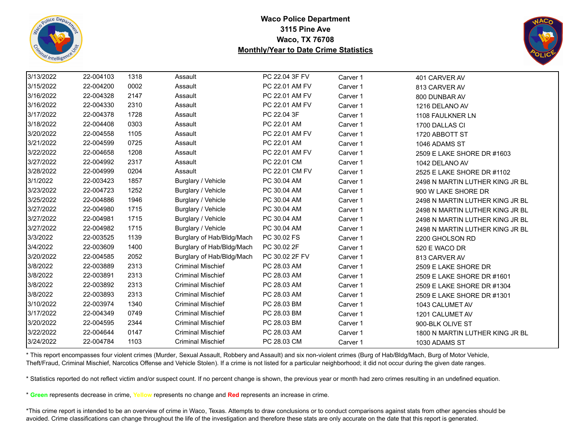



| 3/13/2022 | 22-004103 | 1318 | Assault                   | PC 22.04 3F FV | Carver 1 | 401 CARVER AV                   |
|-----------|-----------|------|---------------------------|----------------|----------|---------------------------------|
| 3/15/2022 | 22-004200 | 0002 | Assault                   | PC 22.01 AM FV | Carver 1 | 813 CARVER AV                   |
| 3/16/2022 | 22-004328 | 2147 | Assault                   | PC 22.01 AM FV | Carver 1 | 800 DUNBAR AV                   |
| 3/16/2022 | 22-004330 | 2310 | Assault                   | PC 22.01 AM FV | Carver 1 | 1216 DELANO AV                  |
| 3/17/2022 | 22-004378 | 1728 | Assault                   | PC 22.04 3F    | Carver 1 | 1108 FAULKNER LN                |
| 3/18/2022 | 22-004408 | 0303 | Assault                   | PC 22.01 AM    | Carver 1 | 1700 DALLAS CI                  |
| 3/20/2022 | 22-004558 | 1105 | Assault                   | PC 22.01 AM FV | Carver 1 | 1720 ABBOTT ST                  |
| 3/21/2022 | 22-004599 | 0725 | Assault                   | PC 22.01 AM    | Carver 1 | 1046 ADAMS ST                   |
| 3/22/2022 | 22-004658 | 1208 | Assault                   | PC 22.01 AM FV | Carver 1 | 2509 E LAKE SHORE DR #1603      |
| 3/27/2022 | 22-004992 | 2317 | Assault                   | PC 22.01 CM    | Carver 1 | 1042 DELANO AV                  |
| 3/28/2022 | 22-004999 | 0204 | Assault                   | PC 22.01 CM FV | Carver 1 | 2525 E LAKE SHORE DR #1102      |
| 3/1/2022  | 22-003423 | 1857 | Burglary / Vehicle        | PC 30.04 AM    | Carver 1 | 2498 N MARTIN LUTHER KING JR BL |
| 3/23/2022 | 22-004723 | 1252 | Burglary / Vehicle        | PC 30.04 AM    | Carver 1 | 900 W LAKE SHORE DR             |
| 3/25/2022 | 22-004886 | 1946 | Burglary / Vehicle        | PC 30.04 AM    | Carver 1 | 2498 N MARTIN LUTHER KING JR BL |
| 3/27/2022 | 22-004980 | 1715 | Burglary / Vehicle        | PC 30.04 AM    | Carver 1 | 2498 N MARTIN LUTHER KING JR BL |
| 3/27/2022 | 22-004981 | 1715 | Burglary / Vehicle        | PC 30.04 AM    | Carver 1 | 2498 N MARTIN LUTHER KING JR BL |
| 3/27/2022 | 22-004982 | 1715 | Burglary / Vehicle        | PC 30.04 AM    | Carver 1 | 2498 N MARTIN LUTHER KING JR BL |
| 3/3/2022  | 22-003525 | 1139 | Burglary of Hab/Bldg/Mach | PC 30.02 FS    | Carver 1 | 2200 GHOLSON RD                 |
| 3/4/2022  | 22-003609 | 1400 | Burglary of Hab/Bldg/Mach | PC 30.02 2F    | Carver 1 | 520 E WACO DR                   |
| 3/20/2022 | 22-004585 | 2052 | Burglary of Hab/Bldg/Mach | PC 30.02 2F FV | Carver 1 | 813 CARVER AV                   |
| 3/8/2022  | 22-003889 | 2313 | <b>Criminal Mischief</b>  | PC 28.03 AM    | Carver 1 | 2509 E LAKE SHORE DR            |
| 3/8/2022  | 22-003891 | 2313 | <b>Criminal Mischief</b>  | PC 28.03 AM    | Carver 1 | 2509 E LAKE SHORE DR #1601      |
| 3/8/2022  | 22-003892 | 2313 | <b>Criminal Mischief</b>  | PC 28.03 AM    | Carver 1 | 2509 E LAKE SHORE DR #1304      |
| 3/8/2022  | 22-003893 | 2313 | <b>Criminal Mischief</b>  | PC 28.03 AM    | Carver 1 | 2509 E LAKE SHORE DR #1301      |
| 3/10/2022 | 22-003974 | 1340 | <b>Criminal Mischief</b>  | PC 28.03 BM    | Carver 1 | 1043 CALUMET AV                 |
| 3/17/2022 | 22-004349 | 0749 | <b>Criminal Mischief</b>  | PC 28.03 BM    | Carver 1 | 1201 CALUMET AV                 |
| 3/20/2022 | 22-004595 | 2344 | <b>Criminal Mischief</b>  | PC 28.03 BM    | Carver 1 | 900-BLK OLIVE ST                |
| 3/22/2022 | 22-004644 | 0147 | <b>Criminal Mischief</b>  | PC 28.03 AM    | Carver 1 | 1800 N MARTIN LUTHER KING JR BL |
| 3/24/2022 | 22-004784 | 1103 | <b>Criminal Mischief</b>  | PC 28.03 CM    | Carver 1 | 1030 ADAMS ST                   |

\* This report encompasses four violent crimes (Murder, Sexual Assault, Robbery and Assault) and six non-violent crimes (Burg of Hab/Bldg/Mach, Burg of Motor Vehicle, Theft/Fraud, Criminal Mischief, Narcotics Offense and Vehicle Stolen). If a crime is not listed for a particular neighborhood; it did not occur during the given date ranges.

\* Statistics reported do not reflect victim and/or suspect count. If no percent change is shown, the previous year or month had zero crimes resulting in an undefined equation.

\* **Green** represents decrease in crime, **Yellow** represents no change and **Red** represents an increase in crime.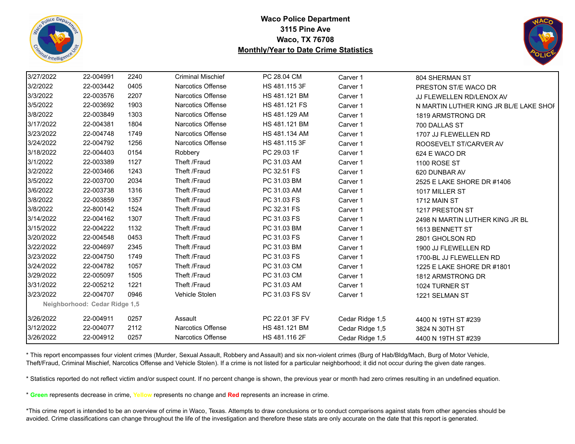



| 3/27/2022 | 22-004991                     | 2240 | <b>Criminal Mischief</b> | PC 28.04 CM    | Carver 1        | 804 SHERMAN ST                         |
|-----------|-------------------------------|------|--------------------------|----------------|-----------------|----------------------------------------|
| 3/2/2022  | 22-003442                     | 0405 | Narcotics Offense        | HS 481.115 3F  | Carver 1        | PRESTON ST/E WACO DR                   |
| 3/3/2022  | 22-003576                     | 2207 | <b>Narcotics Offense</b> | HS 481.121 BM  | Carver 1        | JJ FLEWELLEN RD/LENOX AV               |
| 3/5/2022  | 22-003692                     | 1903 | <b>Narcotics Offense</b> | HS 481.121 FS  | Carver 1        | N MARTIN LUTHER KING JR BL/E LAKE SHOF |
| 3/8/2022  | 22-003849                     | 1303 | <b>Narcotics Offense</b> | HS 481.129 AM  | Carver 1        | 1819 ARMSTRONG DR                      |
| 3/17/2022 | 22-004381                     | 1804 | Narcotics Offense        | HS 481.121 BM  | Carver 1        | 700 DALLAS ST                          |
| 3/23/2022 | 22-004748                     | 1749 | <b>Narcotics Offense</b> | HS 481.134 AM  | Carver 1        | 1707 JJ FLEWELLEN RD                   |
| 3/24/2022 | 22-004792                     | 1256 | Narcotics Offense        | HS 481.115 3F  | Carver 1        | ROOSEVELT ST/CARVER AV                 |
| 3/18/2022 | 22-004403                     | 0154 | Robbery                  | PC 29.03 1F    | Carver 1        | 624 E WACO DR                          |
| 3/1/2022  | 22-003389                     | 1127 | Theft /Fraud             | PC 31.03 AM    | Carver 1        | <b>1100 ROSE ST</b>                    |
| 3/2/2022  | 22-003466                     | 1243 | Theft /Fraud             | PC 32.51 FS    | Carver 1        | 620 DUNBAR AV                          |
| 3/5/2022  | 22-003700                     | 2034 | Theft /Fraud             | PC 31.03 BM    | Carver 1        | 2525 E LAKE SHORE DR #1406             |
| 3/6/2022  | 22-003738                     | 1316 | Theft /Fraud             | PC 31.03 AM    | Carver 1        | 1017 MILLER ST                         |
| 3/8/2022  | 22-003859                     | 1357 | Theft /Fraud             | PC 31.03 FS    | Carver 1        | 1712 MAIN ST                           |
| 3/8/2022  | 22-800142                     | 1524 | Theft /Fraud             | PC 32.31 FS    | Carver 1        | 1217 PRESTON ST                        |
| 3/14/2022 | 22-004162                     | 1307 | Theft /Fraud             | PC 31.03 FS    | Carver 1        | 2498 N MARTIN LUTHER KING JR BL        |
| 3/15/2022 | 22-004222                     | 1132 | Theft /Fraud             | PC 31.03 BM    | Carver 1        | 1613 BENNETT ST                        |
| 3/20/2022 | 22-004548                     | 0453 | Theft /Fraud             | PC 31.03 FS    | Carver 1        | 2801 GHOLSON RD                        |
| 3/22/2022 | 22-004697                     | 2345 | Theft /Fraud             | PC 31.03 BM    | Carver 1        | 1900 JJ FLEWELLEN RD                   |
| 3/23/2022 | 22-004750                     | 1749 | Theft /Fraud             | PC 31.03 FS    | Carver 1        | 1700-BL JJ FLEWELLEN RD                |
| 3/24/2022 | 22-004782                     | 1057 | Theft /Fraud             | PC 31.03 CM    | Carver 1        | 1225 E LAKE SHORE DR #1801             |
| 3/29/2022 | 22-005097                     | 1505 | Theft /Fraud             | PC 31.03 CM    | Carver 1        | 1812 ARMSTRONG DR                      |
| 3/31/2022 | 22-005212                     | 1221 | Theft /Fraud             | PC 31.03 AM    | Carver 1        | 1024 TURNER ST                         |
| 3/23/2022 | 22-004707                     | 0946 | Vehicle Stolen           | PC 31.03 FS SV | Carver 1        | 1221 SELMAN ST                         |
|           | Neighborhood: Cedar Ridge 1,5 |      |                          |                |                 |                                        |
| 3/26/2022 | 22-004911                     | 0257 | Assault                  | PC 22.01 3F FV | Cedar Ridge 1,5 | 4400 N 19TH ST #239                    |
| 3/12/2022 | 22-004077                     | 2112 | Narcotics Offense        | HS 481.121 BM  | Cedar Ridge 1,5 | 3824 N 30TH ST                         |
| 3/26/2022 | 22-004912                     | 0257 | Narcotics Offense        | HS 481.116 2F  | Cedar Ridge 1,5 | 4400 N 19TH ST #239                    |

\* This report encompasses four violent crimes (Murder, Sexual Assault, Robbery and Assault) and six non-violent crimes (Burg of Hab/Bldg/Mach, Burg of Motor Vehicle, Theft/Fraud, Criminal Mischief, Narcotics Offense and Vehicle Stolen). If a crime is not listed for a particular neighborhood; it did not occur during the given date ranges.

\* Statistics reported do not reflect victim and/or suspect count. If no percent change is shown, the previous year or month had zero crimes resulting in an undefined equation.

\* **Green** represents decrease in crime, **Yellow** represents no change and **Red** represents an increase in crime.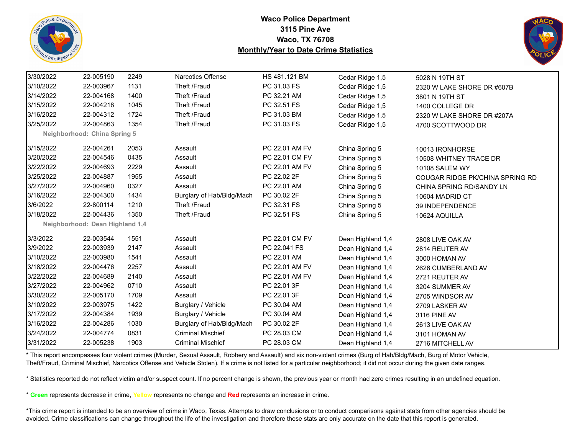



| 3/30/2022 | 22-005190                       | 2249 | <b>Narcotics Offense</b>  | HS 481.121 BM  | Cedar Ridge 1,5   | 5028 N 19TH ST                  |
|-----------|---------------------------------|------|---------------------------|----------------|-------------------|---------------------------------|
| 3/10/2022 | 22-003967                       | 1131 | Theft /Fraud              | PC 31.03 FS    | Cedar Ridge 1,5   | 2320 W LAKE SHORE DR #607B      |
| 3/14/2022 | 22-004168                       | 1400 | Theft /Fraud              | PC 32.21 AM    | Cedar Ridge 1,5   | 3801 N 19TH ST                  |
| 3/15/2022 | 22-004218                       | 1045 | Theft /Fraud              | PC 32.51 FS    | Cedar Ridge 1,5   | 1400 COLLEGE DR                 |
| 3/16/2022 | 22-004312                       | 1724 | Theft /Fraud              | PC 31.03 BM    | Cedar Ridge 1,5   | 2320 W LAKE SHORE DR #207A      |
| 3/25/2022 | 22-004863                       | 1354 | Theft /Fraud              | PC 31.03 FS    | Cedar Ridge 1,5   | 4700 SCOTTWOOD DR               |
|           | Neighborhood: China Spring 5    |      |                           |                |                   |                                 |
| 3/15/2022 | 22-004261                       | 2053 | Assault                   | PC 22.01 AM FV | China Spring 5    | 10013 IRONHORSE                 |
| 3/20/2022 | 22-004546                       | 0435 | Assault                   | PC 22.01 CM FV | China Spring 5    | 10508 WHITNEY TRACE DR          |
| 3/22/2022 | 22-004693                       | 2229 | Assault                   | PC 22.01 AM FV | China Spring 5    | <b>10108 SALEM WY</b>           |
| 3/25/2022 | 22-004887                       | 1955 | Assault                   | PC 22.02 2F    | China Spring 5    | COUGAR RIDGE PK/CHINA SPRING RD |
| 3/27/2022 | 22-004960                       | 0327 | Assault                   | PC 22.01 AM    | China Spring 5    | CHINA SPRING RD/SANDY LN        |
| 3/16/2022 | 22-004300                       | 1434 | Burglary of Hab/Bldg/Mach | PC 30.02 2F    | China Spring 5    | 10604 MADRID CT                 |
| 3/6/2022  | 22-800114                       | 1210 | Theft /Fraud              | PC 32.31 FS    | China Spring 5    | <b>39 INDEPENDENCE</b>          |
| 3/18/2022 | 22-004436                       | 1350 | Theft /Fraud              | PC 32.51 FS    | China Spring 5    | 10624 AQUILLA                   |
|           | Neighborhood: Dean Highland 1,4 |      |                           |                |                   |                                 |
| 3/3/2022  | 22-003544                       | 1551 | Assault                   | PC 22.01 CM FV | Dean Highland 1,4 | 2808 LIVE OAK AV                |
| 3/9/2022  | 22-003939                       | 2147 | Assault                   | PC 22.041 FS   | Dean Highland 1,4 | 2814 REUTER AV                  |
| 3/10/2022 | 22-003980                       | 1541 | Assault                   | PC 22.01 AM    | Dean Highland 1,4 | 3000 HOMAN AV                   |
| 3/18/2022 | 22-004476                       | 2257 | Assault                   | PC 22.01 AM FV | Dean Highland 1,4 | 2626 CUMBERLAND AV              |
| 3/22/2022 | 22-004689                       | 2140 | Assault                   | PC 22.01 AM FV | Dean Highland 1,4 | 2721 REUTER AV                  |
| 3/27/2022 | 22-004962                       | 0710 | Assault                   | PC 22.01 3F    | Dean Highland 1,4 | 3204 SUMMER AV                  |
| 3/30/2022 | 22-005170                       | 1709 | Assault                   | PC 22.01 3F    | Dean Highland 1,4 | 2705 WINDSOR AV                 |
| 3/10/2022 | 22-003975                       | 1422 | Burglary / Vehicle        | PC 30.04 AM    | Dean Highland 1,4 | 2709 LASKER AV                  |
| 3/17/2022 | 22-004384                       | 1939 | Burglary / Vehicle        | PC 30.04 AM    | Dean Highland 1,4 | 3116 PINE AV                    |
| 3/16/2022 | 22-004286                       | 1030 | Burglary of Hab/Bldg/Mach | PC 30.02 2F    | Dean Highland 1,4 | 2613 LIVE OAK AV                |
| 3/24/2022 | 22-004774                       | 0831 | <b>Criminal Mischief</b>  | PC 28.03 CM    | Dean Highland 1,4 | 3101 HOMAN AV                   |
| 3/31/2022 | 22-005238                       | 1903 | <b>Criminal Mischief</b>  | PC 28.03 CM    | Dean Highland 1,4 | 2716 MITCHELL AV                |
|           |                                 |      |                           |                |                   |                                 |

\* This report encompasses four violent crimes (Murder, Sexual Assault, Robbery and Assault) and six non-violent crimes (Burg of Hab/Bldg/Mach, Burg of Motor Vehicle, Theft/Fraud, Criminal Mischief, Narcotics Offense and Vehicle Stolen). If a crime is not listed for a particular neighborhood; it did not occur during the given date ranges.

\* Statistics reported do not reflect victim and/or suspect count. If no percent change is shown, the previous year or month had zero crimes resulting in an undefined equation.

\* **Green** represents decrease in crime, **Yellow** represents no change and **Red** represents an increase in crime.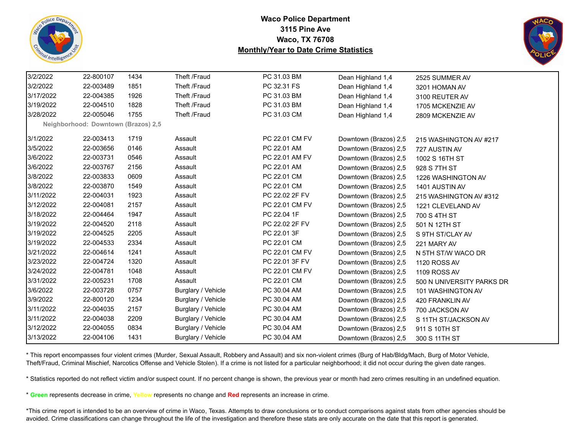



| 3/2/2022  | 22-800107                           | 1434 | Theft /Fraud       | PC 31.03 BM    | Dean Highland 1,4     | 2525 SUMMER AV            |
|-----------|-------------------------------------|------|--------------------|----------------|-----------------------|---------------------------|
| 3/2/2022  | 22-003489                           | 1851 | Theft /Fraud       | PC 32.31 FS    | Dean Highland 1,4     | 3201 HOMAN AV             |
| 3/17/2022 | 22-004385                           | 1926 | Theft /Fraud       | PC 31.03 BM    | Dean Highland 1,4     | 3100 REUTER AV            |
| 3/19/2022 | 22-004510                           | 1828 | Theft /Fraud       | PC 31.03 BM    | Dean Highland 1,4     | 1705 MCKENZIE AV          |
| 3/28/2022 | 22-005046                           | 1755 | Theft /Fraud       | PC 31.03 CM    | Dean Highland 1,4     | 2809 MCKENZIE AV          |
|           | Neighborhood: Downtown (Brazos) 2,5 |      |                    |                |                       |                           |
| 3/1/2022  | 22-003413                           | 1719 | Assault            | PC 22.01 CM FV | Downtown (Brazos) 2,5 | 215 WASHINGTON AV #217    |
| 3/5/2022  | 22-003656                           | 0146 | Assault            | PC 22.01 AM    | Downtown (Brazos) 2,5 | 727 AUSTIN AV             |
| 3/6/2022  | 22-003731                           | 0546 | Assault            | PC 22.01 AM FV | Downtown (Brazos) 2,5 | 1002 S 16TH ST            |
| 3/6/2022  | 22-003767                           | 2156 | Assault            | PC 22.01 AM    | Downtown (Brazos) 2,5 | 928 S 7TH ST              |
| 3/8/2022  | 22-003833                           | 0609 | Assault            | PC 22.01 CM    | Downtown (Brazos) 2,5 | 1226 WASHINGTON AV        |
| 3/8/2022  | 22-003870                           | 1549 | Assault            | PC 22.01 CM    | Downtown (Brazos) 2,5 | 1401 AUSTIN AV            |
| 3/11/2022 | 22-004031                           | 1923 | Assault            | PC 22.02 2F FV | Downtown (Brazos) 2,5 | 215 WASHINGTON AV #312    |
| 3/12/2022 | 22-004081                           | 2157 | Assault            | PC 22.01 CM FV | Downtown (Brazos) 2,5 | 1221 CLEVELAND AV         |
| 3/18/2022 | 22-004464                           | 1947 | Assault            | PC 22.04 1F    | Downtown (Brazos) 2,5 | 700 S 4TH ST              |
| 3/19/2022 | 22-004520                           | 2118 | Assault            | PC 22.02 2F FV | Downtown (Brazos) 2,5 | 501 N 12TH ST             |
| 3/19/2022 | 22-004525                           | 2205 | Assault            | PC 22.01 3F    | Downtown (Brazos) 2,5 | S 9TH ST/CLAY AV          |
| 3/19/2022 | 22-004533                           | 2334 | Assault            | PC 22.01 CM    | Downtown (Brazos) 2,5 | 221 MARY AV               |
| 3/21/2022 | 22-004614                           | 1241 | Assault            | PC 22.01 CM FV | Downtown (Brazos) 2,5 | N 5TH ST/W WACO DR        |
| 3/23/2022 | 22-004724                           | 1320 | Assault            | PC 22.01 3F FV | Downtown (Brazos) 2,5 | 1120 ROSS AV              |
| 3/24/2022 | 22-004781                           | 1048 | Assault            | PC 22.01 CM FV | Downtown (Brazos) 2,5 | 1109 ROSS AV              |
| 3/31/2022 | 22-005231                           | 1708 | Assault            | PC 22.01 CM    | Downtown (Brazos) 2,5 | 500 N UNIVERSITY PARKS DR |
| 3/6/2022  | 22-003728                           | 0757 | Burglary / Vehicle | PC 30.04 AM    | Downtown (Brazos) 2,5 | 101 WASHINGTON AV         |
| 3/9/2022  | 22-800120                           | 1234 | Burglary / Vehicle | PC 30.04 AM    | Downtown (Brazos) 2,5 | 420 FRANKLIN AV           |
| 3/11/2022 | 22-004035                           | 2157 | Burglary / Vehicle | PC 30.04 AM    | Downtown (Brazos) 2,5 | 700 JACKSON AV            |
| 3/11/2022 | 22-004038                           | 2209 | Burglary / Vehicle | PC 30.04 AM    | Downtown (Brazos) 2,5 | S 11TH ST/JACKSON AV      |
| 3/12/2022 | 22-004055                           | 0834 | Burglary / Vehicle | PC 30.04 AM    | Downtown (Brazos) 2,5 | 911 S 10TH ST             |
| 3/13/2022 | 22-004106                           | 1431 | Burglary / Vehicle | PC 30.04 AM    | Downtown (Brazos) 2,5 | 300 S 11TH ST             |

\* This report encompasses four violent crimes (Murder, Sexual Assault, Robbery and Assault) and six non-violent crimes (Burg of Hab/Bldg/Mach, Burg of Motor Vehicle, Theft/Fraud, Criminal Mischief, Narcotics Offense and Vehicle Stolen). If a crime is not listed for a particular neighborhood; it did not occur during the given date ranges.

\* Statistics reported do not reflect victim and/or suspect count. If no percent change is shown, the previous year or month had zero crimes resulting in an undefined equation.

\* **Green** represents decrease in crime, **Yellow** represents no change and **Red** represents an increase in crime.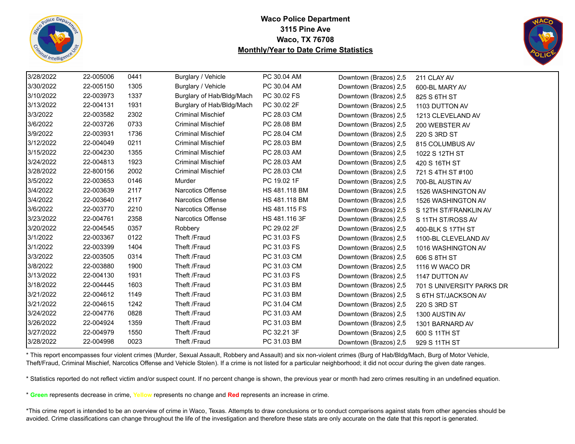



| 3/28/2022 | 22-005006 | 0441 | Burglary / Vehicle        | PC 30.04 AM   | Downtown (Brazos) 2,5 | 211 CLAY AV               |
|-----------|-----------|------|---------------------------|---------------|-----------------------|---------------------------|
| 3/30/2022 | 22-005150 | 1305 | Burglary / Vehicle        | PC 30.04 AM   | Downtown (Brazos) 2,5 | 600-BL MARY AV            |
| 3/10/2022 | 22-003973 | 1337 | Burglary of Hab/Bldg/Mach | PC 30.02 FS   | Downtown (Brazos) 2,5 | 825 S 6TH ST              |
| 3/13/2022 | 22-004131 | 1931 | Burglary of Hab/Bldg/Mach | PC 30.02 2F   | Downtown (Brazos) 2,5 | 1103 DUTTON AV            |
| 3/3/2022  | 22-003582 | 2302 | <b>Criminal Mischief</b>  | PC 28.03 CM   | Downtown (Brazos) 2,5 | 1213 CLEVELAND AV         |
| 3/6/2022  | 22-003726 | 0733 | <b>Criminal Mischief</b>  | PC 28.08 BM   | Downtown (Brazos) 2,5 | 200 WEBSTER AV            |
| 3/9/2022  | 22-003931 | 1736 | <b>Criminal Mischief</b>  | PC 28.04 CM   | Downtown (Brazos) 2,5 | 220 S 3RD ST              |
| 3/12/2022 | 22-004049 | 0211 | <b>Criminal Mischief</b>  | PC 28.03 BM   | Downtown (Brazos) 2,5 | 815 COLUMBUS AV           |
| 3/15/2022 | 22-004230 | 1355 | <b>Criminal Mischief</b>  | PC 28.03 AM   | Downtown (Brazos) 2,5 | 1022 S 12TH ST            |
| 3/24/2022 | 22-004813 | 1923 | <b>Criminal Mischief</b>  | PC 28.03 AM   | Downtown (Brazos) 2,5 | 420 S 16TH ST             |
| 3/28/2022 | 22-800156 | 2002 | <b>Criminal Mischief</b>  | PC 28.03 CM   | Downtown (Brazos) 2,5 | 721 S 4TH ST #100         |
| 3/5/2022  | 22-003653 | 0146 | Murder                    | PC 19.02 1F   | Downtown (Brazos) 2,5 | 700-BL AUSTIN AV          |
| 3/4/2022  | 22-003639 | 2117 | <b>Narcotics Offense</b>  | HS 481.118 BM | Downtown (Brazos) 2,5 | 1526 WASHINGTON AV        |
| 3/4/2022  | 22-003640 | 2117 | <b>Narcotics Offense</b>  | HS 481.118 BM | Downtown (Brazos) 2,5 | 1526 WASHINGTON AV        |
| 3/6/2022  | 22-003770 | 2210 | <b>Narcotics Offense</b>  | HS 481.115 FS | Downtown (Brazos) 2,5 | S 12TH ST/FRANKLIN AV     |
| 3/23/2022 | 22-004761 | 2358 | Narcotics Offense         | HS 481.116 3F | Downtown (Brazos) 2,5 | S 11TH ST/ROSS AV         |
| 3/20/2022 | 22-004545 | 0357 | Robbery                   | PC 29.02 2F   | Downtown (Brazos) 2,5 | 400-BLK S 17TH ST         |
| 3/1/2022  | 22-003367 | 0122 | Theft /Fraud              | PC 31.03 FS   | Downtown (Brazos) 2,5 | 1100-BL CLEVELAND AV      |
| 3/1/2022  | 22-003399 | 1404 | Theft /Fraud              | PC 31.03 FS   | Downtown (Brazos) 2,5 | 1016 WASHINGTON AV        |
| 3/3/2022  | 22-003505 | 0314 | Theft /Fraud              | PC 31.03 CM   | Downtown (Brazos) 2,5 | 606 S 8TH ST              |
| 3/8/2022  | 22-003880 | 1900 | Theft /Fraud              | PC 31.03 CM   | Downtown (Brazos) 2,5 | 1116 W WACO DR            |
| 3/13/2022 | 22-004130 | 1931 | Theft /Fraud              | PC 31.03 FS   | Downtown (Brazos) 2,5 | 1147 DUTTON AV            |
| 3/18/2022 | 22-004445 | 1603 | Theft /Fraud              | PC 31.03 BM   | Downtown (Brazos) 2,5 | 701 S UNIVERSITY PARKS DR |
| 3/21/2022 | 22-004612 | 1149 | Theft /Fraud              | PC 31.03 BM   | Downtown (Brazos) 2,5 | S 6TH ST/JACKSON AV       |
| 3/21/2022 | 22-004615 | 1242 | Theft /Fraud              | PC 31.04 CM   | Downtown (Brazos) 2,5 | 220 S 3RD ST              |
| 3/24/2022 | 22-004776 | 0828 | Theft /Fraud              | PC 31.03 AM   | Downtown (Brazos) 2,5 | 1300 AUSTIN AV            |
| 3/26/2022 | 22-004924 | 1359 | Theft /Fraud              | PC 31.03 BM   | Downtown (Brazos) 2,5 | 1301 BARNARD AV           |
| 3/27/2022 | 22-004979 | 1550 | Theft /Fraud              | PC 32.21 3F   | Downtown (Brazos) 2,5 | 600 S 11TH ST             |
| 3/28/2022 | 22-004998 | 0023 | Theft /Fraud              | PC 31.03 BM   | Downtown (Brazos) 2,5 | 929 S 11TH ST             |

\* This report encompasses four violent crimes (Murder, Sexual Assault, Robbery and Assault) and six non-violent crimes (Burg of Hab/Bldg/Mach, Burg of Motor Vehicle, Theft/Fraud, Criminal Mischief, Narcotics Offense and Vehicle Stolen). If a crime is not listed for a particular neighborhood; it did not occur during the given date ranges.

\* Statistics reported do not reflect victim and/or suspect count. If no percent change is shown, the previous year or month had zero crimes resulting in an undefined equation.

\* **Green** represents decrease in crime, **Yellow** represents no change and **Red** represents an increase in crime.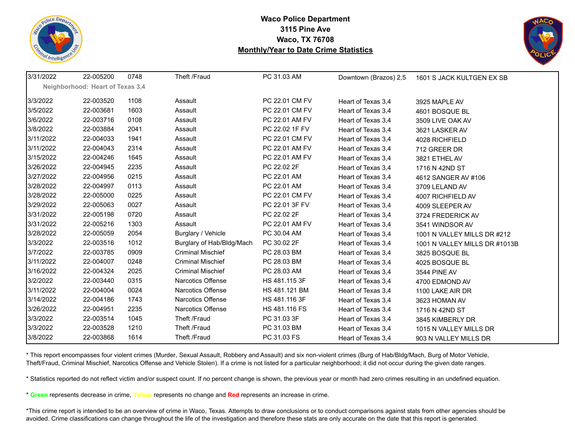



| 3/31/2022 | 22-005200                        | 0748 | Theft /Fraud              | PC 31.03 AM    | Downtown (Brazos) 2,5 | 1601 S JACK KULTGEN EX SB     |
|-----------|----------------------------------|------|---------------------------|----------------|-----------------------|-------------------------------|
|           | Neighborhood: Heart of Texas 3,4 |      |                           |                |                       |                               |
| 3/3/2022  | 22-003520                        | 1108 | Assault                   | PC 22.01 CM FV | Heart of Texas 3,4    | 3925 MAPLE AV                 |
| 3/5/2022  | 22-003681                        | 1603 | Assault                   | PC 22.01 CM FV | Heart of Texas 3.4    | 4601 BOSQUE BL                |
| 3/6/2022  | 22-003716                        | 0108 | Assault                   | PC 22.01 AM FV | Heart of Texas 3,4    | 3509 LIVE OAK AV              |
| 3/8/2022  | 22-003884                        | 2041 | Assault                   | PC 22.02 1F FV | Heart of Texas 3,4    | 3621 LASKER AV                |
| 3/11/2022 | 22-004033                        | 1941 | Assault                   | PC 22.01 CM FV | Heart of Texas 3,4    | 4028 RICHFIELD                |
| 3/11/2022 | 22-004043                        | 2314 | Assault                   | PC 22.01 AM FV | Heart of Texas 3,4    | 712 GREER DR                  |
| 3/15/2022 | 22-004246                        | 1645 | Assault                   | PC 22.01 AM FV | Heart of Texas 3,4    | 3821 ETHEL AV                 |
| 3/26/2022 | 22-004945                        | 2235 | Assault                   | PC 22.02 2F    | Heart of Texas 3,4    | 1716 N 42ND ST                |
| 3/27/2022 | 22-004956                        | 0215 | Assault                   | PC 22.01 AM    | Heart of Texas 3,4    | 4612 SANGER AV #106           |
| 3/28/2022 | 22-004997                        | 0113 | Assault                   | PC 22.01 AM    | Heart of Texas 3,4    | 3709 LELAND AV                |
| 3/28/2022 | 22-005000                        | 0225 | Assault                   | PC 22.01 CM FV | Heart of Texas 3,4    | 4007 RICHFIELD AV             |
| 3/29/2022 | 22-005063                        | 0027 | Assault                   | PC 22.01 3F FV | Heart of Texas 3.4    | 4009 SLEEPER AV               |
| 3/31/2022 | 22-005198                        | 0720 | Assault                   | PC 22.02 2F    | Heart of Texas 3,4    | 3724 FREDERICK AV             |
| 3/31/2022 | 22-005216                        | 1303 | Assault                   | PC 22.01 AM FV | Heart of Texas 3,4    | 3541 WINDSOR AV               |
| 3/28/2022 | 22-005059                        | 2054 | Burglary / Vehicle        | PC 30.04 AM    | Heart of Texas 3,4    | 1001 N VALLEY MILLS DR #212   |
| 3/3/2022  | 22-003516                        | 1012 | Burglary of Hab/Bldg/Mach | PC 30.02 2F    | Heart of Texas 3,4    | 1001 N VALLEY MILLS DR #1013B |
| 3/7/2022  | 22-003785                        | 0909 | <b>Criminal Mischief</b>  | PC 28.03 BM    | Heart of Texas 3,4    | 3825 BOSQUE BL                |
| 3/11/2022 | 22-004007                        | 0248 | <b>Criminal Mischief</b>  | PC 28.03 BM    | Heart of Texas 3,4    | 4025 BOSQUE BL                |
| 3/16/2022 | 22-004324                        | 2025 | <b>Criminal Mischief</b>  | PC 28.03 AM    | Heart of Texas 3,4    | 3544 PINE AV                  |
| 3/2/2022  | 22-003440                        | 0315 | Narcotics Offense         | HS 481.115 3F  | Heart of Texas 3,4    | 4700 EDMOND AV                |
| 3/11/2022 | 22-004004                        | 0024 | Narcotics Offense         | HS 481.121 BM  | Heart of Texas 3,4    | 1100 LAKE AIR DR              |
| 3/14/2022 | 22-004186                        | 1743 | <b>Narcotics Offense</b>  | HS 481.116 3F  | Heart of Texas 3,4    | 3623 HOMAN AV                 |
| 3/26/2022 | 22-004951                        | 2235 | Narcotics Offense         | HS 481.116 FS  | Heart of Texas 3,4    | 1716 N 42ND ST                |
| 3/3/2022  | 22-003514                        | 1045 | Theft /Fraud              | PC 31.03 3F    | Heart of Texas 3,4    | 3845 KIMBERLY DR              |
| 3/3/2022  | 22-003528                        | 1210 | Theft /Fraud              | PC 31.03 BM    | Heart of Texas 3,4    | 1015 N VALLEY MILLS DR        |
| 3/8/2022  | 22-003868                        | 1614 | Theft /Fraud              | PC 31.03 FS    | Heart of Texas 3.4    | 903 N VALLEY MILLS DR         |

\* This report encompasses four violent crimes (Murder, Sexual Assault, Robbery and Assault) and six non-violent crimes (Burg of Hab/Bldg/Mach, Burg of Motor Vehicle, Theft/Fraud, Criminal Mischief, Narcotics Offense and Vehicle Stolen). If a crime is not listed for a particular neighborhood; it did not occur during the given date ranges.

\* Statistics reported do not reflect victim and/or suspect count. If no percent change is shown, the previous year or month had zero crimes resulting in an undefined equation.

\* **Green** represents decrease in crime, **Yellow** represents no change and **Red** represents an increase in crime.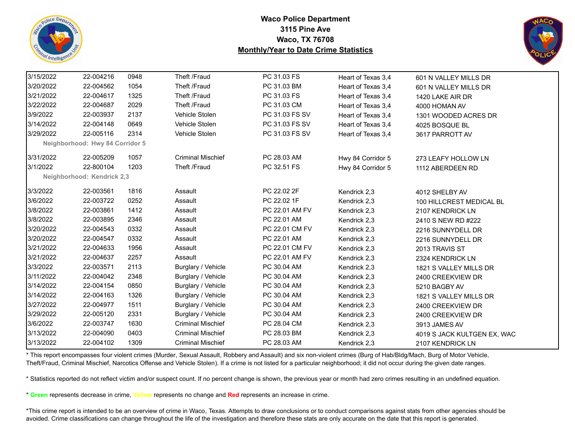



| 3/15/2022 | 22-004216                       | 0948 | Theft /Fraud             | PC 31.03 FS    | Heart of Texas 3,4 | 601 N VALLEY MILLS DR       |
|-----------|---------------------------------|------|--------------------------|----------------|--------------------|-----------------------------|
| 3/20/2022 | 22-004562                       | 1054 | Theft /Fraud             | PC 31.03 BM    | Heart of Texas 3,4 | 601 N VALLEY MILLS DR       |
| 3/21/2022 | 22-004617                       | 1325 | Theft /Fraud             | PC 31.03 FS    | Heart of Texas 3,4 | 1420 LAKE AIR DR            |
| 3/22/2022 | 22-004687                       | 2029 | Theft /Fraud             | PC 31.03 CM    | Heart of Texas 3.4 | 4000 HOMAN AV               |
| 3/9/2022  | 22-003937                       | 2137 | Vehicle Stolen           | PC 31.03 FS SV | Heart of Texas 3,4 | 1301 WOODED ACRES DR        |
| 3/14/2022 | 22-004148                       | 0649 | Vehicle Stolen           | PC 31.03 FS SV | Heart of Texas 3,4 | 4025 BOSQUE BL              |
| 3/29/2022 | 22-005116                       | 2314 | Vehicle Stolen           | PC 31.03 FS SV | Heart of Texas 3,4 | 3617 PARROTT AV             |
|           | Neighborhood: Hwy 84 Corridor 5 |      |                          |                |                    |                             |
| 3/31/2022 | 22-005209                       | 1057 | <b>Criminal Mischief</b> | PC 28.03 AM    | Hwy 84 Corridor 5  | 273 LEAFY HOLLOW LN         |
| 3/1/2022  | 22-800104                       | 1203 | Theft /Fraud             | PC 32.51 FS    | Hwy 84 Corridor 5  | 1112 ABERDEEN RD            |
|           | Neighborhood: Kendrick 2,3      |      |                          |                |                    |                             |
| 3/3/2022  | 22-003561                       | 1816 | Assault                  | PC 22.02 2F    | Kendrick 2,3       | 4012 SHELBY AV              |
| 3/6/2022  | 22-003722                       | 0252 | Assault                  | PC 22.02 1F    | Kendrick 2,3       | 100 HILLCREST MEDICAL BL    |
| 3/8/2022  | 22-003861                       | 1412 | Assault                  | PC 22.01 AM FV | Kendrick 2,3       | 2107 KENDRICK LN            |
| 3/8/2022  | 22-003895                       | 2346 | Assault                  | PC 22.01 AM    | Kendrick 2,3       | 2410 S NEW RD #222          |
| 3/20/2022 | 22-004543                       | 0332 | Assault                  | PC 22.01 CM FV | Kendrick 2,3       | 2216 SUNNYDELL DR           |
| 3/20/2022 | 22-004547                       | 0332 | Assault                  | PC 22.01 AM    | Kendrick 2,3       | 2216 SUNNYDELL DR           |
| 3/21/2022 | 22-004633                       | 1956 | Assault                  | PC 22.01 CM FV | Kendrick 2,3       | 2013 TRAVIS ST              |
| 3/21/2022 | 22-004637                       | 2257 | Assault                  | PC 22.01 AM FV | Kendrick 2,3       | 2324 KENDRICK LN            |
| 3/3/2022  | 22-003571                       | 2113 | Burglary / Vehicle       | PC 30.04 AM    | Kendrick 2,3       | 1821 S VALLEY MILLS DR      |
| 3/11/2022 | 22-004042                       | 2348 | Burglary / Vehicle       | PC 30.04 AM    | Kendrick 2,3       | 2400 CREEKVIEW DR           |
| 3/14/2022 | 22-004154                       | 0850 | Burglary / Vehicle       | PC 30.04 AM    | Kendrick 2,3       | 5210 BAGBY AV               |
| 3/14/2022 | 22-004163                       | 1326 | Burglary / Vehicle       | PC 30.04 AM    | Kendrick 2,3       | 1821 S VALLEY MILLS DR      |
| 3/27/2022 | 22-004977                       | 1511 | Burglary / Vehicle       | PC 30.04 AM    | Kendrick 2,3       | 2400 CREEKVIEW DR           |
| 3/29/2022 | 22-005120                       | 2331 | Burglary / Vehicle       | PC 30.04 AM    | Kendrick 2,3       | 2400 CREEKVIEW DR           |
| 3/6/2022  | 22-003747                       | 1630 | <b>Criminal Mischief</b> | PC 28.04 CM    | Kendrick 2,3       | 3913 JAMES AV               |
| 3/13/2022 | 22-004090                       | 0403 | <b>Criminal Mischief</b> | PC 28.03 BM    | Kendrick 2,3       | 4019 S JACK KULTGEN EX, WAC |
| 3/13/2022 | 22-004102                       | 1309 | <b>Criminal Mischief</b> | PC 28.03 AM    | Kendrick 2,3       | 2107 KENDRICK LN            |

\* This report encompasses four violent crimes (Murder, Sexual Assault, Robbery and Assault) and six non-violent crimes (Burg of Hab/Bldg/Mach, Burg of Motor Vehicle, Theft/Fraud, Criminal Mischief, Narcotics Offense and Vehicle Stolen). If a crime is not listed for a particular neighborhood; it did not occur during the given date ranges.

\* Statistics reported do not reflect victim and/or suspect count. If no percent change is shown, the previous year or month had zero crimes resulting in an undefined equation.

\* **Green** represents decrease in crime, **Yellow** represents no change and **Red** represents an increase in crime.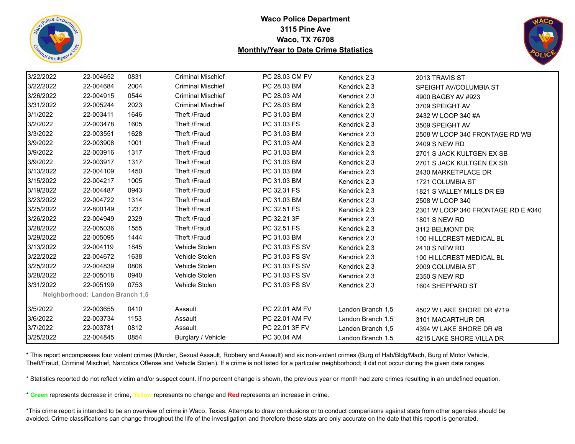



| 3/22/2022 | 22-004652                       | 0831 | <b>Criminal Mischief</b> | PC 28.03 CM FV | Kendrick 2,3      | 2013 TRAVIS ST                     |
|-----------|---------------------------------|------|--------------------------|----------------|-------------------|------------------------------------|
| 3/22/2022 | 22-004684                       | 2004 | <b>Criminal Mischief</b> | PC 28.03 BM    | Kendrick 2,3      | SPEIGHT AV/COLUMBIA ST             |
| 3/26/2022 | 22-004915                       | 0544 | <b>Criminal Mischief</b> | PC 28.03 AM    | Kendrick 2,3      | 4900 BAGBY AV #923                 |
| 3/31/2022 | 22-005244                       | 2023 | <b>Criminal Mischief</b> | PC 28.03 BM    | Kendrick 2,3      | 3709 SPEIGHT AV                    |
| 3/1/2022  | 22-003411                       | 1646 | Theft /Fraud             | PC 31.03 BM    | Kendrick 2,3      | 2432 W LOOP 340 #A                 |
| 3/2/2022  | 22-003478                       | 1605 | Theft /Fraud             | PC 31.03 FS    | Kendrick 2,3      | 3509 SPEIGHT AV                    |
| 3/3/2022  | 22-003551                       | 1628 | Theft /Fraud             | PC 31.03 BM    | Kendrick 2,3      | 2508 W LOOP 340 FRONTAGE RD WB     |
| 3/9/2022  | 22-003908                       | 1001 | Theft /Fraud             | PC 31.03 AM    | Kendrick 2,3      | 2409 S NEW RD                      |
| 3/9/2022  | 22-003916                       | 1317 | Theft /Fraud             | PC 31.03 BM    | Kendrick 2,3      | 2701 S JACK KULTGEN EX SB          |
| 3/9/2022  | 22-003917                       | 1317 | Theft /Fraud             | PC 31.03 BM    | Kendrick 2,3      | 2701 S JACK KULTGEN EX SB          |
| 3/13/2022 | 22-004109                       | 1450 | Theft /Fraud             | PC 31.03 BM    | Kendrick 2,3      | 2430 MARKETPLACE DR                |
| 3/15/2022 | 22-004217                       | 1005 | Theft /Fraud             | PC 31.03 BM    | Kendrick 2,3      | 1721 COLUMBIA ST                   |
| 3/19/2022 | 22-004487                       | 0943 | Theft /Fraud             | PC 32.31 FS    | Kendrick 2,3      | 1821 S VALLEY MILLS DR EB          |
| 3/23/2022 | 22-004722                       | 1314 | Theft /Fraud             | PC 31.03 BM    | Kendrick 2,3      | 2508 W LOOP 340                    |
| 3/25/2022 | 22-800149                       | 1237 | Theft /Fraud             | PC 32.51 FS    | Kendrick 2,3      | 2301 W LOOP 340 FRONTAGE RD E #340 |
| 3/26/2022 | 22-004949                       | 2329 | Theft /Fraud             | PC 32.21 3F    | Kendrick 2,3      | <b>1801 S NEW RD</b>               |
| 3/28/2022 | 22-005036                       | 1555 | Theft /Fraud             | PC 32.51 FS    | Kendrick 2,3      | 3112 BELMONT DR                    |
| 3/29/2022 | 22-005095                       | 1444 | Theft /Fraud             | PC 31.03 BM    | Kendrick 2,3      | 100 HILLCREST MEDICAL BL           |
| 3/13/2022 | 22-004119                       | 1845 | Vehicle Stolen           | PC 31.03 FS SV | Kendrick 2,3      | 2410 S NEW RD                      |
| 3/22/2022 | 22-004672                       | 1638 | Vehicle Stolen           | PC 31.03 FS SV | Kendrick 2,3      | 100 HILLCREST MEDICAL BL           |
| 3/25/2022 | 22-004839                       | 0806 | Vehicle Stolen           | PC 31.03 FS SV | Kendrick 2,3      | 2009 COLUMBIA ST                   |
| 3/28/2022 | 22-005018                       | 0940 | Vehicle Stolen           | PC 31.03 FS SV | Kendrick 2,3      | 2350 S NEW RD                      |
| 3/31/2022 | 22-005199                       | 0753 | Vehicle Stolen           | PC 31.03 FS SV | Kendrick 2,3      | 1604 SHEPPARD ST                   |
|           | Neighborhood: Landon Branch 1,5 |      |                          |                |                   |                                    |
| 3/5/2022  | 22-003655                       | 0410 | Assault                  | PC 22.01 AM FV | Landon Branch 1,5 | 4502 W LAKE SHORE DR #719          |
| 3/6/2022  | 22-003734                       | 1153 | Assault                  | PC 22.01 AM FV | Landon Branch 1,5 | 3101 MACARTHUR DR                  |
| 3/7/2022  | 22-003781                       | 0812 | Assault                  | PC 22.01 3F FV | Landon Branch 1,5 | 4394 W LAKE SHORE DR #B            |
| 3/25/2022 | 22-004845                       | 0854 | Burglary / Vehicle       | PC 30.04 AM    | Landon Branch 1,5 | 4215 LAKE SHORE VILLA DR           |

\* This report encompasses four violent crimes (Murder, Sexual Assault, Robbery and Assault) and six non-violent crimes (Burg of Hab/Bldg/Mach, Burg of Motor Vehicle, Theft/Fraud, Criminal Mischief, Narcotics Offense and Vehicle Stolen). If a crime is not listed for a particular neighborhood; it did not occur during the given date ranges.

\* Statistics reported do not reflect victim and/or suspect count. If no percent change is shown, the previous year or month had zero crimes resulting in an undefined equation.

\* **Green** represents decrease in crime, **Yellow** represents no change and **Red** represents an increase in crime.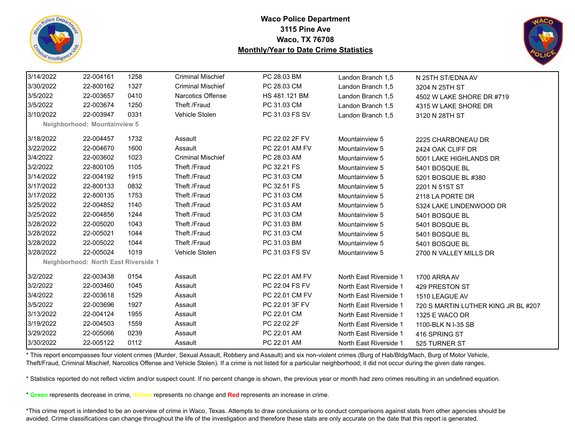



| 3/14/2022 | 22-004161                            | 1258 | <b>Criminal Mischief</b> | PC 28.03 BM    | Landon Branch 1,5      | N 25TH ST/EDNA AV                   |
|-----------|--------------------------------------|------|--------------------------|----------------|------------------------|-------------------------------------|
| 3/30/2022 | 22-800162                            | 1327 | <b>Criminal Mischief</b> | PC 28.03 CM    | Landon Branch 1,5      | 3204 N 25TH ST                      |
| 3/5/2022  | 22-003657                            | 0410 | Narcotics Offense        | HS 481.121 BM  | Landon Branch 1,5      | 4502 W LAKE SHORE DR #719           |
| 3/5/2022  | 22-003674                            | 1250 | Theft /Fraud             | PC 31.03 CM    | Landon Branch 1,5      | 4315 W LAKE SHORE DR                |
| 3/10/2022 | 22-003947                            | 0331 | Vehicle Stolen           | PC 31.03 FS SV | Landon Branch 1,5      | 3120 N 28TH ST                      |
|           | Neighborhood: Mountainview 5         |      |                          |                |                        |                                     |
| 3/18/2022 | 22-004457                            | 1732 | Assault                  | PC 22.02 2F FV | Mountainview 5         | 2225 CHARBONEAU DR                  |
| 3/22/2022 | 22-004670                            | 1600 | Assault                  | PC 22.01 AM FV | Mountainview 5         | 2424 OAK CLIFF DR                   |
| 3/4/2022  | 22-003602                            | 1023 | <b>Criminal Mischief</b> | PC 28.03 AM    | Mountainview 5         | 5001 LAKE HIGHLANDS DR              |
| 3/2/2022  | 22-800105                            | 1105 | Theft /Fraud             | PC 32.21 FS    | Mountainview 5         | 5401 BOSQUE BL                      |
| 3/14/2022 | 22-004192                            | 1915 | Theft /Fraud             | PC 31.03 CM    | Mountainview 5         | 5201 BOSQUE BL #380                 |
| 3/17/2022 | 22-800133                            | 0832 | Theft /Fraud             | PC 32.51 FS    | Mountainview 5         | 2201 N 51ST ST                      |
| 3/17/2022 | 22-800135                            | 1753 | Theft /Fraud             | PC 31.03 CM    | Mountainview 5         | 2118 LA PORTE DR                    |
| 3/25/2022 | 22-004852                            | 1140 | Theft /Fraud             | PC 31.03 AM    | Mountainview 5         | 5324 LAKE LINDENWOOD DR             |
| 3/25/2022 | 22-004856                            | 1244 | Theft /Fraud             | PC 31.03 CM    | Mountainview 5         | 5401 BOSQUE BL                      |
| 3/28/2022 | 22-005020                            | 1043 | Theft /Fraud             | PC 31.03 BM    | Mountainview 5         | 5401 BOSQUE BL                      |
| 3/28/2022 | 22-005021                            | 1044 | Theft /Fraud             | PC 31.03 CM    | Mountainview 5         | 5401 BOSQUE BL                      |
| 3/28/2022 | 22-005022                            | 1044 | Theft /Fraud             | PC 31.03 BM    | Mountainview 5         | 5401 BOSQUE BL                      |
| 3/28/2022 | 22-005024                            | 1019 | Vehicle Stolen           | PC 31.03 FS SV | Mountainview 5         | 2700 N VALLEY MILLS DR              |
|           | Neighborhood: North East Riverside 1 |      |                          |                |                        |                                     |
| 3/2/2022  | 22-003438                            | 0154 | Assault                  | PC 22.01 AM FV | North East Riverside 1 | 1700 ARRA AV                        |
| 3/2/2022  | 22-003460                            | 1045 | Assault                  | PC 22.04 FS FV | North East Riverside 1 | 429 PRESTON ST                      |
| 3/4/2022  | 22-003618                            | 1529 | Assault                  | PC 22.01 CM FV | North East Riverside 1 | 1510 LEAGUE AV                      |
| 3/5/2022  | 22-003696                            | 1927 | Assault                  | PC 22.01 3F FV | North East Riverside 1 | 720 S MARTIN LUTHER KING JR BL #207 |
| 3/13/2022 | 22-004124                            | 1955 | Assault                  | PC 22.01 CM    | North East Riverside 1 | 1325 E WACO DR                      |
| 3/19/2022 | 22-004503                            | 1559 | Assault                  | PC 22.02 2F    | North East Riverside 1 | 1100-BLK N I-35 SB                  |
| 3/29/2022 | 22-005066                            | 0239 | Assault                  | PC 22.01 AM    | North East Riverside 1 | 416 SPRING ST                       |
| 3/30/2022 | 22-005122                            | 0112 | Assault                  | PC 22.01 AM    | North East Riverside 1 | 525 TURNER ST                       |

\* This report encompasses four violent crimes (Murder, Sexual Assault, Robbery and Assault) and six non-violent crimes (Burg of Hab/Bldg/Mach, Burg of Motor Vehicle, Theft/Fraud, Criminal Mischief, Narcotics Offense and Vehicle Stolen). If a crime is not listed for a particular neighborhood; it did not occur during the given date ranges.

\* Statistics reported do not reflect victim and/or suspect count. If no percent change is shown, the previous year or month had zero crimes resulting in an undefined equation.

\* **Green** represents decrease in crime, **Yellow** represents no change and **Red** represents an increase in crime.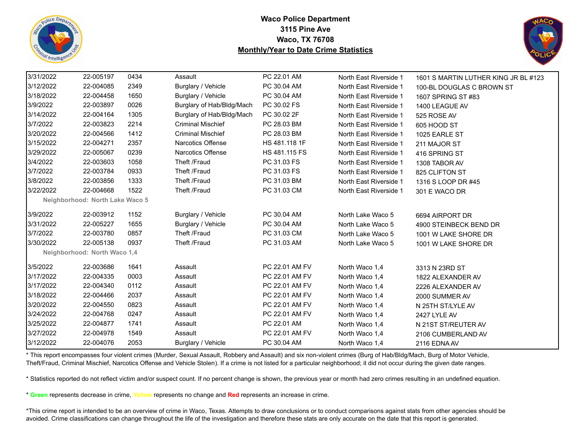



| 3/31/2022 | 22-005197                       | 0434 | Assault                   | PC 22.01 AM    | North East Riverside 1 | 1601 S MARTIN LUTHER KING JR BL #123 |
|-----------|---------------------------------|------|---------------------------|----------------|------------------------|--------------------------------------|
| 3/12/2022 | 22-004085                       | 2349 | Burglary / Vehicle        | PC 30.04 AM    | North East Riverside 1 | 100-BL DOUGLAS C BROWN ST            |
| 3/18/2022 | 22-004458                       | 1650 | Burglary / Vehicle        | PC 30.04 AM    | North East Riverside 1 | 1607 SPRING ST #83                   |
| 3/9/2022  | 22-003897                       | 0026 | Burglary of Hab/Bldg/Mach | PC 30.02 FS    | North East Riverside 1 | 1400 LEAGUE AV                       |
| 3/14/2022 | 22-004164                       | 1305 | Burglary of Hab/Bldg/Mach | PC 30.02 2F    | North East Riverside 1 | 525 ROSE AV                          |
| 3/7/2022  | 22-003823                       | 2214 | <b>Criminal Mischief</b>  | PC 28.03 BM    | North East Riverside 1 | 605 HOOD ST                          |
| 3/20/2022 | 22-004566                       | 1412 | <b>Criminal Mischief</b>  | PC 28.03 BM    | North East Riverside 1 | 1025 EARLE ST                        |
| 3/15/2022 | 22-004271                       | 2357 | Narcotics Offense         | HS 481.118 1F  | North East Riverside 1 | 211 MAJOR ST                         |
| 3/29/2022 | 22-005067                       | 0239 | <b>Narcotics Offense</b>  | HS 481.115 FS  | North East Riverside 1 | 416 SPRING ST                        |
| 3/4/2022  | 22-003603                       | 1058 | Theft /Fraud              | PC 31.03 FS    | North East Riverside 1 | 1308 TABOR AV                        |
| 3/7/2022  | 22-003784                       | 0933 | Theft /Fraud              | PC 31.03 FS    | North East Riverside 1 | 825 CLIFTON ST                       |
| 3/8/2022  | 22-003856                       | 1333 | Theft /Fraud              | PC 31.03 BM    | North East Riverside 1 | 1316 S LOOP DR #45                   |
| 3/22/2022 | 22-004668                       | 1522 | Theft /Fraud              | PC 31.03 CM    | North East Riverside 1 | 301 E WACO DR                        |
|           | Neighborhood: North Lake Waco 5 |      |                           |                |                        |                                      |
| 3/9/2022  | 22-003912                       | 1152 | Burglary / Vehicle        | PC 30.04 AM    | North Lake Waco 5      | 6694 AIRPORT DR                      |
| 3/31/2022 | 22-005227                       | 1655 | Burglary / Vehicle        | PC 30.04 AM    | North Lake Waco 5      | 4900 STEINBECK BEND DR               |
| 3/7/2022  | 22-003780                       | 0857 | Theft /Fraud              | PC 31.03 CM    | North Lake Waco 5      | 1001 W LAKE SHORE DR                 |
| 3/30/2022 | 22-005138                       | 0937 | Theft /Fraud              | PC 31.03 AM    | North Lake Waco 5      | 1001 W LAKE SHORE DR                 |
|           | Neighborhood: North Waco 1,4    |      |                           |                |                        |                                      |
| 3/5/2022  | 22-003686                       | 1641 | Assault                   | PC 22.01 AM FV | North Waco 1,4         | 3313 N 23RD ST                       |
| 3/17/2022 | 22-004335                       | 0003 | Assault                   | PC 22.01 AM FV | North Waco 1,4         | 1822 ALEXANDER AV                    |
| 3/17/2022 | 22-004340                       | 0112 | Assault                   | PC 22.01 AM FV | North Waco 1,4         | 2226 ALEXANDER AV                    |
| 3/18/2022 | 22-004466                       | 2037 | Assault                   | PC 22.01 AM FV | North Waco 1,4         | 2000 SUMMER AV                       |
| 3/20/2022 | 22-004550                       | 0823 | Assault                   | PC 22.01 AM FV | North Waco 1,4         | N 25TH ST/LYLE AV                    |
| 3/24/2022 | 22-004768                       | 0247 | Assault                   | PC 22.01 AM FV | North Waco 1,4         | 2427 LYLE AV                         |
| 3/25/2022 | 22-004877                       | 1741 | Assault                   | PC 22.01 AM    | North Waco 1,4         | N 21ST ST/REUTER AV                  |
| 3/27/2022 | 22-004978                       | 1549 | Assault                   | PC 22.01 AM FV | North Waco 1,4         | 2106 CUMBERLAND AV                   |
| 3/12/2022 | 22-004076                       | 2053 | Burglary / Vehicle        | PC 30.04 AM    | North Waco 1,4         | 2116 EDNA AV                         |

\* This report encompasses four violent crimes (Murder, Sexual Assault, Robbery and Assault) and six non-violent crimes (Burg of Hab/Bldg/Mach, Burg of Motor Vehicle, Theft/Fraud, Criminal Mischief, Narcotics Offense and Vehicle Stolen). If a crime is not listed for a particular neighborhood; it did not occur during the given date ranges.

\* Statistics reported do not reflect victim and/or suspect count. If no percent change is shown, the previous year or month had zero crimes resulting in an undefined equation.

\* **Green** represents decrease in crime, **Yellow** represents no change and **Red** represents an increase in crime.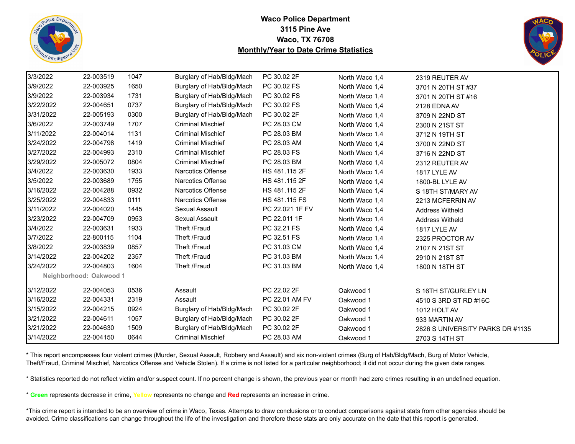



| 3/3/2022  | 22-003519               | 1047 | Burglary of Hab/Bldg/Mach | PC 30.02 2F     | North Waco 1,4 | 2319 REUTER AV                   |
|-----------|-------------------------|------|---------------------------|-----------------|----------------|----------------------------------|
| 3/9/2022  | 22-003925               | 1650 | Burglary of Hab/Bldg/Mach | PC 30.02 FS     | North Waco 1,4 | 3701 N 20TH ST #37               |
| 3/9/2022  | 22-003934               | 1731 | Burglary of Hab/Bldg/Mach | PC 30.02 FS     | North Waco 1.4 | 3701 N 20TH ST #16               |
| 3/22/2022 | 22-004651               | 0737 | Burglary of Hab/Bldg/Mach | PC 30.02 FS     | North Waco 1,4 | 2128 EDNA AV                     |
| 3/31/2022 | 22-005193               | 0300 | Burglary of Hab/Bldg/Mach | PC 30.02 2F     | North Waco 1,4 | 3709 N 22ND ST                   |
| 3/6/2022  | 22-003749               | 1707 | <b>Criminal Mischief</b>  | PC 28.03 CM     | North Waco 1,4 | 2300 N 21ST ST                   |
| 3/11/2022 | 22-004014               | 1131 | <b>Criminal Mischief</b>  | PC 28.03 BM     | North Waco 1,4 | 3712 N 19TH ST                   |
| 3/24/2022 | 22-004798               | 1419 | <b>Criminal Mischief</b>  | PC 28.03 AM     | North Waco 1,4 | 3700 N 22ND ST                   |
| 3/27/2022 | 22-004993               | 2310 | <b>Criminal Mischief</b>  | PC 28.03 FS     | North Waco 1,4 | 3716 N 22ND ST                   |
| 3/29/2022 | 22-005072               | 0804 | <b>Criminal Mischief</b>  | PC 28.03 BM     | North Waco 1,4 | 2312 REUTER AV                   |
| 3/4/2022  | 22-003630               | 1933 | Narcotics Offense         | HS 481.115 2F   | North Waco 1,4 | 1817 LYLE AV                     |
| 3/5/2022  | 22-003689               | 1755 | Narcotics Offense         | HS 481.115 2F   | North Waco 1,4 | 1800-BL LYLE AV                  |
| 3/16/2022 | 22-004288               | 0932 | <b>Narcotics Offense</b>  | HS 481.115 2F   | North Waco 1,4 | S 18TH ST/MARY AV                |
| 3/25/2022 | 22-004833               | 0111 | <b>Narcotics Offense</b>  | HS 481.115 FS   | North Waco 1,4 | 2213 MCFERRIN AV                 |
| 3/11/2022 | 22-004020               | 1445 | Sexual Assault            | PC 22.021 1F FV | North Waco 1,4 | <b>Address Witheld</b>           |
| 3/23/2022 | 22-004709               | 0953 | Sexual Assault            | PC 22.011 1F    | North Waco 1,4 | <b>Address Witheld</b>           |
| 3/4/2022  | 22-003631               | 1933 | Theft /Fraud              | PC 32.21 FS     | North Waco 1,4 | 1817 LYLE AV                     |
| 3/7/2022  | 22-800115               | 1104 | Theft /Fraud              | PC 32.51 FS     | North Waco 1,4 | 2325 PROCTOR AV                  |
| 3/8/2022  | 22-003839               | 0857 | Theft /Fraud              | PC 31.03 CM     | North Waco 1,4 | 2107 N 21ST ST                   |
| 3/14/2022 | 22-004202               | 2357 | Theft /Fraud              | PC 31.03 BM     | North Waco 1,4 | 2910 N 21ST ST                   |
| 3/24/2022 | 22-004803               | 1604 | Theft /Fraud              | PC 31.03 BM     | North Waco 1,4 | 1800 N 18TH ST                   |
|           | Neighborhood: Oakwood 1 |      |                           |                 |                |                                  |
| 3/12/2022 | 22-004053               | 0536 | Assault                   | PC 22.02 2F     | Oakwood 1      | S 16TH ST/GURLEY LN              |
| 3/16/2022 | 22-004331               | 2319 | Assault                   | PC 22.01 AM FV  | Oakwood 1      | 4510 S 3RD ST RD #16C            |
| 3/15/2022 | 22-004215               | 0924 | Burglary of Hab/Bldg/Mach | PC 30.02 2F     | Oakwood 1      | 1012 HOLT AV                     |
| 3/21/2022 | 22-004611               | 1057 | Burglary of Hab/Bldg/Mach | PC 30.02 2F     | Oakwood 1      | 933 MARTIN AV                    |
| 3/21/2022 | 22-004630               | 1509 | Burglary of Hab/Bldg/Mach | PC 30.02 2F     | Oakwood 1      | 2826 S UNIVERSITY PARKS DR #1135 |
| 3/14/2022 | 22-004150               | 0644 | <b>Criminal Mischief</b>  | PC 28.03 AM     | Oakwood 1      | 2703 S 14TH ST                   |

\* This report encompasses four violent crimes (Murder, Sexual Assault, Robbery and Assault) and six non-violent crimes (Burg of Hab/Bldg/Mach, Burg of Motor Vehicle, Theft/Fraud, Criminal Mischief, Narcotics Offense and Vehicle Stolen). If a crime is not listed for a particular neighborhood; it did not occur during the given date ranges.

\* Statistics reported do not reflect victim and/or suspect count. If no percent change is shown, the previous year or month had zero crimes resulting in an undefined equation.

\* **Green** represents decrease in crime, **Yellow** represents no change and **Red** represents an increase in crime.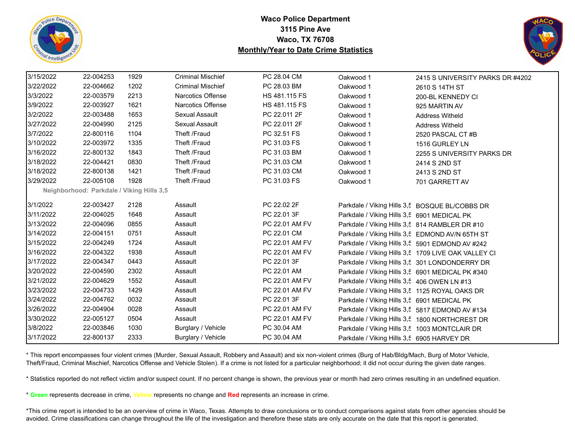



| 3/15/2022 | 22-004253 | 1929                                      | <b>Criminal Mischief</b> | PC 28.04 CM          | Oakwood 1                                       | 2415 S UNIVERSITY PARKS DR #4202                    |
|-----------|-----------|-------------------------------------------|--------------------------|----------------------|-------------------------------------------------|-----------------------------------------------------|
| 3/22/2022 | 22-004662 | 1202                                      | <b>Criminal Mischief</b> | PC 28.03 BM          | Oakwood 1                                       | 2610 S 14TH ST                                      |
| 3/3/2022  | 22-003579 | 2213                                      | Narcotics Offense        | <b>HS 481.115 FS</b> | Oakwood 1                                       | 200-BL KENNEDY CI                                   |
| 3/9/2022  | 22-003927 | 1621                                      | Narcotics Offense        | HS 481.115 FS        | Oakwood 1                                       | 925 MARTIN AV                                       |
| 3/2/2022  | 22-003488 | 1653                                      | Sexual Assault           | PC 22.011 2F         | Oakwood 1                                       | <b>Address Witheld</b>                              |
| 3/27/2022 | 22-004990 | 2125                                      | Sexual Assault           | PC 22.011 2F         | Oakwood 1                                       | <b>Address Witheld</b>                              |
| 3/7/2022  | 22-800116 | 1104                                      | Theft /Fraud             | PC 32.51 FS          | Oakwood 1                                       | 2520 PASCAL CT#B                                    |
| 3/10/2022 | 22-003972 | 1335                                      | Theft /Fraud             | PC 31.03 FS          | Oakwood 1                                       | 1516 GURLEY LN                                      |
| 3/16/2022 | 22-800132 | 1843                                      | Theft /Fraud             | PC 31.03 BM          | Oakwood 1                                       | 2255 S UNIVERSITY PARKS DR                          |
| 3/18/2022 | 22-004421 | 0830                                      | Theft /Fraud             | PC 31.03 CM          | Oakwood 1                                       | 2414 S 2ND ST                                       |
| 3/18/2022 | 22-800138 | 1421                                      | Theft /Fraud             | PC 31.03 CM          | Oakwood 1                                       | 2413 S 2ND ST                                       |
| 3/29/2022 | 22-005108 | 1928                                      | Theft /Fraud             | PC 31.03 FS          | Oakwood 1                                       | 701 GARRETT AV                                      |
|           |           | Neighborhood: Parkdale / Viking Hills 3,5 |                          |                      |                                                 |                                                     |
| 3/1/2022  | 22-003427 | 2128                                      | Assault                  | PC 22.02 2F          |                                                 | Parkdale / Viking Hills 3,5 BOSQUE BL/COBBS DR      |
| 3/11/2022 | 22-004025 | 1648                                      | Assault                  | PC 22.01 3F          | Parkdale / Viking Hills 3,5 6901 MEDICAL PK     |                                                     |
| 3/13/2022 | 22-004096 | 0855                                      | Assault                  | PC 22.01 AM FV       | Parkdale / Viking Hills 3,5 814 RAMBLER DR #10  |                                                     |
| 3/14/2022 | 22-004151 | 0751                                      | Assault                  | PC 22.01 CM          |                                                 | Parkdale / Viking Hills 3,5 EDMOND AV/N 65TH ST     |
| 3/15/2022 | 22-004249 | 1724                                      | Assault                  | PC 22.01 AM FV       |                                                 | Parkdale / Viking Hills 3,5 5901 EDMOND AV #242     |
| 3/16/2022 | 22-004322 | 1938                                      | Assault                  | PC 22.01 AM FV       |                                                 | Parkdale / Viking Hills 3,5 1709 LIVE OAK VALLEY CI |
| 3/17/2022 | 22-004347 | 0443                                      | Assault                  | PC 22.01 3F          |                                                 | Parkdale / Viking Hills 3,5 301 LONDONDERRY DR      |
| 3/20/2022 | 22-004590 | 2302                                      | Assault                  | PC 22.01 AM          |                                                 | Parkdale / Viking Hills 3,5 6901 MEDICAL PK #340    |
| 3/21/2022 | 22-004629 | 1552                                      | Assault                  | PC 22.01 AM FV       | Parkdale / Viking Hills 3,5 406 OWEN LN #13     |                                                     |
| 3/23/2022 | 22-004733 | 1429                                      | Assault                  | PC 22.01 AM FV       | Parkdale / Viking Hills 3,5 1125 ROYAL OAKS DR  |                                                     |
| 3/24/2022 | 22-004762 | 0032                                      | Assault                  | PC 22.01 3F          | Parkdale / Viking Hills 3,5 6901 MEDICAL PK     |                                                     |
| 3/26/2022 | 22-004904 | 0028                                      | Assault                  | PC 22.01 AM FV       | Parkdale / Viking Hills 3,5 5817 EDMOND AV #134 |                                                     |
| 3/30/2022 | 22-005127 | 0504                                      | Assault                  | PC 22.01 AM FV       |                                                 | Parkdale / Viking Hills 3,5 1800 NORTHCREST DR      |
| 3/8/2022  | 22-003846 | 1030                                      | Burglary / Vehicle       | PC 30.04 AM          | Parkdale / Viking Hills 3,5 1003 MONTCLAIR DR   |                                                     |
| 3/17/2022 | 22-800137 | 2333                                      | Burglary / Vehicle       | PC 30.04 AM          | Parkdale / Viking Hills 3,5 6905 HARVEY DR      |                                                     |

\* This report encompasses four violent crimes (Murder, Sexual Assault, Robbery and Assault) and six non-violent crimes (Burg of Hab/Bldg/Mach, Burg of Motor Vehicle, Theft/Fraud, Criminal Mischief, Narcotics Offense and Vehicle Stolen). If a crime is not listed for a particular neighborhood; it did not occur during the given date ranges.

\* Statistics reported do not reflect victim and/or suspect count. If no percent change is shown, the previous year or month had zero crimes resulting in an undefined equation.

\* **Green** represents decrease in crime, **Yellow** represents no change and **Red** represents an increase in crime.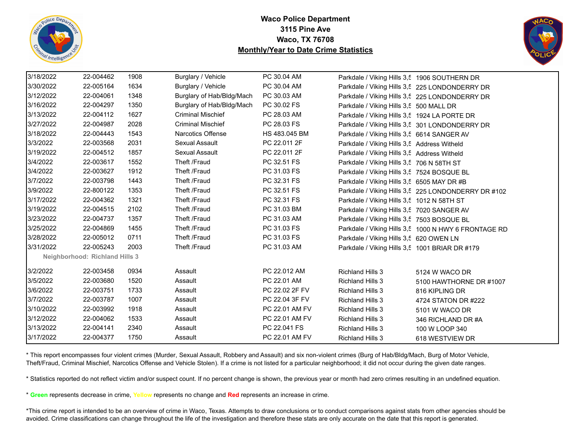



| 3/18/2022 | 22-004462                             | 1908 | Burglary / Vehicle        | PC 30.04 AM    | Parkdale / Viking Hills 3,5 1906 SOUTHERN DR   |                                                      |
|-----------|---------------------------------------|------|---------------------------|----------------|------------------------------------------------|------------------------------------------------------|
| 3/30/2022 | 22-005164                             | 1634 | Burglary / Vehicle        | PC 30.04 AM    |                                                | Parkdale / Viking Hills 3,5 225 LONDONDERRY DR       |
| 3/12/2022 | 22-004061                             | 1348 | Burglary of Hab/Bldg/Mach | PC 30.03 AM    |                                                | Parkdale / Viking Hills 3,5 225 LONDONDERRY DR       |
| 3/16/2022 | 22-004297                             | 1350 | Burglary of Hab/Bldg/Mach | PC 30.02 FS    | Parkdale / Viking Hills 3,5 500 MALL DR        |                                                      |
| 3/13/2022 | 22-004112                             | 1627 | <b>Criminal Mischief</b>  | PC 28.03 AM    | Parkdale / Viking Hills 3,5 1924 LA PORTE DR   |                                                      |
| 3/27/2022 | 22-004987                             | 2028 | <b>Criminal Mischief</b>  | PC 28.03 FS    |                                                | Parkdale / Viking Hills 3,5 301 LONDONDERRY DR       |
| 3/18/2022 | 22-004443                             | 1543 | <b>Narcotics Offense</b>  | HS 483.045 BM  | Parkdale / Viking Hills 3,5 6614 SANGER AV     |                                                      |
| 3/3/2022  | 22-003568                             | 2031 | Sexual Assault            | PC 22.011 2F   | Parkdale / Viking Hills 3,5 Address Witheld    |                                                      |
| 3/19/2022 | 22-004512                             | 1857 | Sexual Assault            | PC 22.011 2F   | Parkdale / Viking Hills 3,5 Address Witheld    |                                                      |
| 3/4/2022  | 22-003617                             | 1552 | Theft /Fraud              | PC 32.51 FS    | Parkdale / Viking Hills 3,5 706 N 58TH ST      |                                                      |
| 3/4/2022  | 22-003627                             | 1912 | Theft /Fraud              | PC 31.03 FS    | Parkdale / Viking Hills 3,5 7524 BOSQUE BL     |                                                      |
| 3/7/2022  | 22-003798                             | 1443 | Theft /Fraud              | PC 32.31 FS    | Parkdale / Viking Hills 3,5 6505 MAY DR #B     |                                                      |
| 3/9/2022  | 22-800122                             | 1353 | Theft /Fraud              | PC 32.51 FS    |                                                | Parkdale / Viking Hills 3,5 225 LONDONDERRY DR #102  |
| 3/17/2022 | 22-004362                             | 1321 | Theft /Fraud              | PC 32.31 FS    | Parkdale / Viking Hills 3,5 1012 N 58TH ST     |                                                      |
| 3/19/2022 | 22-004515                             | 2102 | Theft /Fraud              | PC 31.03 BM    | Parkdale / Viking Hills 3,5 7020 SANGER AV     |                                                      |
| 3/23/2022 | 22-004737                             | 1357 | Theft /Fraud              | PC 31.03 AM    | Parkdale / Viking Hills 3,5 7503 BOSQUE BL     |                                                      |
| 3/25/2022 | 22-004869                             | 1455 | Theft /Fraud              | PC 31.03 FS    |                                                | Parkdale / Viking Hills 3,5 1000 N HWY 6 FRONTAGE RD |
| 3/28/2022 | 22-005012                             | 0711 | Theft /Fraud              | PC 31.03 FS    | Parkdale / Viking Hills 3,5 620 OWEN LN        |                                                      |
| 3/31/2022 | 22-005243                             | 2003 | Theft /Fraud              | PC 31.03 AM    | Parkdale / Viking Hills 3,5 1001 BRIAR DR #179 |                                                      |
|           | <b>Neighborhood: Richland Hills 3</b> |      |                           |                |                                                |                                                      |
| 3/2/2022  | 22-003458                             | 0934 | Assault                   | PC 22.012 AM   | <b>Richland Hills 3</b>                        | 5124 W WACO DR                                       |
| 3/5/2022  | 22-003680                             | 1520 | Assault                   | PC 22.01 AM    | <b>Richland Hills 3</b>                        | 5100 HAWTHORNE DR #1007                              |
| 3/6/2022  | 22-003751                             | 1733 | Assault                   | PC 22.02 2F FV | <b>Richland Hills 3</b>                        | 816 KIPLING DR                                       |
| 3/7/2022  | 22-003787                             | 1007 | Assault                   | PC 22.04 3F FV | <b>Richland Hills 3</b>                        | 4724 STATON DR #222                                  |
| 3/10/2022 | 22-003992                             | 1918 | Assault                   | PC 22.01 AM FV | <b>Richland Hills 3</b>                        | 5101 W WACO DR                                       |
| 3/12/2022 | 22-004062                             | 1533 | Assault                   | PC 22.01 AM FV | <b>Richland Hills 3</b>                        | 346 RICHLAND DR #A                                   |
| 3/13/2022 | 22-004141                             | 2340 | Assault                   | PC 22.041 FS   | <b>Richland Hills 3</b>                        | 100 W LOOP 340                                       |
| 3/17/2022 | 22-004377                             | 1750 | Assault                   | PC 22.01 AM FV | <b>Richland Hills 3</b>                        | 618 WESTVIEW DR                                      |

\* This report encompasses four violent crimes (Murder, Sexual Assault, Robbery and Assault) and six non-violent crimes (Burg of Hab/Bldg/Mach, Burg of Motor Vehicle, Theft/Fraud, Criminal Mischief, Narcotics Offense and Vehicle Stolen). If a crime is not listed for a particular neighborhood; it did not occur during the given date ranges.

\* Statistics reported do not reflect victim and/or suspect count. If no percent change is shown, the previous year or month had zero crimes resulting in an undefined equation.

\* **Green** represents decrease in crime, **Yellow** represents no change and **Red** represents an increase in crime.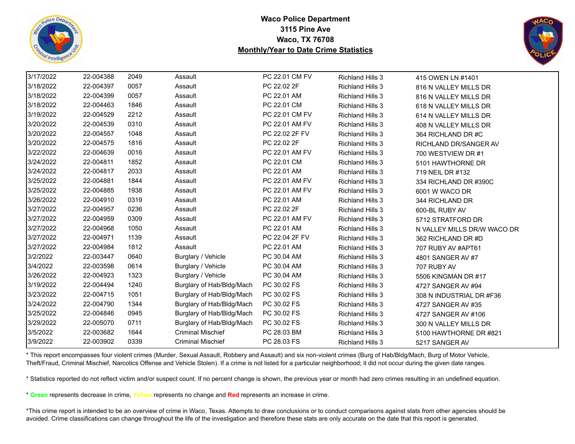



| 3/17/2022 | 22-004388 | 2049 | Assault                   | PC 22.01 CM FV | <b>Richland Hills 3</b> | 415 OWEN LN #1401            |
|-----------|-----------|------|---------------------------|----------------|-------------------------|------------------------------|
| 3/18/2022 | 22-004397 | 0057 | Assault                   | PC 22.02 2F    | <b>Richland Hills 3</b> | 816 N VALLEY MILLS DR        |
| 3/18/2022 | 22-004399 | 0057 | Assault                   | PC 22.01 AM    | <b>Richland Hills 3</b> | 816 N VALLEY MILLS DR        |
| 3/18/2022 | 22-004463 | 1846 | Assault                   | PC 22.01 CM    | <b>Richland Hills 3</b> | 618 N VALLEY MILLS DR        |
| 3/19/2022 | 22-004529 | 2212 | Assault                   | PC 22.01 CM FV | <b>Richland Hills 3</b> | 614 N VALLEY MILLS DR        |
| 3/20/2022 | 22-004539 | 0310 | Assault                   | PC 22.01 AM FV | <b>Richland Hills 3</b> | 408 N VALLEY MILLS DR        |
| 3/20/2022 | 22-004557 | 1048 | Assault                   | PC 22.02 2F FV | <b>Richland Hills 3</b> | 364 RICHLAND DR #C           |
| 3/20/2022 | 22-004575 | 1816 | Assault                   | PC 22.02 2F    | <b>Richland Hills 3</b> | <b>RICHLAND DR/SANGER AV</b> |
| 3/22/2022 | 22-004639 | 0016 | Assault                   | PC 22.01 AM FV | <b>Richland Hills 3</b> | 700 WESTVIEW DR #1           |
| 3/24/2022 | 22-004811 | 1852 | Assault                   | PC 22.01 CM    | <b>Richland Hills 3</b> | 5101 HAWTHORNE DR            |
| 3/24/2022 | 22-004817 | 2033 | Assault                   | PC 22.01 AM    | <b>Richland Hills 3</b> | 719 NEIL DR #132             |
| 3/25/2022 | 22-004881 | 1844 | Assault                   | PC 22.01 AM FV | <b>Richland Hills 3</b> | 334 RICHLAND DR #390C        |
| 3/25/2022 | 22-004885 | 1938 | Assault                   | PC 22.01 AM FV | <b>Richland Hills 3</b> | 6001 W WACO DR               |
| 3/26/2022 | 22-004910 | 0319 | Assault                   | PC 22.01 AM    | <b>Richland Hills 3</b> | 344 RICHLAND DR              |
| 3/27/2022 | 22-004957 | 0236 | Assault                   | PC 22.02 2F    | <b>Richland Hills 3</b> | 600-BL RUBY AV               |
| 3/27/2022 | 22-004959 | 0309 | Assault                   | PC 22.01 AM FV | <b>Richland Hills 3</b> | 5712 STRATFORD DR            |
| 3/27/2022 | 22-004968 | 1050 | Assault                   | PC 22.01 AM    | <b>Richland Hills 3</b> | N VALLEY MILLS DR/W WACO DR  |
| 3/27/2022 | 22-004971 | 1139 | Assault                   | PC 22.04 2F FV | <b>Richland Hills 3</b> | 362 RICHLAND DR #D           |
| 3/27/2022 | 22-004984 | 1812 | Assault                   | PC 22.01 AM    | <b>Richland Hills 3</b> | 707 RUBY AV #APT61           |
| 3/2/2022  | 22-003447 | 0640 | Burglary / Vehicle        | PC 30.04 AM    | <b>Richland Hills 3</b> | 4801 SANGER AV #7            |
| 3/4/2022  | 22-003598 | 0614 | Burglary / Vehicle        | PC 30.04 AM    | <b>Richland Hills 3</b> | 707 RUBY AV                  |
| 3/26/2022 | 22-004923 | 1323 | Burglary / Vehicle        | PC 30.04 AM    | <b>Richland Hills 3</b> | 5506 KINGMAN DR #17          |
| 3/19/2022 | 22-004494 | 1240 | Burglary of Hab/Bldg/Mach | PC 30.02 FS    | <b>Richland Hills 3</b> | 4727 SANGER AV #94           |
| 3/23/2022 | 22-004715 | 1051 | Burglary of Hab/Bldg/Mach | PC 30.02 FS    | <b>Richland Hills 3</b> | 308 N INDUSTRIAL DR #F36     |
| 3/24/2022 | 22-004790 | 1344 | Burglary of Hab/Bldg/Mach | PC 30.02 FS    | <b>Richland Hills 3</b> | 4727 SANGER AV #35           |
| 3/25/2022 | 22-004846 | 0945 | Burglary of Hab/Bldg/Mach | PC 30.02 FS    | <b>Richland Hills 3</b> | 4727 SANGER AV #106          |
| 3/29/2022 | 22-005070 | 0711 | Burglary of Hab/Bldg/Mach | PC 30.02 FS    | <b>Richland Hills 3</b> | 300 N VALLEY MILLS DR        |
| 3/5/2022  | 22-003682 | 1644 | <b>Criminal Mischief</b>  | PC 28.03 BM    | <b>Richland Hills 3</b> | 5100 HAWTHORNE DR #821       |
| 3/9/2022  | 22-003902 | 0339 | <b>Criminal Mischief</b>  | PC 28.03 FS    | <b>Richland Hills 3</b> | 5217 SANGER AV               |

\* This report encompasses four violent crimes (Murder, Sexual Assault, Robbery and Assault) and six non-violent crimes (Burg of Hab/Bldg/Mach, Burg of Motor Vehicle, Theft/Fraud, Criminal Mischief, Narcotics Offense and Vehicle Stolen). If a crime is not listed for a particular neighborhood; it did not occur during the given date ranges.

\* Statistics reported do not reflect victim and/or suspect count. If no percent change is shown, the previous year or month had zero crimes resulting in an undefined equation.

\* **Green** represents decrease in crime, **Yellow** represents no change and **Red** represents an increase in crime.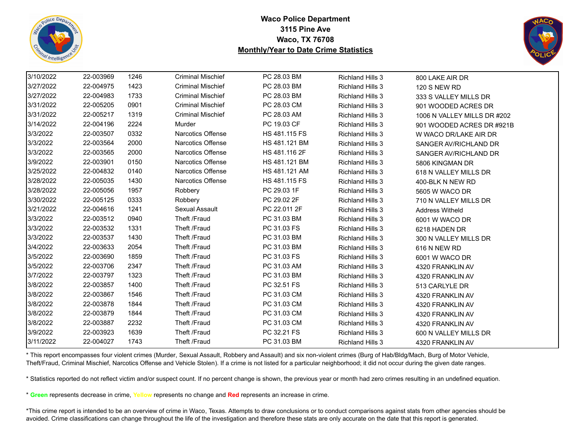



| 3/10/2022 | 22-003969 | 1246 | <b>Criminal Mischief</b> | PC 28.03 BM          | <b>Richland Hills 3</b> | 800 LAKE AIR DR             |
|-----------|-----------|------|--------------------------|----------------------|-------------------------|-----------------------------|
| 3/27/2022 | 22-004975 | 1423 | <b>Criminal Mischief</b> | PC 28.03 BM          | <b>Richland Hills 3</b> | <b>120 S NEW RD</b>         |
| 3/27/2022 | 22-004983 | 1733 | <b>Criminal Mischief</b> | PC 28.03 BM          | <b>Richland Hills 3</b> | 333 S VALLEY MILLS DR       |
| 3/31/2022 | 22-005205 | 0901 | <b>Criminal Mischief</b> | PC 28.03 CM          | <b>Richland Hills 3</b> | 901 WOODED ACRES DR         |
| 3/31/2022 | 22-005217 | 1319 | <b>Criminal Mischief</b> | PC 28.03 AM          | <b>Richland Hills 3</b> | 1006 N VALLEY MILLS DR #202 |
| 3/14/2022 | 22-004196 | 2224 | Murder                   | PC 19.03 CF          | <b>Richland Hills 3</b> | 901 WOODED ACRES DR #921B   |
| 3/3/2022  | 22-003507 | 0332 | <b>Narcotics Offense</b> | HS 481.115 FS        | <b>Richland Hills 3</b> | W WACO DR/LAKE AIR DR       |
| 3/3/2022  | 22-003564 | 2000 | Narcotics Offense        | HS 481.121 BM        | <b>Richland Hills 3</b> | SANGER AV/RICHLAND DR       |
| 3/3/2022  | 22-003565 | 2000 | Narcotics Offense        | HS 481.116 2F        | <b>Richland Hills 3</b> | SANGER AV/RICHLAND DR       |
| 3/9/2022  | 22-003901 | 0150 | Narcotics Offense        | HS 481.121 BM        | <b>Richland Hills 3</b> | 5806 KINGMAN DR             |
| 3/25/2022 | 22-004832 | 0140 | Narcotics Offense        | HS 481.121 AM        | <b>Richland Hills 3</b> | 618 N VALLEY MILLS DR       |
| 3/28/2022 | 22-005035 | 1430 | <b>Narcotics Offense</b> | <b>HS 481.115 FS</b> | Richland Hills 3        | 400-BLK N NEW RD            |
| 3/28/2022 | 22-005056 | 1957 | Robbery                  | PC 29.03 1F          | <b>Richland Hills 3</b> | 5605 W WACO DR              |
| 3/30/2022 | 22-005125 | 0333 | Robbery                  | PC 29.02 2F          | <b>Richland Hills 3</b> | 710 N VALLEY MILLS DR       |
| 3/21/2022 | 22-004616 | 1241 | Sexual Assault           | PC 22.011 2F         | <b>Richland Hills 3</b> | <b>Address Witheld</b>      |
| 3/3/2022  | 22-003512 | 0940 | Theft /Fraud             | PC 31.03 BM          | <b>Richland Hills 3</b> | 6001 W WACO DR              |
| 3/3/2022  | 22-003532 | 1331 | Theft /Fraud             | PC 31.03 FS          | <b>Richland Hills 3</b> | 6218 HADEN DR               |
| 3/3/2022  | 22-003537 | 1430 | Theft /Fraud             | PC 31.03 BM          | <b>Richland Hills 3</b> | 300 N VALLEY MILLS DR       |
| 3/4/2022  | 22-003633 | 2054 | Theft /Fraud             | PC 31.03 BM          | <b>Richland Hills 3</b> | 616 N NEW RD                |
| 3/5/2022  | 22-003690 | 1859 | Theft /Fraud             | PC 31.03 FS          | <b>Richland Hills 3</b> | 6001 W WACO DR              |
| 3/5/2022  | 22-003706 | 2347 | Theft /Fraud             | PC 31.03 AM          | <b>Richland Hills 3</b> | 4320 FRANKLIN AV            |
| 3/7/2022  | 22-003797 | 1323 | Theft /Fraud             | PC 31.03 BM          | <b>Richland Hills 3</b> | 4320 FRANKLIN AV            |
| 3/8/2022  | 22-003857 | 1400 | Theft /Fraud             | PC 32.51 FS          | <b>Richland Hills 3</b> | 513 CARLYLE DR              |
| 3/8/2022  | 22-003867 | 1546 | Theft /Fraud             | PC 31.03 CM          | <b>Richland Hills 3</b> | 4320 FRANKLIN AV            |
| 3/8/2022  | 22-003878 | 1844 | Theft /Fraud             | PC 31.03 CM          | <b>Richland Hills 3</b> | 4320 FRANKLIN AV            |
| 3/8/2022  | 22-003879 | 1844 | Theft /Fraud             | PC 31.03 CM          | <b>Richland Hills 3</b> | 4320 FRANKLIN AV            |
| 3/8/2022  | 22-003887 | 2232 | Theft /Fraud             | PC 31.03 CM          | <b>Richland Hills 3</b> | 4320 FRANKLIN AV            |
| 3/9/2022  | 22-003923 | 1639 | Theft /Fraud             | PC 32.21 FS          | <b>Richland Hills 3</b> | 600 N VALLEY MILLS DR       |
| 3/11/2022 | 22-004027 | 1743 | Theft /Fraud             | PC 31.03 BM          | <b>Richland Hills 3</b> | 4320 FRANKLIN AV            |

\* This report encompasses four violent crimes (Murder, Sexual Assault, Robbery and Assault) and six non-violent crimes (Burg of Hab/Bldg/Mach, Burg of Motor Vehicle, Theft/Fraud, Criminal Mischief, Narcotics Offense and Vehicle Stolen). If a crime is not listed for a particular neighborhood; it did not occur during the given date ranges.

\* Statistics reported do not reflect victim and/or suspect count. If no percent change is shown, the previous year or month had zero crimes resulting in an undefined equation.

\* **Green** represents decrease in crime, **Yellow** represents no change and **Red** represents an increase in crime.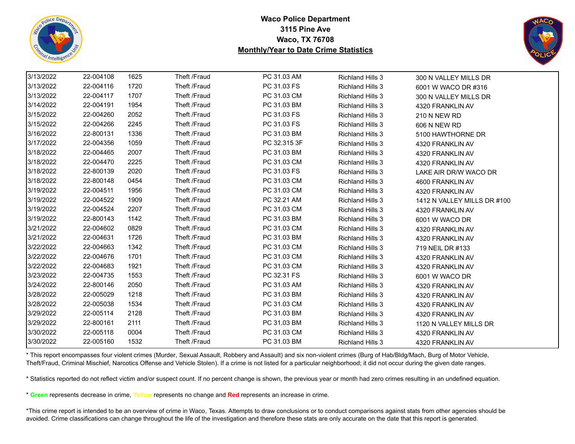



| 3/13/2022 | 22-004108 | 1625 | Theft /Fraud | PC 31.03 AM  | <b>Richland Hills 3</b> | 300 N VALLEY MILLS DR       |
|-----------|-----------|------|--------------|--------------|-------------------------|-----------------------------|
| 3/13/2022 | 22-004116 | 1720 | Theft /Fraud | PC 31.03 FS  | <b>Richland Hills 3</b> | 6001 W WACO DR #316         |
| 3/13/2022 | 22-004117 | 1707 | Theft /Fraud | PC 31.03 CM  | <b>Richland Hills 3</b> | 300 N VALLEY MILLS DR       |
| 3/14/2022 | 22-004191 | 1954 | Theft /Fraud | PC 31.03 BM  | <b>Richland Hills 3</b> | 4320 FRANKLIN AV            |
| 3/15/2022 | 22-004260 | 2052 | Theft /Fraud | PC 31.03 FS  | <b>Richland Hills 3</b> | 210 N NEW RD                |
| 3/15/2022 | 22-004266 | 2245 | Theft /Fraud | PC 31.03 FS  | <b>Richland Hills 3</b> | 606 N NEW RD                |
| 3/16/2022 | 22-800131 | 1336 | Theft /Fraud | PC 31.03 BM  | <b>Richland Hills 3</b> | 5100 HAWTHORNE DR           |
| 3/17/2022 | 22-004356 | 1059 | Theft /Fraud | PC 32.315 3F | <b>Richland Hills 3</b> | 4320 FRANKLIN AV            |
| 3/18/2022 | 22-004465 | 2007 | Theft /Fraud | PC 31.03 BM  | <b>Richland Hills 3</b> | 4320 FRANKLIN AV            |
| 3/18/2022 | 22-004470 | 2225 | Theft /Fraud | PC 31.03 CM  | <b>Richland Hills 3</b> | 4320 FRANKLIN AV            |
| 3/18/2022 | 22-800139 | 2020 | Theft /Fraud | PC 31.03 FS  | <b>Richland Hills 3</b> | LAKE AIR DR/W WACO DR       |
| 3/18/2022 | 22-800148 | 0454 | Theft /Fraud | PC 31.03 CM  | <b>Richland Hills 3</b> | 4600 FRANKLIN AV            |
| 3/19/2022 | 22-004511 | 1956 | Theft /Fraud | PC 31.03 CM  | <b>Richland Hills 3</b> | 4320 FRANKLIN AV            |
| 3/19/2022 | 22-004522 | 1909 | Theft /Fraud | PC 32.21 AM  | <b>Richland Hills 3</b> | 1412 N VALLEY MILLS DR #100 |
| 3/19/2022 | 22-004524 | 2207 | Theft /Fraud | PC 31.03 CM  | <b>Richland Hills 3</b> | 4320 FRANKLIN AV            |
| 3/19/2022 | 22-800143 | 1142 | Theft /Fraud | PC 31.03 BM  | <b>Richland Hills 3</b> | 6001 W WACO DR              |
| 3/21/2022 | 22-004602 | 0829 | Theft /Fraud | PC 31.03 CM  | <b>Richland Hills 3</b> | 4320 FRANKLIN AV            |
| 3/21/2022 | 22-004631 | 1726 | Theft /Fraud | PC 31.03 BM  | <b>Richland Hills 3</b> | 4320 FRANKLIN AV            |
| 3/22/2022 | 22-004663 | 1342 | Theft /Fraud | PC 31.03 CM  | <b>Richland Hills 3</b> | 719 NEIL DR #133            |
| 3/22/2022 | 22-004676 | 1701 | Theft /Fraud | PC 31.03 CM  | <b>Richland Hills 3</b> | 4320 FRANKLIN AV            |
| 3/22/2022 | 22-004683 | 1921 | Theft /Fraud | PC 31.03 CM  | <b>Richland Hills 3</b> | 4320 FRANKLIN AV            |
| 3/23/2022 | 22-004735 | 1553 | Theft /Fraud | PC 32.31 FS  | <b>Richland Hills 3</b> | 6001 W WACO DR              |
| 3/24/2022 | 22-800146 | 2050 | Theft /Fraud | PC 31.03 AM  | <b>Richland Hills 3</b> | 4320 FRANKLIN AV            |
| 3/28/2022 | 22-005029 | 1218 | Theft /Fraud | PC 31.03 BM  | <b>Richland Hills 3</b> | 4320 FRANKLIN AV            |
| 3/28/2022 | 22-005038 | 1534 | Theft /Fraud | PC 31.03 CM  | <b>Richland Hills 3</b> | 4320 FRANKLIN AV            |
| 3/29/2022 | 22-005114 | 2128 | Theft /Fraud | PC 31.03 BM  | <b>Richland Hills 3</b> | 4320 FRANKLIN AV            |
| 3/29/2022 | 22-800161 | 2111 | Theft /Fraud | PC 31.03 BM  | <b>Richland Hills 3</b> | 1120 N VALLEY MILLS DR      |
| 3/30/2022 | 22-005118 | 0004 | Theft /Fraud | PC 31.03 CM  | <b>Richland Hills 3</b> | 4320 FRANKLIN AV            |
| 3/30/2022 | 22-005160 | 1532 | Theft /Fraud | PC 31.03 BM  | <b>Richland Hills 3</b> | 4320 FRANKLIN AV            |

\* This report encompasses four violent crimes (Murder, Sexual Assault, Robbery and Assault) and six non-violent crimes (Burg of Hab/Bldg/Mach, Burg of Motor Vehicle, Theft/Fraud, Criminal Mischief, Narcotics Offense and Vehicle Stolen). If a crime is not listed for a particular neighborhood; it did not occur during the given date ranges.

\* Statistics reported do not reflect victim and/or suspect count. If no percent change is shown, the previous year or month had zero crimes resulting in an undefined equation.

\* **Green** represents decrease in crime, **Yellow** represents no change and **Red** represents an increase in crime.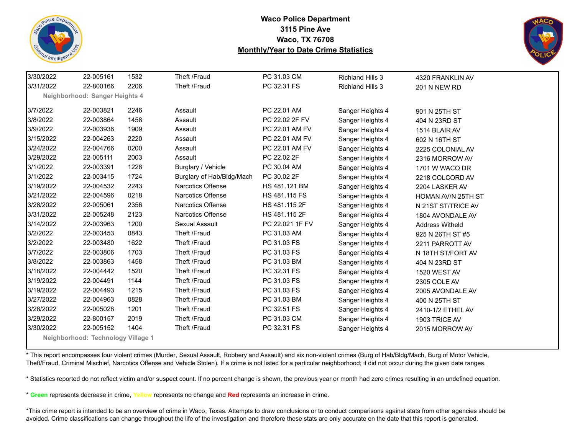



| 3/30/2022 | 22-005161                          | 1532 | Theft /Fraud              | PC 31.03 CM     | <b>Richland Hills 3</b> | 4320 FRANKLIN AV       |
|-----------|------------------------------------|------|---------------------------|-----------------|-------------------------|------------------------|
| 3/31/2022 | 22-800166                          | 2206 | Theft /Fraud              | PC 32.31 FS     | <b>Richland Hills 3</b> | <b>201 N NEW RD</b>    |
|           | Neighborhood: Sanger Heights 4     |      |                           |                 |                         |                        |
| 3/7/2022  | 22-003821                          | 2246 | Assault                   | PC 22.01 AM     | Sanger Heights 4        | 901 N 25TH ST          |
| 3/8/2022  | 22-003864                          | 1458 | Assault                   | PC 22.02 2F FV  | Sanger Heights 4        | 404 N 23RD ST          |
| 3/9/2022  | 22-003936                          | 1909 | Assault                   | PC 22.01 AM FV  | Sanger Heights 4        | 1514 BLAIR AV          |
| 3/15/2022 | 22-004263                          | 2220 | Assault                   | PC 22.01 AM FV  | Sanger Heights 4        | 602 N 16TH ST          |
| 3/24/2022 | 22-004766                          | 0200 | Assault                   | PC 22.01 AM FV  | Sanger Heights 4        | 2225 COLONIAL AV       |
| 3/29/2022 | 22-005111                          | 2003 | Assault                   | PC 22.02 2F     | Sanger Heights 4        | 2316 MORROW AV         |
| 3/1/2022  | 22-003391                          | 1228 | Burglary / Vehicle        | PC 30.04 AM     | Sanger Heights 4        | 1701 W WACO DR         |
| 3/1/2022  | 22-003415                          | 1724 | Burglary of Hab/Bldg/Mach | PC 30.02 2F     | Sanger Heights 4        | 2218 COLCORD AV        |
| 3/19/2022 | 22-004532                          | 2243 | <b>Narcotics Offense</b>  | HS 481.121 BM   | Sanger Heights 4        | 2204 LASKER AV         |
| 3/21/2022 | 22-004596                          | 0218 | Narcotics Offense         | HS 481.115 FS   | Sanger Heights 4        | HOMAN AV/N 25TH ST     |
| 3/28/2022 | 22-005061                          | 2356 | Narcotics Offense         | HS 481.115 2F   | Sanger Heights 4        | N 21ST ST/TRICE AV     |
| 3/31/2022 | 22-005248                          | 2123 | Narcotics Offense         | HS 481.115 2F   | Sanger Heights 4        | 1804 AVONDALE AV       |
| 3/14/2022 | 22-003963                          | 1200 | Sexual Assault            | PC 22.021 1F FV | Sanger Heights 4        | <b>Address Witheld</b> |
| 3/2/2022  | 22-003453                          | 0843 | Theft /Fraud              | PC 31.03 AM     | Sanger Heights 4        | 925 N 26TH ST #5       |
| 3/2/2022  | 22-003480                          | 1622 | Theft /Fraud              | PC 31.03 FS     | Sanger Heights 4        | 2211 PARROTT AV        |
| 3/7/2022  | 22-003806                          | 1703 | Theft /Fraud              | PC 31.03 FS     | Sanger Heights 4        | N 18TH ST/FORT AV      |
| 3/8/2022  | 22-003863                          | 1458 | Theft /Fraud              | PC 31.03 BM     | Sanger Heights 4        | 404 N 23RD ST          |
| 3/18/2022 | 22-004442                          | 1520 | Theft /Fraud              | PC 32.31 FS     | Sanger Heights 4        | 1520 WEST AV           |
| 3/19/2022 | 22-004491                          | 1144 | Theft /Fraud              | PC 31.03 FS     | Sanger Heights 4        | 2305 COLE AV           |
| 3/19/2022 | 22-004493                          | 1215 | Theft /Fraud              | PC 31.03 FS     | Sanger Heights 4        | 2005 AVONDALE AV       |
| 3/27/2022 | 22-004963                          | 0828 | Theft /Fraud              | PC 31.03 BM     | Sanger Heights 4        | 400 N 25TH ST          |
| 3/28/2022 | 22-005028                          | 1201 | Theft /Fraud              | PC 32.51 FS     | Sanger Heights 4        | 2410-1/2 ETHEL AV      |
| 3/29/2022 | 22-800157                          | 2019 | Theft /Fraud              | PC 31.03 CM     | Sanger Heights 4        | 1903 TRICE AV          |
| 3/30/2022 | 22-005152                          | 1404 | Theft /Fraud              | PC 32.31 FS     | Sanger Heights 4        | 2015 MORROW AV         |
|           | Neighborhood: Technology Village 1 |      |                           |                 |                         |                        |

\* This report encompasses four violent crimes (Murder, Sexual Assault, Robbery and Assault) and six non-violent crimes (Burg of Hab/Bldg/Mach, Burg of Motor Vehicle, Theft/Fraud, Criminal Mischief, Narcotics Offense and Vehicle Stolen). If a crime is not listed for a particular neighborhood; it did not occur during the given date ranges.

\* Statistics reported do not reflect victim and/or suspect count. If no percent change is shown, the previous year or month had zero crimes resulting in an undefined equation.

\* **Green** represents decrease in crime, **Yellow** represents no change and **Red** represents an increase in crime.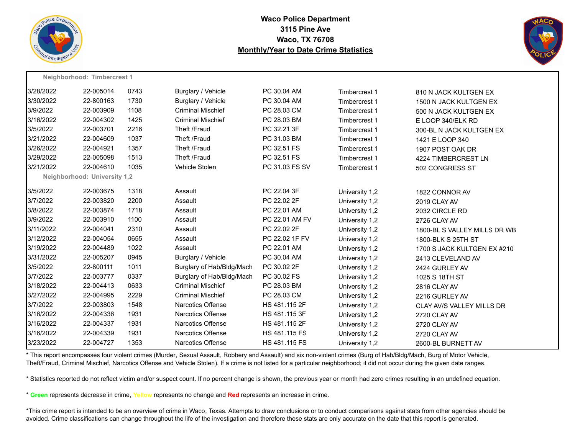



|           | Neighborhood: Timbercrest 1         |      |                           |                |                |                              |
|-----------|-------------------------------------|------|---------------------------|----------------|----------------|------------------------------|
| 3/28/2022 | 22-005014                           | 0743 | Burglary / Vehicle        | PC 30.04 AM    | Timbercrest 1  | 810 N JACK KULTGEN EX        |
| 3/30/2022 | 22-800163                           | 1730 | Burglary / Vehicle        | PC 30.04 AM    | Timbercrest 1  | 1500 N JACK KULTGEN EX       |
| 3/9/2022  | 22-003909                           | 1108 | <b>Criminal Mischief</b>  | PC 28.03 CM    | Timbercrest 1  | 500 N JACK KULTGEN EX        |
| 3/16/2022 | 22-004302                           | 1425 | <b>Criminal Mischief</b>  | PC 28.03 BM    | Timbercrest 1  | E LOOP 340/ELK RD            |
| 3/5/2022  | 22-003701                           | 2216 | Theft /Fraud              | PC 32.21 3F    | Timbercrest 1  | 300-BL N JACK KULTGEN EX     |
| 3/21/2022 | 22-004609                           | 1037 | Theft /Fraud              | PC 31.03 BM    | Timbercrest 1  | 1421 E LOOP 340              |
| 3/26/2022 | 22-004921                           | 1357 | Theft /Fraud              | PC 32.51 FS    | Timbercrest 1  | 1907 POST OAK DR             |
| 3/29/2022 | 22-005098                           | 1513 | Theft /Fraud              | PC 32.51 FS    | Timbercrest 1  | 4224 TIMBERCREST LN          |
| 3/21/2022 | 22-004610                           | 1035 | Vehicle Stolen            | PC 31.03 FS SV | Timbercrest 1  | 502 CONGRESS ST              |
|           | <b>Neighborhood: University 1,2</b> |      |                           |                |                |                              |
| 3/5/2022  | 22-003675                           | 1318 | Assault                   | PC 22.04 3F    | University 1,2 | 1822 CONNOR AV               |
| 3/7/2022  | 22-003820                           | 2200 | Assault                   | PC 22.02 2F    | University 1,2 | 2019 CLAY AV                 |
| 3/8/2022  | 22-003874                           | 1718 | Assault                   | PC 22.01 AM    | University 1,2 | 2032 CIRCLE RD               |
| 3/9/2022  | 22-003910                           | 1100 | Assault                   | PC 22.01 AM FV | University 1,2 | 2726 CLAY AV                 |
| 3/11/2022 | 22-004041                           | 2310 | Assault                   | PC 22.02 2F    | University 1,2 | 1800-BL S VALLEY MILLS DR WB |
| 3/12/2022 | 22-004054                           | 0655 | Assault                   | PC 22.02 1F FV | University 1,2 | 1800-BLK S 25TH ST           |
| 3/19/2022 | 22-004489                           | 1022 | Assault                   | PC 22.01 AM    | University 1,2 | 1700 S JACK KULTGEN EX #210  |
| 3/31/2022 | 22-005207                           | 0945 | Burglary / Vehicle        | PC 30.04 AM    | University 1,2 | 2413 CLEVELAND AV            |
| 3/5/2022  | 22-800111                           | 1011 | Burglary of Hab/Bldg/Mach | PC 30.02 2F    | University 1,2 | 2424 GURLEY AV               |
| 3/7/2022  | 22-003777                           | 0337 | Burglary of Hab/Bldg/Mach | PC 30.02 FS    | University 1,2 | 1025 S 18TH ST               |
| 3/18/2022 | 22-004413                           | 0633 | <b>Criminal Mischief</b>  | PC 28.03 BM    | University 1,2 | 2816 CLAY AV                 |
| 3/27/2022 | 22-004995                           | 2229 | <b>Criminal Mischief</b>  | PC 28.03 CM    | University 1,2 | 2216 GURLEY AV               |
| 3/7/2022  | 22-003803                           | 1548 | <b>Narcotics Offense</b>  | HS 481.115 2F  | University 1,2 | CLAY AV/S VALLEY MILLS DR    |
| 3/16/2022 | 22-004336                           | 1931 | <b>Narcotics Offense</b>  | HS 481.115 3F  | University 1,2 | 2720 CLAY AV                 |
| 3/16/2022 | 22-004337                           | 1931 | Narcotics Offense         | HS 481.115 2F  | University 1,2 | 2720 CLAY AV                 |
| 3/16/2022 | 22-004339                           | 1931 | <b>Narcotics Offense</b>  | HS 481.115 FS  | University 1,2 | 2720 CLAY AV                 |
| 3/23/2022 | 22-004727                           | 1353 | Narcotics Offense         | HS 481.115 FS  | University 1,2 | 2600-BL BURNETT AV           |

\* This report encompasses four violent crimes (Murder, Sexual Assault, Robbery and Assault) and six non-violent crimes (Burg of Hab/Bldg/Mach, Burg of Motor Vehicle, Theft/Fraud, Criminal Mischief, Narcotics Offense and Vehicle Stolen). If a crime is not listed for a particular neighborhood; it did not occur during the given date ranges.

\* Statistics reported do not reflect victim and/or suspect count. If no percent change is shown, the previous year or month had zero crimes resulting in an undefined equation.

\* **Green** represents decrease in crime, **Yellow** represents no change and **Red** represents an increase in crime.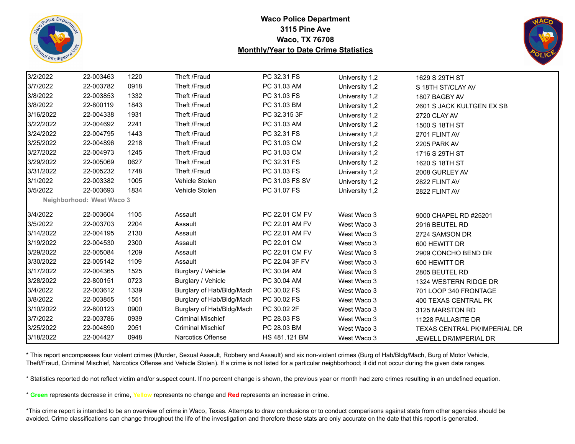



| 3/2/2022  | 22-003463                        | 1220 | Theft /Fraud              | PC 32.31 FS    | University 1,2 | 1629 S 29TH ST               |
|-----------|----------------------------------|------|---------------------------|----------------|----------------|------------------------------|
| 3/7/2022  | 22-003782                        | 0918 | Theft /Fraud              | PC 31.03 AM    | University 1,2 | S 18TH ST/CLAY AV            |
| 3/8/2022  | 22-003853                        | 1332 | Theft /Fraud              | PC 31.03 FS    | University 1,2 | 1807 BAGBY AV                |
| 3/8/2022  | 22-800119                        | 1843 | Theft /Fraud              | PC 31.03 BM    | University 1,2 | 2601 S JACK KULTGEN EX SB    |
| 3/16/2022 | 22-004338                        | 1931 | Theft /Fraud              | PC 32.315 3F   | University 1,2 | 2720 CLAY AV                 |
| 3/22/2022 | 22-004692                        | 2241 | Theft /Fraud              | PC 31.03 AM    | University 1,2 | 1500 S 18TH ST               |
| 3/24/2022 | 22-004795                        | 1443 | Theft /Fraud              | PC 32.31 FS    | University 1,2 | 2701 FLINT AV                |
| 3/25/2022 | 22-004896                        | 2218 | Theft /Fraud              | PC 31.03 CM    | University 1,2 | 2205 PARK AV                 |
| 3/27/2022 | 22-004973                        | 1245 | Theft /Fraud              | PC 31.03 CM    | University 1,2 | 1716 S 29TH ST               |
| 3/29/2022 | 22-005069                        | 0627 | Theft /Fraud              | PC 32.31 FS    | University 1,2 | 1620 S 18TH ST               |
| 3/31/2022 | 22-005232                        | 1748 | Theft /Fraud              | PC 31.03 FS    | University 1,2 | 2008 GURLEY AV               |
| 3/1/2022  | 22-003382                        | 1005 | Vehicle Stolen            | PC 31.03 FS SV | University 1,2 | 2822 FLINT AV                |
| 3/5/2022  | 22-003693                        | 1834 | Vehicle Stolen            | PC 31.07 FS    | University 1,2 | 2822 FLINT AV                |
|           | <b>Neighborhood: West Waco 3</b> |      |                           |                |                |                              |
| 3/4/2022  | 22-003604                        | 1105 | Assault                   | PC 22.01 CM FV | West Waco 3    | 9000 CHAPEL RD #25201        |
| 3/5/2022  | 22-003703                        | 2204 | Assault                   | PC 22.01 AM FV | West Waco 3    | 2916 BEUTEL RD               |
| 3/14/2022 | 22-004195                        | 2130 | Assault                   | PC 22.01 AM FV | West Waco 3    | 2724 SAMSON DR               |
| 3/19/2022 | 22-004530                        | 2300 | Assault                   | PC 22.01 CM    | West Waco 3    | 600 HEWITT DR                |
| 3/29/2022 | 22-005084                        | 1209 | Assault                   | PC 22.01 CM FV | West Waco 3    | 2909 CONCHO BEND DR          |
| 3/30/2022 | 22-005142                        | 1109 | Assault                   | PC 22.04 3F FV | West Waco 3    | 600 HEWITT DR                |
| 3/17/2022 | 22-004365                        | 1525 | Burglary / Vehicle        | PC 30.04 AM    | West Waco 3    | 2805 BEUTEL RD               |
| 3/28/2022 | 22-800151                        | 0723 | Burglary / Vehicle        | PC 30.04 AM    | West Waco 3    | 1324 WESTERN RIDGE DR        |
| 3/4/2022  | 22-003612                        | 1339 | Burglary of Hab/Bldg/Mach | PC 30.02 FS    | West Waco 3    | 701 LOOP 340 FRONTAGE        |
| 3/8/2022  | 22-003855                        | 1551 | Burglary of Hab/Bldg/Mach | PC 30.02 FS    | West Waco 3    | 400 TEXAS CENTRAL PK         |
| 3/10/2022 | 22-800123                        | 0900 | Burglary of Hab/Bldg/Mach | PC 30.02 2F    | West Waco 3    | 3125 MARSTON RD              |
| 3/7/2022  | 22-003786                        | 0939 | <b>Criminal Mischief</b>  | PC 28.03 FS    | West Waco 3    | 11228 PALLASITE DR           |
| 3/25/2022 | 22-004890                        | 2051 | <b>Criminal Mischief</b>  | PC 28.03 BM    | West Waco 3    | TEXAS CENTRAL PK/IMPERIAL DR |
| 3/18/2022 | 22-004427                        | 0948 | Narcotics Offense         | HS 481.121 BM  | West Waco 3    | <b>JEWELL DR/IMPERIAL DR</b> |

\* This report encompasses four violent crimes (Murder, Sexual Assault, Robbery and Assault) and six non-violent crimes (Burg of Hab/Bldg/Mach, Burg of Motor Vehicle, Theft/Fraud, Criminal Mischief, Narcotics Offense and Vehicle Stolen). If a crime is not listed for a particular neighborhood; it did not occur during the given date ranges.

\* Statistics reported do not reflect victim and/or suspect count. If no percent change is shown, the previous year or month had zero crimes resulting in an undefined equation.

\* **Green** represents decrease in crime, **Yellow** represents no change and **Red** represents an increase in crime.